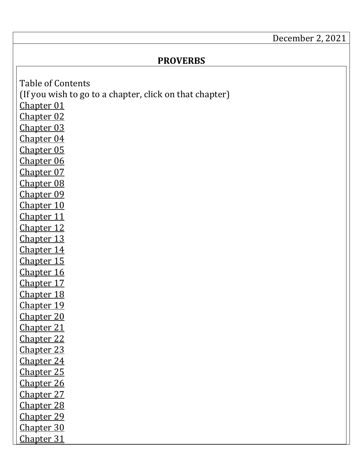## December 2, 2021

## **PROVERBS**

<span id="page-0-14"></span><span id="page-0-13"></span><span id="page-0-12"></span><span id="page-0-11"></span><span id="page-0-10"></span><span id="page-0-9"></span><span id="page-0-8"></span><span id="page-0-7"></span><span id="page-0-6"></span><span id="page-0-5"></span><span id="page-0-4"></span><span id="page-0-3"></span><span id="page-0-2"></span><span id="page-0-1"></span><span id="page-0-0"></span>Table of Contents (If you wish to go to a chapter, click on that chapter) [Chapter 01](#page-1-0) [Chapter 02](#page-4-0) [Chapter 03](#page-5-0) [Chapter 04](#page-8-0) [Chapter 05](#page-11-0) [Chapter 06](#page-12-0) [Chapter 07](#page-15-0) [Chapter 08](#page-17-0) [Chapter 09](#page-20-0) [Chapter 10](#page-22-0) [Chapter 11](#page-25-0) [Chapter 12](#page-27-0) [Chapter 13](#page-30-0) [Chapter 14](#page-32-0) [Chapter 15](#page-35-0) [Chapter 16](#page-38-0) [Chapter 17](#page-41-0) [Chapter 18](#page-43-0) [Chapter 19](#page-45-0) [Chapter 20](#page-48-0) [Chapter 21](#page-51-0) [Chapter 22](#page-53-0) [Chapter 23](#page-56-0) [Chapter 24](#page-59-0) [Chapter 25](#page-62-0) [Chapter 26](#page-64-0) [Chapter 27](#page-67-0) [Chapter 28](#page-69-0) [Chapter 29](#page-72-0) [Chapter 30](#page-74-0) [Chapter 31](#page-77-0)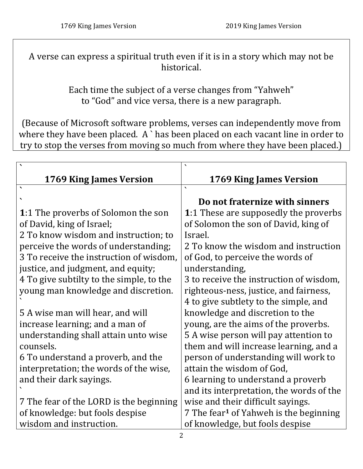A verse can express a spiritual truth even if it is in a story which may not be historical.

> Each time the subject of a verse changes from "Yahweh" to "God" and vice versa, there is a new paragraph.

(Because of Microsoft software problems, verses can independently move from where they have been placed. A `has been placed on each vacant line in order to try to stop the verses from moving so much from where they have been placed.)

<span id="page-1-0"></span>

| 1769 King James Version                    | 1769 King James Version                            |
|--------------------------------------------|----------------------------------------------------|
| $\overline{\phantom{0}}$                   | $\overline{\phantom{0}}$                           |
|                                            | Do not fraternize with sinners                     |
| <b>1:1 The proverbs of Solomon the son</b> | <b>1:1 These are supposedly the proverbs</b>       |
| of David, king of Israel;                  | of Solomon the son of David, king of               |
| 2 To know wisdom and instruction; to       | Israel.                                            |
| perceive the words of understanding;       | 2 To know the wisdom and instruction               |
| 3 To receive the instruction of wisdom,    | of God, to perceive the words of                   |
| justice, and judgment, and equity;         | understanding,                                     |
| 4 To give subtilty to the simple, to the   | 3 to receive the instruction of wisdom,            |
| young man knowledge and discretion.        | righteous-ness, justice, and fairness,             |
|                                            | 4 to give subtlety to the simple, and              |
| 5 A wise man will hear, and will           | knowledge and discretion to the                    |
| increase learning; and a man of            | young, are the aims of the proverbs.               |
| understanding shall attain unto wise       | 5 A wise person will pay attention to              |
| counsels.                                  | them and will increase learning, and a             |
| 6 To understand a proverb, and the         | person of understanding will work to               |
| interpretation; the words of the wise,     | attain the wisdom of God,                          |
| and their dark sayings.                    | 6 learning to understand a proverb                 |
|                                            | and its interpretation, the words of the           |
| 7 The fear of the LORD is the beginning    | wise and their difficult sayings.                  |
| of knowledge: but fools despise            | 7 The fear <sup>1</sup> of Yahweh is the beginning |
| wisdom and instruction.                    | of knowledge, but fools despise                    |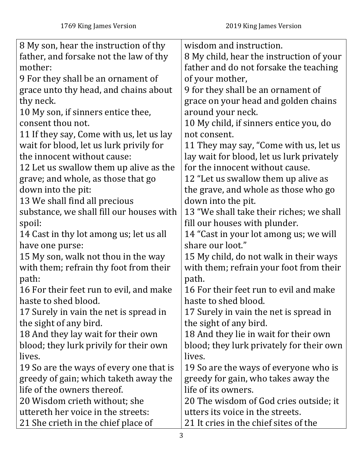| 8 My son, hear the instruction of thy    | wisdom and instruction.                   |
|------------------------------------------|-------------------------------------------|
| father, and forsake not the law of thy   | 8 My child, hear the instruction of your  |
| mother:                                  | father and do not forsake the teaching    |
| 9 For they shall be an ornament of       | of your mother,                           |
| grace unto thy head, and chains about    | 9 for they shall be an ornament of        |
| thy neck.                                | grace on your head and golden chains      |
| 10 My son, if sinners entice thee,       | around your neck.                         |
| consent thou not.                        | 10 My child, if sinners entice you, do    |
| 11 If they say, Come with us, let us lay | not consent.                              |
| wait for blood, let us lurk privily for  | 11 They may say, "Come with us, let us    |
| the innocent without cause:              | lay wait for blood, let us lurk privately |
| 12 Let us swallow them up alive as the   | for the innocent without cause.           |
| grave; and whole, as those that go       | 12 "Let us swallow them up alive as       |
| down into the pit:                       | the grave, and whole as those who go      |
| 13 We shall find all precious            | down into the pit.                        |
| substance, we shall fill our houses with | 13 "We shall take their riches; we shall  |
| spoil:                                   | fill our houses with plunder.             |
| 14 Cast in thy lot among us; let us all  | 14 "Cast in your lot among us; we will    |
| have one purse:                          | share our loot."                          |
| 15 My son, walk not thou in the way      | 15 My child, do not walk in their ways    |
| with them; refrain thy foot from their   | with them; refrain your foot from their   |
| path:                                    | path.                                     |
| 16 For their feet run to evil, and make  | 16 For their feet run to evil and make    |
| haste to shed blood.                     | haste to shed blood.                      |
| 17 Surely in vain the net is spread in   | 17 Surely in vain the net is spread in    |
| the sight of any bird.                   | the sight of any bird.                    |
| 18 And they lay wait for their own       | 18 And they lie in wait for their own     |
| blood; they lurk privily for their own   | blood; they lurk privately for their own  |
| lives.                                   | lives.                                    |
| 19 So are the ways of every one that is  | 19 So are the ways of everyone who is     |
| greedy of gain; which taketh away the    | greedy for gain, who takes away the       |
| life of the owners thereof.              | life of its owners.                       |
| 20 Wisdom crieth without; she            | 20 The wisdom of God cries outside; it    |
| uttereth her voice in the streets:       | utters its voice in the streets.          |
| 21 She crieth in the chief place of      | 21 It cries in the chief sites of the     |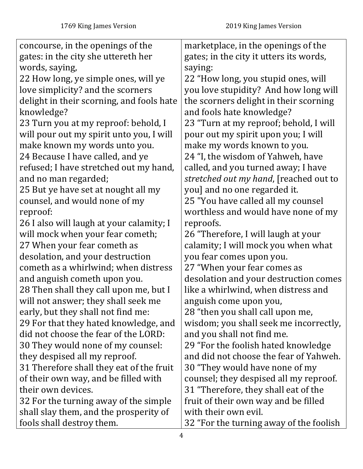| concourse, in the openings of the         | marketplace, in the openings of the     |
|-------------------------------------------|-----------------------------------------|
| gates: in the city she uttereth her       | gates; in the city it utters its words, |
| words, saying,                            | saying:                                 |
| 22 How long, ye simple ones, will ye      | 22 "How long, you stupid ones, will     |
| love simplicity? and the scorners         | you love stupidity? And how long will   |
| delight in their scorning, and fools hate | the scorners delight in their scorning  |
| knowledge?                                | and fools hate knowledge?               |
| 23 Turn you at my reproof: behold, I      | 23 "Turn at my reproof; behold, I will  |
| will pour out my spirit unto you, I will  | pour out my spirit upon you; I will     |
| make known my words unto you.             | make my words known to you.             |
| 24 Because I have called, and ye          | 24 "I, the wisdom of Yahweh, have       |
| refused; I have stretched out my hand,    | called, and you turned away; I have     |
| and no man regarded;                      | stretched out my hand, [reached out to  |
| 25 But ye have set at nought all my       | you] and no one regarded it.            |
| counsel, and would none of my             | 25 "You have called all my counsel      |
| reproof:                                  | worthless and would have none of my     |
| 26 I also will laugh at your calamity; I  | reproofs.                               |
| will mock when your fear cometh;          | 26 "Therefore, I will laugh at your     |
| 27 When your fear cometh as               | calamity; I will mock you when what     |
| desolation, and your destruction          | you fear comes upon you.                |
| cometh as a whirlwind; when distress      | 27 "When your fear comes as             |
| and anguish cometh upon you.              | desolation and your destruction comes   |
| 28 Then shall they call upon me, but I    | like a whirlwind, when distress and     |
| will not answer; they shall seek me       | anguish come upon you,                  |
| early, but they shall not find me:        | 28 "then you shall call upon me,        |
| 29 For that they hated knowledge, and     | wisdom; you shall seek me incorrectly,  |
| did not choose the fear of the LORD:      | and you shall not find me.              |
| 30 They would none of my counsel:         | 29 "For the foolish hated knowledge     |
| they despised all my reproof.             | and did not choose the fear of Yahweh.  |
| 31 Therefore shall they eat of the fruit  | 30 "They would have none of my          |
| of their own way, and be filled with      | counsel; they despised all my reproof.  |
| their own devices.                        | 31 "Therefore, they shall eat of the    |
| 32 For the turning away of the simple     | fruit of their own way and be filled    |
| shall slay them, and the prosperity of    | with their own evil.                    |
| fools shall destroy them.                 | 32 "For the turning away of the foolish |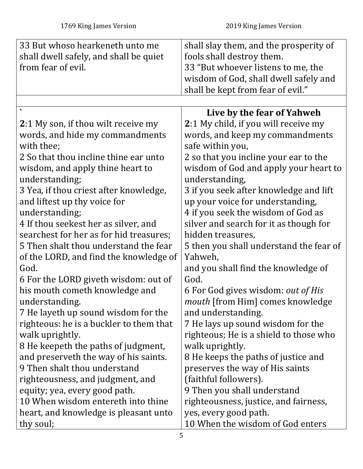<span id="page-4-0"></span>

| 33 But whoso hearkeneth unto me         | shall slay them, and the prosperity of    |
|-----------------------------------------|-------------------------------------------|
| shall dwell safely, and shall be quiet  | fools shall destroy them.                 |
| from fear of evil.                      | 33 "But whoever listens to me, the        |
|                                         | wisdom of God, shall dwell safely and     |
|                                         | shall be kept from fear of evil."         |
|                                         |                                           |
|                                         | Live by the fear of Yahweh                |
| 2:1 My son, if thou wilt receive my     | 2:1 My child, if you will receive my      |
| words, and hide my commandments         | words, and keep my commandments           |
| with thee;                              | safe within you,                          |
| 2 So that thou incline thine ear unto   | 2 so that you incline your ear to the     |
| wisdom, and apply thine heart to        | wisdom of God and apply your heart to     |
| understanding;                          | understanding,                            |
| 3 Yea, if thou criest after knowledge,  | 3 if you seek after knowledge and lift    |
| and liftest up thy voice for            | up your voice for understanding,          |
| understanding;                          | 4 if you seek the wisdom of God as        |
| 4 If thou seekest her as silver, and    | silver and search for it as though for    |
| searchest for her as for hid treasures; | hidden treasures,                         |
| 5 Then shalt thou understand the fear   | 5 then you shall understand the fear of   |
| of the LORD, and find the knowledge of  | Yahweh,                                   |
| God.                                    | and you shall find the knowledge of       |
| 6 For the LORD giveth wisdom: out of    | God.                                      |
| his mouth cometh knowledge and          | 6 For God gives wisdom: <i>out of His</i> |
| understanding.                          | mouth [from Him] comes knowledge          |
| 7 He layeth up sound wisdom for the     | and understanding.                        |
| righteous: he is a buckler to them that | 7 He lays up sound wisdom for the         |
| walk uprightly.                         | righteous; He is a shield to those who    |
| 8 He keepeth the paths of judgment,     | walk uprightly.                           |
| and preserveth the way of his saints.   | 8 He keeps the paths of justice and       |
| 9 Then shalt thou understand            | preserves the way of His saints           |
| righteousness, and judgment, and        | (faithful followers).                     |
| equity; yea, every good path.           | 9 Then you shall understand               |
| 10 When wisdom entereth into thine      | righteousness, justice, and fairness,     |
| heart, and knowledge is pleasant unto   | yes, every good path.                     |
| thy soul;                               | 10 When the wisdom of God enters          |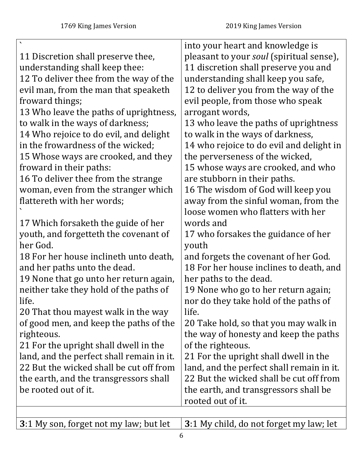|                                           | into your heart and knowledge is          |
|-------------------------------------------|-------------------------------------------|
| 11 Discretion shall preserve thee,        | pleasant to your soul (spiritual sense),  |
| understanding shall keep thee:            | 11 discretion shall preserve you and      |
| 12 To deliver thee from the way of the    | understanding shall keep you safe,        |
| evil man, from the man that speaketh      | 12 to deliver you from the way of the     |
| froward things;                           | evil people, from those who speak         |
| 13 Who leave the paths of uprightness,    | arrogant words,                           |
| to walk in the ways of darkness;          | 13 who leave the paths of uprightness     |
| 14 Who rejoice to do evil, and delight    | to walk in the ways of darkness,          |
| in the frowardness of the wicked;         | 14 who rejoice to do evil and delight in  |
| 15 Whose ways are crooked, and they       | the perverseness of the wicked,           |
| froward in their paths:                   | 15 whose ways are crooked, and who        |
| 16 To deliver thee from the strange       | are stubborn in their paths.              |
| woman, even from the stranger which       | 16 The wisdom of God will keep you        |
| flattereth with her words;                | away from the sinful woman, from the      |
|                                           | loose women who flatters with her         |
| 17 Which forsaketh the guide of her       | words and                                 |
| youth, and forgetteth the covenant of     | 17 who forsakes the guidance of her       |
| her God.                                  | youth                                     |
| 18 For her house inclineth unto death,    | and forgets the covenant of her God.      |
| and her paths unto the dead.              | 18 For her house inclines to death, and   |
| 19 None that go unto her return again,    | her paths to the dead.                    |
| neither take they hold of the paths of    | 19 None who go to her return again;       |
| life.                                     | nor do they take hold of the paths of     |
| 20 That thou mayest walk in the way       | life.                                     |
| of good men, and keep the paths of the    | 20 Take hold, so that you may walk in     |
| righteous.                                | the way of honesty and keep the paths     |
| 21 For the upright shall dwell in the     | of the righteous.                         |
| land, and the perfect shall remain in it. | 21 For the upright shall dwell in the     |
| 22 But the wicked shall be cut off from   | land, and the perfect shall remain in it. |
| the earth, and the transgressors shall    | 22 But the wicked shall be cut off from   |
| be rooted out of it.                      | the earth, and transgressors shall be     |
|                                           | rooted out of it.                         |

<span id="page-5-0"></span>**3**[:1](#page-0-2) My son, forget not my law; but let **3**[:1](#page-0-2) My child, do not forget my law; let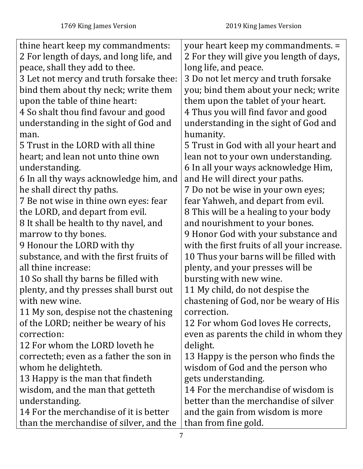| thine heart keep my commandments:        | your heart keep my commandments. =          |
|------------------------------------------|---------------------------------------------|
| 2 For length of days, and long life, and | 2 For they will give you length of days,    |
| peace, shall they add to thee.           | long life, and peace.                       |
| 3 Let not mercy and truth forsake thee:  | 3 Do not let mercy and truth forsake        |
| bind them about thy neck; write them     | you; bind them about your neck; write       |
| upon the table of thine heart:           | them upon the tablet of your heart.         |
| 4 So shalt thou find favour and good     | 4 Thus you will find favor and good         |
| understanding in the sight of God and    | understanding in the sight of God and       |
| man.                                     | humanity.                                   |
| 5 Trust in the LORD with all thine       | 5 Trust in God with all your heart and      |
| heart; and lean not unto thine own       | lean not to your own understanding.         |
| understanding.                           | 6 In all your ways acknowledge Him,         |
| 6 In all thy ways acknowledge him, and   | and He will direct your paths.              |
| he shall direct thy paths.               | 7 Do not be wise in your own eyes;          |
| 7 Be not wise in thine own eyes: fear    | fear Yahweh, and depart from evil.          |
| the LORD, and depart from evil.          | 8 This will be a healing to your body       |
| 8 It shall be health to thy navel, and   | and nourishment to your bones.              |
| marrow to thy bones.                     | 9 Honor God with your substance and         |
| 9 Honour the LORD with thy               | with the first fruits of all your increase. |
| substance, and with the first fruits of  | 10 Thus your barns will be filled with      |
| all thine increase:                      | plenty, and your presses will be            |
| 10 So shall thy barns be filled with     | bursting with new wine.                     |
| plenty, and thy presses shall burst out  | 11 My child, do not despise the             |
| with new wine.                           | chastening of God, nor be weary of His      |
| 11 My son, despise not the chastening    | correction.                                 |
| of the LORD; neither be weary of his     | 12 For whom God loves He corrects,          |
| correction:                              | even as parents the child in whom they      |
| 12 For whom the LORD loveth he           | delight.                                    |
| correcteth; even as a father the son in  | 13 Happy is the person who finds the        |
| whom he delighteth.                      | wisdom of God and the person who            |
| 13 Happy is the man that findeth         | gets understanding.                         |
| wisdom, and the man that getteth         | 14 For the merchandise of wisdom is         |
| understanding.                           | better than the merchandise of silver       |
| 14 For the merchandise of it is better   | and the gain from wisdom is more            |
| than the merchandise of silver, and the  | than from fine gold.                        |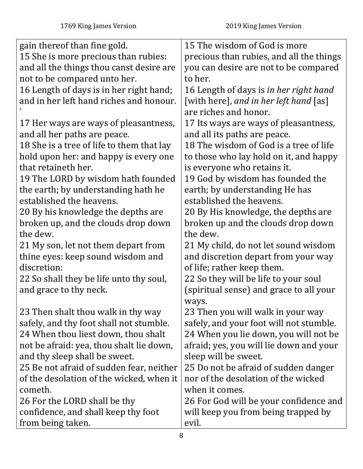| gain thereof than fine gold.              | 15 The wisdom of God is more             |
|-------------------------------------------|------------------------------------------|
| 15 She is more precious than rubies:      | precious than rubies, and all the things |
| and all the things thou canst desire are  | you can desire are not to be compared    |
| not to be compared unto her.              | to her.                                  |
| 16 Length of days is in her right hand;   | 16 Length of days is in her right hand   |
| and in her left hand riches and honour.   | [with here], and in her left hand [as]   |
|                                           | are riches and honor.                    |
| 17 Her ways are ways of pleasantness,     | 17 Its ways are ways of pleasantness,    |
| and all her paths are peace.              | and all its paths are peace.             |
| 18 She is a tree of life to them that lay | 18 The wisdom of God is a tree of life   |
| hold upon her: and happy is every one     | to those who lay hold on it, and happy   |
| that retaineth her.                       | is everyone who retains it.              |
| 19 The LORD by wisdom hath founded        | 19 God by wisdom has founded the         |
| the earth; by understanding hath he       | earth; by understanding He has           |
| established the heavens.                  | established the heavens.                 |
| 20 By his knowledge the depths are        | 20 By His knowledge, the depths are      |
| broken up, and the clouds drop down       | broken up and the clouds drop down       |
| the dew.                                  | the dew.                                 |
| 21 My son, let not them depart from       | 21 My child, do not let sound wisdom     |
| thine eyes: keep sound wisdom and         | and discretion depart from your way      |
| discretion:                               | of life; rather keep them.               |
| 22 So shall they be life unto thy soul,   | 22 So they will be life to your soul     |
| and grace to thy neck.                    | (spiritual sense) and grace to all your  |
|                                           | ways.                                    |
| 23 Then shalt thou walk in thy way        | 23 Then you will walk in your way        |
| safely, and thy foot shall not stumble.   | safely, and your foot will not stumble.  |
| 24 When thou liest down, thou shalt       | 24 When you lie down, you will not be    |
| not be afraid: yea, thou shalt lie down,  | afraid; yes, you will lie down and your  |
| and thy sleep shall be sweet.             | sleep will be sweet.                     |
| 25 Be not afraid of sudden fear, neither  | 25 Do not be afraid of sudden danger     |
| of the desolation of the wicked, when it  | nor of the desolation of the wicked      |
| cometh.                                   | when it comes.                           |
| 26 For the LORD shall be thy              | 26 For God will be your confidence and   |
| confidence, and shall keep thy foot       | will keep you from being trapped by      |
| from being taken.                         | evil.                                    |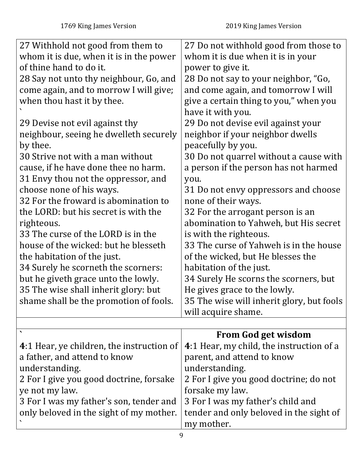<span id="page-8-0"></span>

| 27 Withhold not good from them to         | 27 Do not withhold good from those to     |
|-------------------------------------------|-------------------------------------------|
| whom it is due, when it is in the power   | whom it is due when it is in your         |
| of thine hand to do it.                   | power to give it.                         |
| 28 Say not unto thy neighbour, Go, and    | 28 Do not say to your neighbor, "Go,      |
| come again, and to morrow I will give;    | and come again, and tomorrow I will       |
| when thou hast it by thee.                | give a certain thing to you," when you    |
|                                           | have it with you.                         |
| 29 Devise not evil against thy            | 29 Do not devise evil against your        |
| neighbour, seeing he dwelleth securely    | neighbor if your neighbor dwells          |
| by thee.                                  | peacefully by you.                        |
| 30 Strive not with a man without          | 30 Do not quarrel without a cause with    |
| cause, if he have done thee no harm.      | a person if the person has not harmed     |
| 31 Envy thou not the oppressor, and       | you.                                      |
| choose none of his ways.                  | 31 Do not envy oppressors and choose      |
| 32 For the froward is abomination to      | none of their ways.                       |
| the LORD: but his secret is with the      | 32 For the arrogant person is an          |
| righteous.                                | abomination to Yahweh, but His secret     |
| 33 The curse of the LORD is in the        | is with the righteous.                    |
| house of the wicked: but he blesseth      | 33 The curse of Yahweh is in the house    |
| the habitation of the just.               | of the wicked, but He blesses the         |
| 34 Surely he scorneth the scorners:       | habitation of the just.                   |
| but he giveth grace unto the lowly.       | 34 Surely He scorns the scorners, but     |
| 35 The wise shall inherit glory: but      | He gives grace to the lowly.              |
| shame shall be the promotion of fools.    | 35 The wise will inherit glory, but fools |
|                                           | will acquire shame.                       |
|                                           |                                           |
|                                           | <b>From God get wisdom</b>                |
| 4:1 Hear, ye children, the instruction of | 4:1 Hear, my child, the instruction of a  |
| a father, and attend to know              | parent, and attend to know                |
| understanding.                            | understanding.                            |
| 2 For I give you good doctrine, forsake   | 2 For I give you good doctrine; do not    |
| ye not my law.                            | forsake my law.                           |
| 3 For I was my father's son, tender and   | 3 For I was my father's child and         |
| only beloved in the sight of my mother.   | tender and only beloved in the sight of   |
|                                           | my mother.                                |
|                                           |                                           |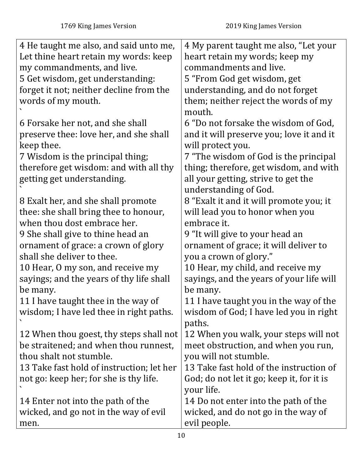| 4 He taught me also, and said unto me,    | 4 My parent taught me also, "Let your     |
|-------------------------------------------|-------------------------------------------|
| Let thine heart retain my words: keep     | heart retain my words; keep my            |
| my commandments, and live.                | commandments and live.                    |
| 5 Get wisdom, get understanding:          | 5 "From God get wisdom, get               |
| forget it not; neither decline from the   | understanding, and do not forget          |
| words of my mouth.                        | them; neither reject the words of my      |
|                                           | mouth.                                    |
| 6 Forsake her not, and she shall          | 6 "Do not forsake the wisdom of God,      |
| preserve thee: love her, and she shall    | and it will preserve you; love it and it  |
| keep thee.                                | will protect you.                         |
| 7 Wisdom is the principal thing;          | 7 "The wisdom of God is the principal     |
| therefore get wisdom: and with all thy    | thing; therefore, get wisdom, and with    |
| getting get understanding.                | all your getting, strive to get the       |
|                                           | understanding of God.                     |
| 8 Exalt her, and she shall promote        | 8 "Exalt it and it will promote you; it   |
| thee: she shall bring thee to honour,     | will lead you to honor when you           |
| when thou dost embrace her.               | embrace it.                               |
| 9 She shall give to thine head an         | 9 "It will give to your head an           |
| ornament of grace: a crown of glory       | ornament of grace; it will deliver to     |
| shall she deliver to thee.                | you a crown of glory."                    |
| 10 Hear, O my son, and receive my         | 10 Hear, my child, and receive my         |
| sayings; and the years of thy life shall  | sayings, and the years of your life will  |
| be many.                                  | be many.                                  |
| 11 I have taught thee in the way of       | 11 I have taught you in the way of the    |
| wisdom; I have led thee in right paths.   | wisdom of God; I have led you in right    |
|                                           | paths.                                    |
| 12 When thou goest, thy steps shall not   | 12 When you walk, your steps will not     |
| be straitened; and when thou runnest,     | meet obstruction, and when you run,       |
| thou shalt not stumble.                   | you will not stumble.                     |
| 13 Take fast hold of instruction; let her | 13 Take fast hold of the instruction of   |
| not go: keep her; for she is thy life.    | God; do not let it go; keep it, for it is |
|                                           | your life.                                |
| 14 Enter not into the path of the         | 14 Do not enter into the path of the      |
| wicked, and go not in the way of evil     | wicked, and do not go in the way of       |
| men.                                      | evil people.                              |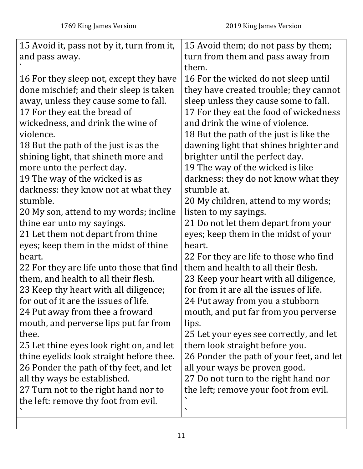| 15 Avoid it, pass not by it, turn from it, | 15 Avoid them; do not pass by them;      |
|--------------------------------------------|------------------------------------------|
| and pass away.                             | turn from them and pass away from        |
|                                            | them.                                    |
| 16 For they sleep not, except they have    | 16 For the wicked do not sleep until     |
| done mischief; and their sleep is taken    | they have created trouble; they cannot   |
| away, unless they cause some to fall.      | sleep unless they cause some to fall.    |
| 17 For they eat the bread of               | 17 For they eat the food of wickedness   |
| wickedness, and drink the wine of          | and drink the wine of violence.          |
| violence.                                  | 18 But the path of the just is like the  |
| 18 But the path of the just is as the      | dawning light that shines brighter and   |
| shining light, that shineth more and       | brighter until the perfect day.          |
| more unto the perfect day.                 | 19 The way of the wicked is like         |
| 19 The way of the wicked is as             | darkness: they do not know what they     |
| darkness: they know not at what they       | stumble at.                              |
| stumble.                                   | 20 My children, attend to my words;      |
| 20 My son, attend to my words; incline     | listen to my sayings.                    |
| thine ear unto my sayings.                 | 21 Do not let them depart from your      |
| 21 Let them not depart from thine          | eyes; keep them in the midst of your     |
| eyes; keep them in the midst of thine      | heart.                                   |
| heart.                                     | 22 For they are life to those who find   |
| 22 For they are life unto those that find  | them and health to all their flesh.      |
| them, and health to all their flesh.       | 23 Keep your heart with all diligence,   |
| 23 Keep thy heart with all diligence;      | for from it are all the issues of life.  |
| for out of it are the issues of life.      | 24 Put away from you a stubborn          |
| 24 Put away from thee a froward            | mouth, and put far from you perverse     |
| mouth, and perverse lips put far from      | lips.                                    |
| thee.                                      | 25 Let your eyes see correctly, and let  |
| 25 Let thine eyes look right on, and let   | them look straight before you.           |
| thine eyelids look straight before thee.   | 26 Ponder the path of your feet, and let |
| 26 Ponder the path of thy feet, and let    | all your ways be proven good.            |
| all thy ways be established.               | 27 Do not turn to the right hand nor     |
| 27 Turn not to the right hand nor to       | the left; remove your foot from evil.    |
| the left: remove thy foot from evil.       |                                          |
|                                            |                                          |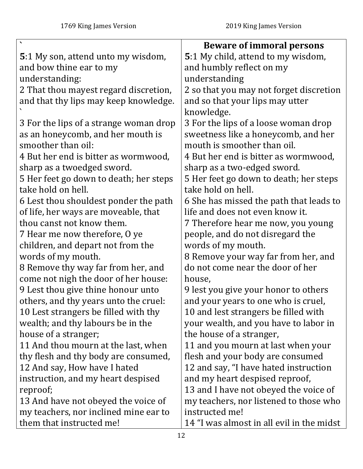<span id="page-11-0"></span>

|                                            | <b>Beware of immoral persons</b>          |
|--------------------------------------------|-------------------------------------------|
| <b>5</b> :1 My son, attend unto my wisdom, | 5:1 My child, attend to my wisdom,        |
| and bow thine ear to my                    | and humbly reflect on my                  |
| understanding:                             | understanding                             |
| 2 That thou mayest regard discretion,      | 2 so that you may not forget discretion   |
| and that thy lips may keep knowledge.      | and so that your lips may utter           |
|                                            | knowledge.                                |
| 3 For the lips of a strange woman drop     | 3 For the lips of a loose woman drop      |
| as an honeycomb, and her mouth is          | sweetness like a honeycomb, and her       |
| smoother than oil:                         | mouth is smoother than oil.               |
| 4 But her end is bitter as wormwood,       | 4 But her end is bitter as wormwood,      |
| sharp as a twoedged sword.                 | sharp as a two-edged sword.               |
| 5 Her feet go down to death; her steps     | 5 Her feet go down to death; her steps    |
| take hold on hell.                         | take hold on hell.                        |
| 6 Lest thou shouldest ponder the path      | 6 She has missed the path that leads to   |
| of life, her ways are moveable, that       | life and does not even know it.           |
| thou canst not know them.                  | 7 Therefore hear me now, you young        |
| 7 Hear me now therefore, O ye              | people, and do not disregard the          |
| children, and depart not from the          | words of my mouth.                        |
| words of my mouth.                         | 8 Remove your way far from her, and       |
| 8 Remove thy way far from her, and         | do not come near the door of her          |
| come not nigh the door of her house:       | house,                                    |
| 9 Lest thou give thine honour unto         | 9 lest you give your honor to others      |
| others, and thy years unto the cruel:      | and your years to one who is cruel,       |
| 10 Lest strangers be filled with thy       | 10 and lest strangers be filled with      |
| wealth; and thy labours be in the          | your wealth, and you have to labor in     |
| house of a stranger;                       | the house of a stranger,                  |
| 11 And thou mourn at the last, when        | 11 and you mourn at last when your        |
| thy flesh and thy body are consumed,       | flesh and your body are consumed          |
| 12 And say, How have I hated               | 12 and say, "I have hated instruction     |
| instruction, and my heart despised         | and my heart despised reproof,            |
| reproof;                                   | 13 and I have not obeyed the voice of     |
| 13 And have not obeyed the voice of        | my teachers, nor listened to those who    |
| my teachers, nor inclined mine ear to      | instructed me!                            |
| them that instructed me!                   | 14 "I was almost in all evil in the midst |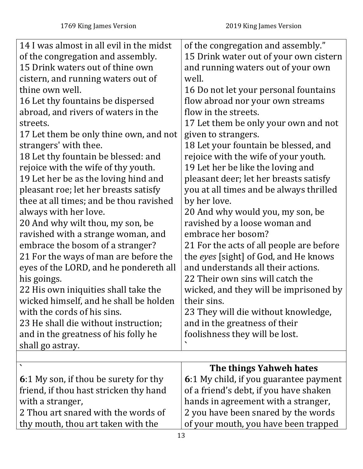<span id="page-12-0"></span>

| 14 I was almost in all evil in the midst | of the congregation and assembly."       |
|------------------------------------------|------------------------------------------|
| of the congregation and assembly.        | 15 Drink water out of your own cistern   |
| 15 Drink waters out of thine own         | and running waters out of your own       |
| cistern, and running waters out of       | well.                                    |
| thine own well.                          | 16 Do not let your personal fountains    |
| 16 Let thy fountains be dispersed        | flow abroad nor your own streams         |
| abroad, and rivers of waters in the      | flow in the streets.                     |
| streets.                                 | 17 Let them be only your own and not     |
| 17 Let them be only thine own, and not   | given to strangers.                      |
| strangers' with thee.                    | 18 Let your fountain be blessed, and     |
| 18 Let thy fountain be blessed: and      | rejoice with the wife of your youth.     |
| rejoice with the wife of thy youth.      | 19 Let her be like the loving and        |
| 19 Let her be as the loving hind and     | pleasant deer; let her breasts satisfy   |
| pleasant roe; let her breasts satisfy    | you at all times and be always thrilled  |
| thee at all times; and be thou ravished  | by her love.                             |
| always with her love.                    | 20 And why would you, my son, be         |
| 20 And why wilt thou, my son, be         | ravished by a loose woman and            |
| ravished with a strange woman, and       | embrace her bosom?                       |
| embrace the bosom of a stranger?         | 21 For the acts of all people are before |
| 21 For the ways of man are before the    | the eyes [sight] of God, and He knows    |
| eyes of the LORD, and he pondereth all   | and understands all their actions.       |
| his goings.                              | 22 Their own sins will catch the         |
| 22 His own iniquities shall take the     | wicked, and they will be imprisoned by   |
| wicked himself, and he shall be holden   | their sins.                              |
| with the cords of his sins.              | 23 They will die without knowledge,      |
| 23 He shall die without instruction;     | and in the greatness of their            |
| and in the greatness of his folly he     | foolishness they will be lost.           |
| shall go astray.                         |                                          |
|                                          |                                          |
|                                          | The things Yahweh hates                  |
| 6:1 My son, if thou be surety for thy    | 6:1 My child, if you guarantee payment   |
| friend, if thou hast stricken thy hand   | of a friend's debt, if you have shaken   |
| with a stranger,                         | hands in agreement with a stranger,      |
| 2 Thou art snared with the words of      | 2 you have been snared by the words      |
| thy mouth, thou art taken with the       | of your mouth, you have been trapped     |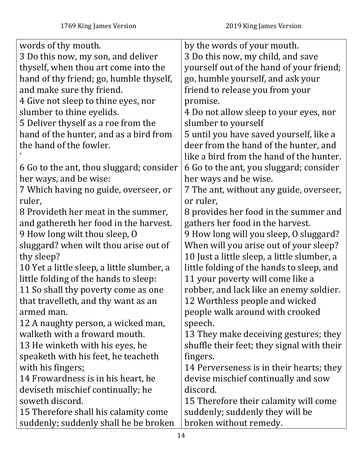| words of thy mouth.                        | by the words of your mouth.                 |
|--------------------------------------------|---------------------------------------------|
| 3 Do this now, my son, and deliver         | 3 Do this now, my child, and save           |
| thyself, when thou art come into the       | yourself out of the hand of your friend;    |
| hand of thy friend; go, humble thyself,    | go, humble yourself, and ask your           |
| and make sure thy friend.                  | friend to release you from your             |
| 4 Give not sleep to thine eyes, nor        | promise.                                    |
| slumber to thine eyelids.                  | 4 Do not allow sleep to your eyes, nor      |
| 5 Deliver thyself as a roe from the        | slumber to yourself                         |
| hand of the hunter, and as a bird from     | 5 until you have saved yourself, like a     |
| the hand of the fowler.                    | deer from the hand of the hunter, and       |
|                                            | like a bird from the hand of the hunter.    |
| 6 Go to the ant, thou sluggard; consider   | 6 Go to the ant, you sluggard; consider     |
| her ways, and be wise:                     | her ways and be wise.                       |
| 7 Which having no guide, overseer, or      | 7 The ant, without any guide, overseer,     |
| ruler,                                     | or ruler,                                   |
| 8 Provideth her meat in the summer,        | 8 provides her food in the summer and       |
| and gathereth her food in the harvest.     | gathers her food in the harvest.            |
| 9 How long wilt thou sleep, O              | 9 How long will you sleep, O sluggard?      |
| sluggard? when wilt thou arise out of      | When will you arise out of your sleep?      |
| thy sleep?                                 | 10 Just a little sleep, a little slumber, a |
| 10 Yet a little sleep, a little slumber, a | little folding of the hands to sleep, and   |
| little folding of the hands to sleep:      | 11 your poverty will come like a            |
| 11 So shall thy poverty come as one        | robber, and lack like an enemy soldier.     |
| that travelleth, and thy want as an        | 12 Worthless people and wicked              |
| armed man.                                 | people walk around with crooked             |
| 12 A naughty person, a wicked man,         | speech.                                     |
| walketh with a froward mouth.              | 13 They make deceiving gestures; they       |
| 13 He winketh with his eyes, he            | shuffle their feet; they signal with their  |
| speaketh with his feet, he teacheth        | fingers.                                    |
| with his fingers;                          | 14 Perverseness is in their hearts; they    |
| 14 Frowardness is in his heart, he         | devise mischief continually and sow         |
| deviseth mischief continually; he          | discord.                                    |
| soweth discord.                            | 15 Therefore their calamity will come       |
| 15 Therefore shall his calamity come       | suddenly; suddenly they will be             |
| suddenly; suddenly shall he be broken      | broken without remedy.                      |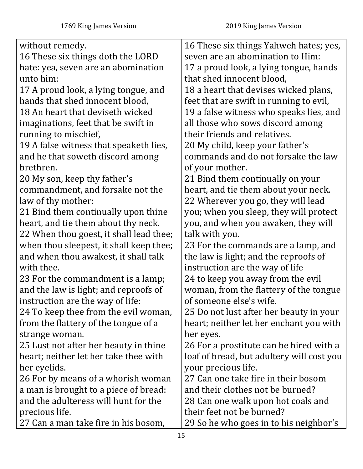| without remedy.                         | 16 These six things Yahweh hates; yes,    |
|-----------------------------------------|-------------------------------------------|
| 16 These six things doth the LORD       | seven are an abomination to Him:          |
| hate: yea, seven are an abomination     | 17 a proud look, a lying tongue, hands    |
| unto him:                               | that shed innocent blood,                 |
| 17 A proud look, a lying tongue, and    | 18 a heart that devises wicked plans,     |
| hands that shed innocent blood,         | feet that are swift in running to evil,   |
| 18 An heart that deviseth wicked        | 19 a false witness who speaks lies, and   |
| imaginations, feet that be swift in     | all those who sows discord among          |
| running to mischief,                    | their friends and relatives.              |
| 19 A false witness that speaketh lies,  | 20 My child, keep your father's           |
| and he that soweth discord among        | commands and do not forsake the law       |
| brethren.                               | of your mother.                           |
| 20 My son, keep thy father's            | 21 Bind them continually on your          |
| commandment, and forsake not the        | heart, and tie them about your neck.      |
| law of thy mother:                      | 22 Wherever you go, they will lead        |
| 21 Bind them continually upon thine     | you; when you sleep, they will protect    |
| heart, and tie them about thy neck.     | you, and when you awaken, they will       |
| 22 When thou goest, it shall lead thee; | talk with you.                            |
| when thou sleepest, it shall keep thee; | 23 For the commands are a lamp, and       |
| and when thou awakest, it shall talk    | the law is light; and the reproofs of     |
| with thee.                              | instruction are the way of life           |
| 23 For the commandment is a lamp;       | 24 to keep you away from the evil         |
| and the law is light; and reproofs of   | woman, from the flattery of the tongue    |
| instruction are the way of life:        | of someone else's wife.                   |
| 24 To keep thee from the evil woman,    | 25 Do not lust after her beauty in your   |
| from the flattery of the tongue of a    | heart; neither let her enchant you with   |
| strange woman.                          | her eyes.                                 |
| 25 Lust not after her beauty in thine   | 26 For a prostitute can be hired with a   |
| heart; neither let her take thee with   | loaf of bread, but adultery will cost you |
| her eyelids.                            | your precious life.                       |
| 26 For by means of a whorish woman      | 27 Can one take fire in their bosom       |
| a man is brought to a piece of bread:   | and their clothes not be burned?          |
| and the adulteress will hunt for the    | 28 Can one walk upon hot coals and        |
| precious life.                          | their feet not be burned?                 |
| 27 Can a man take fire in his bosom,    | 29 So he who goes in to his neighbor's    |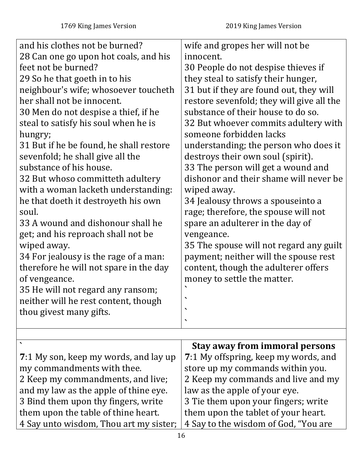| and his clothes not be burned?          | wife and gropes her will not be           |
|-----------------------------------------|-------------------------------------------|
| 28 Can one go upon hot coals, and his   | innocent.                                 |
| feet not be burned?                     | 30 People do not despise thieves if       |
| 29 So he that goeth in to his           | they steal to satisfy their hunger,       |
| neighbour's wife; whosoever toucheth    | 31 but if they are found out, they will   |
| her shall not be innocent.              | restore sevenfold; they will give all the |
| 30 Men do not despise a thief, if he    | substance of their house to do so.        |
| steal to satisfy his soul when he is    | 32 But whoever commits adultery with      |
| hungry;                                 | someone forbidden lacks                   |
| 31 But if he be found, he shall restore | understanding; the person who does it     |
| sevenfold; he shall give all the        | destroys their own soul (spirit).         |
| substance of his house.                 | 33 The person will get a wound and        |
| 32 But whoso committeth adultery        | dishonor and their shame will never be    |
| with a woman lacketh understanding:     | wiped away.                               |
| he that doeth it destroyeth his own     | 34 Jealousy throws a spouseinto a         |
| soul.                                   | rage; therefore, the spouse will not      |
| 33 A wound and dishonour shall he       | spare an adulterer in the day of          |
| get; and his reproach shall not be      | vengeance.                                |
| wiped away.                             | 35 The spouse will not regard any guilt   |
| 34 For jealousy is the rage of a man:   | payment; neither will the spouse rest     |
| therefore he will not spare in the day  | content, though the adulterer offers      |
| of vengeance.                           | money to settle the matter.               |
| 35 He will not regard any ransom;       |                                           |
| neither will he rest content, though    |                                           |
| thou givest many gifts.                 |                                           |
|                                         |                                           |
|                                         |                                           |

<span id="page-15-0"></span>

|                                        | <b>Stay away from immoral persons</b> |
|----------------------------------------|---------------------------------------|
| 7:1 My son, keep my words, and lay up  | 7:1 My offspring, keep my words, and  |
| my commandments with thee.             | store up my commands within you.      |
| 2 Keep my commandments, and live;      | 2 Keep my commands and live and my    |
| and my law as the apple of thine eye.  | law as the apple of your eye.         |
| 3 Bind them upon thy fingers, write    | 3 Tie them upon your fingers; write   |
| them upon the table of thine heart.    | them upon the tablet of your heart.   |
| 4 Say unto wisdom, Thou art my sister; | 4 Say to the wisdom of God, "You are  |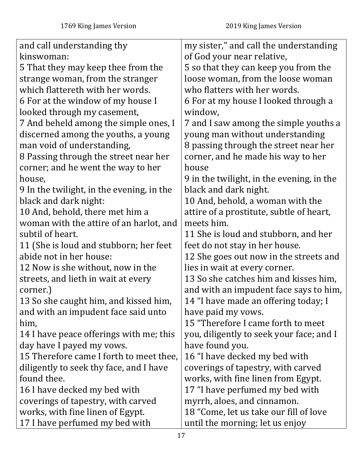| and call understanding thy                | my sister," and call the understanding    |
|-------------------------------------------|-------------------------------------------|
| kinswoman:                                | of God your near relative,                |
| 5 That they may keep thee from the        | 5 so that they can keep you from the      |
| strange woman, from the stranger          | loose woman, from the loose woman         |
| which flattereth with her words.          | who flatters with her words.              |
| 6 For at the window of my house I         | 6 For at my house I looked through a      |
| looked through my casement,               | window,                                   |
| 7 And beheld among the simple ones, I     | 7 and I saw among the simple youths a     |
| discerned among the youths, a young       | young man without understanding           |
| man void of understanding,                | 8 passing through the street near her     |
| 8 Passing through the street near her     | corner, and he made his way to her        |
| corner; and he went the way to her        | house                                     |
| house,                                    | 9 in the twilight, in the evening, in the |
| 9 In the twilight, in the evening, in the | black and dark night.                     |
| black and dark night:                     | 10 And, behold, a woman with the          |
| 10 And, behold, there met him a           | attire of a prostitute, subtle of heart,  |
| woman with the attire of an harlot, and   | meets him.                                |
| subtil of heart.                          | 11 She is loud and stubborn, and her      |
| 11 (She is loud and stubborn; her feet    | feet do not stay in her house.            |
| abide not in her house:                   | 12 She goes out now in the streets and    |
| 12 Now is she without, now in the         | lies in wait at every corner.             |
| streets, and lieth in wait at every       | 13 So she catches him and kisses him,     |
| corner.)                                  | and with an impudent face says to him,    |
| 13 So she caught him, and kissed him,     | 14 "I have made an offering today; I      |
| and with an impudent face said unto       | have paid my vows.                        |
| him,                                      | 15 "Therefore I came forth to meet        |
| 14 I have peace offerings with me; this   | you, diligently to seek your face; and I  |
| day have I payed my vows.                 | have found you.                           |
| 15 Therefore came I forth to meet thee,   | 16 "I have decked my bed with             |
| diligently to seek thy face, and I have   | coverings of tapestry, with carved        |
| found thee.                               | works, with fine linen from Egypt.        |
| 16 I have decked my bed with              | 17 "I have perfumed my bed with           |
| coverings of tapestry, with carved        | myrrh, aloes, and cinnamon.               |
| works, with fine linen of Egypt.          | 18 "Come, let us take our fill of love    |
| 17 I have perfumed my bed with            | until the morning; let us enjoy           |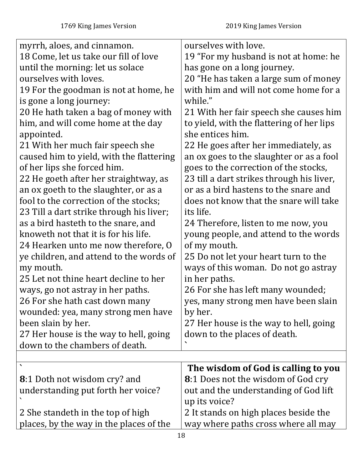<span id="page-17-0"></span>

| myrrh, aloes, and cinnamon.              | ourselves with love.                       |
|------------------------------------------|--------------------------------------------|
| 18 Come, let us take our fill of love    | 19 "For my husband is not at home: he      |
| until the morning: let us solace         | has gone on a long journey.                |
| ourselves with loves.                    | 20 "He has taken a large sum of money      |
| 19 For the goodman is not at home, he    | with him and will not come home for a      |
| is gone a long journey:                  | while."                                    |
| 20 He hath taken a bag of money with     | 21 With her fair speech she causes him     |
| him, and will come home at the day       | to yield, with the flattering of her lips  |
| appointed.                               | she entices him.                           |
| 21 With her much fair speech she         | 22 He goes after her immediately, as       |
| caused him to yield, with the flattering | an ox goes to the slaughter or as a fool   |
| of her lips she forced him.              | goes to the correction of the stocks,      |
| 22 He goeth after her straightway, as    | 23 till a dart strikes through his liver,  |
| an ox goeth to the slaughter, or as a    | or as a bird hastens to the snare and      |
| fool to the correction of the stocks;    | does not know that the snare will take     |
| 23 Till a dart strike through his liver; | its life.                                  |
| as a bird hasteth to the snare, and      | 24 Therefore, listen to me now, you        |
| knoweth not that it is for his life.     | young people, and attend to the words      |
| 24 Hearken unto me now therefore, O      | of my mouth.                               |
| ye children, and attend to the words of  | 25 Do not let your heart turn to the       |
| my mouth.                                | ways of this woman. Do not go astray       |
| 25 Let not thine heart decline to her    | in her paths.                              |
| ways, go not astray in her paths.        | 26 For she has left many wounded;          |
| 26 For she hath cast down many           | yes, many strong men have been slain       |
| wounded: yea, many strong men have       | by her.                                    |
| been slain by her.                       | 27 Her house is the way to hell, going     |
| 27 Her house is the way to hell, going   | down to the places of death.               |
| down to the chambers of death.           |                                            |
|                                          |                                            |
|                                          | The wisdom of God is calling to you        |
| <b>8</b> :1 Doth not wisdom cry? and     | <b>8</b> :1 Does not the wisdom of God cry |
| understanding put forth her voice?       | out and the understanding of God lift      |
|                                          | up its voice?                              |
| 2 She standeth in the top of high        | 2 It stands on high places beside the      |
| places, by the way in the places of the  | way where paths cross where all may        |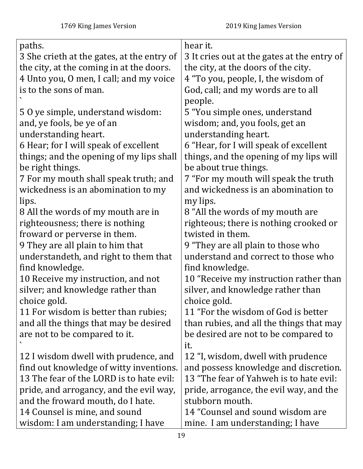| paths.                                     | hear it.                                    |
|--------------------------------------------|---------------------------------------------|
| 3 She crieth at the gates, at the entry of | 3 It cries out at the gates at the entry of |
| the city, at the coming in at the doors.   | the city, at the doors of the city.         |
| 4 Unto you, O men, I call; and my voice    | 4 "To you, people, I, the wisdom of         |
| is to the sons of man.                     | God, call; and my words are to all          |
|                                            | people.                                     |
| 50 ye simple, understand wisdom:           | 5 "You simple ones, understand              |
| and, ye fools, be ye of an                 | wisdom; and, you fools, get an              |
| understanding heart.                       | understanding heart.                        |
| 6 Hear; for I will speak of excellent      | 6 "Hear, for I will speak of excellent      |
| things; and the opening of my lips shall   | things, and the opening of my lips will     |
| be right things.                           | be about true things.                       |
| 7 For my mouth shall speak truth; and      | 7 "For my mouth will speak the truth        |
| wickedness is an abomination to my         | and wickedness is an abomination to         |
| lips.                                      | my lips.                                    |
| 8 All the words of my mouth are in         | 8 "All the words of my mouth are            |
| righteousness; there is nothing            | righteous; there is nothing crooked or      |
| froward or perverse in them.               | twisted in them.                            |
| 9 They are all plain to him that           | 9 "They are all plain to those who          |
| understandeth, and right to them that      | understand and correct to those who         |
| find knowledge.                            | find knowledge.                             |
| 10 Receive my instruction, and not         | 10 "Receive my instruction rather than      |
| silver; and knowledge rather than          | silver, and knowledge rather than           |
| choice gold.                               | choice gold.                                |
| 11 For wisdom is better than rubies;       | 11 "For the wisdom of God is better         |
| and all the things that may be desired     | than rubies, and all the things that may    |
| are not to be compared to it.              | be desired are not to be compared to        |
|                                            | it.                                         |
| 12 I wisdom dwell with prudence, and       | 12 "I, wisdom, dwell with prudence          |
| find out knowledge of witty inventions.    | and possess knowledge and discretion.       |
| 13 The fear of the LORD is to hate evil:   | 13 "The fear of Yahweh is to hate evil:     |
| pride, and arrogancy, and the evil way,    | pride, arrogance, the evil way, and the     |
| and the froward mouth, do I hate.          | stubborn mouth.                             |
| 14 Counsel is mine, and sound              | 14 "Counsel and sound wisdom are            |
| wisdom: I am understanding; I have         | mine. I am understanding; I have            |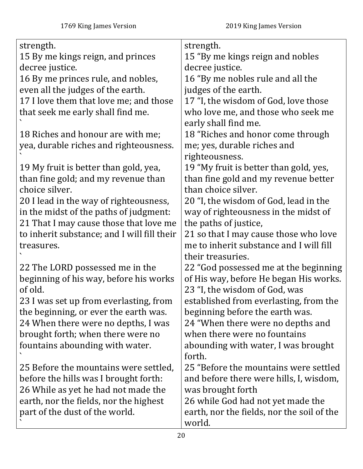| strength.                                   | strength.                                                  |
|---------------------------------------------|------------------------------------------------------------|
| 15 By me kings reign, and princes           | 15 "By me kings reign and nobles                           |
| decree justice.                             | decree justice.                                            |
| 16 By me princes rule, and nobles,          | 16 "By me nobles rule and all the                          |
| even all the judges of the earth.           | judges of the earth.                                       |
| 17 I love them that love me; and those      | 17 "I, the wisdom of God, love those                       |
| that seek me early shall find me.           | who love me, and those who seek me<br>early shall find me. |
| 18 Riches and honour are with me;           | 18 "Riches and honor come through                          |
| yea, durable riches and righteousness.      | me; yes, durable riches and<br>righteousness.              |
| 19 My fruit is better than gold, yea,       | 19 "My fruit is better than gold, yes,                     |
| than fine gold; and my revenue than         | than fine gold and my revenue better                       |
| choice silver.                              | than choice silver.                                        |
| 20 I lead in the way of righteousness,      | 20 "I, the wisdom of God, lead in the                      |
| in the midst of the paths of judgment:      | way of righteousness in the midst of                       |
| 21 That I may cause those that love me      | the paths of justice,                                      |
| to inherit substance; and I will fill their | 21 so that I may cause those who love                      |
| treasures.                                  | me to inherit substance and I will fill                    |
|                                             | their treasuries.                                          |
| 22 The LORD possessed me in the             | 22 "God possessed me at the beginning                      |
| beginning of his way, before his works      | of His way, before He began His works.                     |
| of old.                                     | 23 "I, the wisdom of God, was                              |
| 23 I was set up from everlasting, from      | established from everlasting, from the                     |
| the beginning, or ever the earth was.       | beginning before the earth was.                            |
| 24 When there were no depths, I was         | 24 "When there were no depths and                          |
| brought forth; when there were no           | when there were no fountains                               |
| fountains abounding with water.             | abounding with water, I was brought<br>forth.              |
| 25 Before the mountains were settled,       | 25 "Before the mountains were settled                      |
| before the hills was I brought forth:       | and before there were hills, I, wisdom,                    |
| 26 While as yet he had not made the         | was brought forth                                          |
| earth, nor the fields, nor the highest      | 26 while God had not yet made the                          |
| part of the dust of the world.              | earth, nor the fields, nor the soil of the                 |
|                                             | world.                                                     |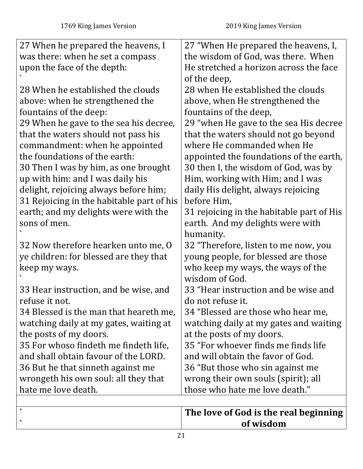| 27 When he prepared the heavens, I        | 27 "When He prepared the heavens, I,      |
|-------------------------------------------|-------------------------------------------|
| was there: when he set a compass          | the wisdom of God, was there. When        |
| upon the face of the depth:               | He stretched a horizon across the face    |
|                                           | of the deep,                              |
| 28 When he established the clouds         | 28 when He established the clouds         |
| above: when he strengthened the           | above, when He strengthened the           |
| fountains of the deep:                    | fountains of the deep,                    |
| 29 When he gave to the sea his decree,    | 29 "when He gave to the sea His decree    |
| that the waters should not pass his       | that the waters should not go beyond      |
| commandment: when he appointed            | where He commanded when He                |
| the foundations of the earth:             | appointed the foundations of the earth,   |
| 30 Then I was by him, as one brought      | 30 then I, the wisdom of God, was by      |
| up with him: and I was daily his          | Him, working with Him; and I was          |
| delight, rejoicing always before him;     | daily His delight, always rejoicing       |
| 31 Rejoicing in the habitable part of his | before Him,                               |
| earth; and my delights were with the      | 31 rejoicing in the habitable part of His |
| sons of men.                              | earth. And my delights were with          |
|                                           | humanity.                                 |
| 32 Now therefore hearken unto me, O       | 32 "Therefore, listen to me now, you      |
| ye children: for blessed are they that    | young people, for blessed are those       |
| keep my ways.                             | who keep my ways, the ways of the         |
|                                           | wisdom of God.                            |
| 33 Hear instruction, and be wise, and     | 33 "Hear instruction and be wise and      |
| refuse it not.                            | do not refuse it.                         |
| 34 Blessed is the man that heareth me,    | 34 "Blessed are those who hear me,        |
| watching daily at my gates, waiting at    | watching daily at my gates and waiting    |
| the posts of my doors.                    | at the posts of my doors.                 |
| 35 For whoso findeth me findeth life,     | 35 "For whoever finds me finds life       |
| and shall obtain favour of the LORD.      | and will obtain the favor of God.         |
| 36 But he that sinneth against me         | 36 "But those who sin against me          |
| wrongeth his own soul: all they that      | wrong their own souls (spirit); all       |
| hate me love death.                       | those who hate me love death."            |
|                                           |                                           |

<span id="page-20-0"></span>

| The love of God is the real beginning a |
|-----------------------------------------|
| of wisdom                               |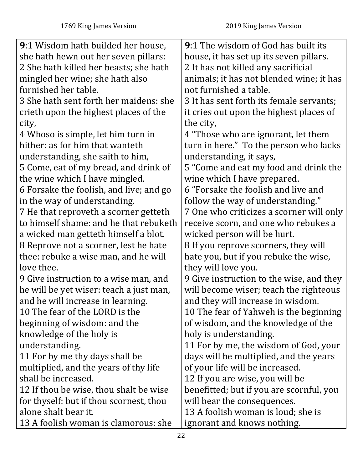| 9:1 Wisdom hath builded her house,      | <b>9:1 The wisdom of God has built its</b> |
|-----------------------------------------|--------------------------------------------|
| she hath hewn out her seven pillars:    | house, it has set up its seven pillars.    |
| 2 She hath killed her beasts; she hath  | 2 It has not killed any sacrificial        |
| mingled her wine; she hath also         | animals; it has not blended wine; it has   |
| furnished her table.                    | not furnished a table.                     |
| 3 She hath sent forth her maidens: she  | 3 It has sent forth its female servants;   |
| crieth upon the highest places of the   | it cries out upon the highest places of    |
| city,                                   | the city,                                  |
| 4 Whoso is simple, let him turn in      | 4 "Those who are ignorant, let them        |
| hither: as for him that wanteth         | turn in here." To the person who lacks     |
| understanding, she saith to him,        | understanding, it says,                    |
| 5 Come, eat of my bread, and drink of   | 5 "Come and eat my food and drink the      |
| the wine which I have mingled.          | wine which I have prepared.                |
| 6 Forsake the foolish, and live; and go | 6 "Forsake the foolish and live and        |
| in the way of understanding.            | follow the way of understanding."          |
| 7 He that reproveth a scorner getteth   | 7 One who criticizes a scorner will only   |
| to himself shame: and he that rebuketh  | receive scorn, and one who rebukes a       |
| a wicked man getteth himself a blot.    | wicked person will be hurt.                |
| 8 Reprove not a scorner, lest he hate   | 8 If you reprove scorners, they will       |
| thee: rebuke a wise man, and he will    | hate you, but if you rebuke the wise,      |
| love thee.                              | they will love you.                        |
| 9 Give instruction to a wise man, and   | 9 Give instruction to the wise, and they   |
| he will be yet wiser: teach a just man, | will become wiser; teach the righteous     |
| and he will increase in learning.       | and they will increase in wisdom.          |
| 10 The fear of the LORD is the          | 10 The fear of Yahweh is the beginning     |
| beginning of wisdom: and the            | of wisdom, and the knowledge of the        |
| knowledge of the holy is                | holy is understanding.                     |
| understanding.                          | 11 For by me, the wisdom of God, your      |
| 11 For by me thy days shall be          | days will be multiplied, and the years     |
| multiplied, and the years of thy life   | of your life will be increased.            |
| shall be increased.                     | 12 If you are wise, you will be            |
| 12 If thou be wise, thou shalt be wise  | benefitted; but if you are scornful, you   |
| for thyself: but if thou scornest, thou | will bear the consequences.                |
| alone shalt bear it.                    | 13 A foolish woman is loud; she is         |
| 13 A foolish woman is clamorous: she    | ignorant and knows nothing.                |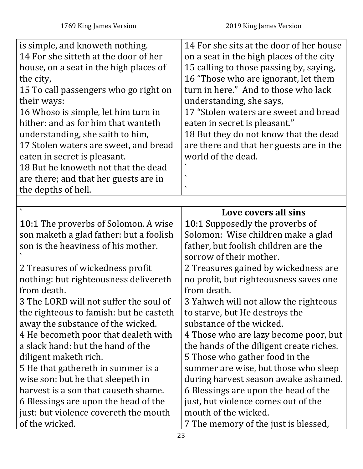<span id="page-22-0"></span>

| is simple, and knoweth nothing.<br>14 For she sitteth at the door of her<br>house, on a seat in the high places of<br>the city,<br>15 To call passengers who go right on<br>their ways:<br>16 Whoso is simple, let him turn in<br>hither: and as for him that wanteth<br>understanding, she saith to him,<br>17 Stolen waters are sweet, and bread<br>eaten in secret is pleasant.<br>18 But he knoweth not that the dead<br>are there; and that her guests are in<br>the depths of hell. | 14 For she sits at the door of her house<br>on a seat in the high places of the city<br>15 calling to those passing by, saying,<br>16 "Those who are ignorant, let them<br>turn in here." And to those who lack<br>understanding, she says,<br>17 "Stolen waters are sweet and bread<br>eaten in secret is pleasant."<br>18 But they do not know that the dead<br>are there and that her guests are in the<br>world of the dead.<br>↖<br>$\blacktriangledown$ |
|-------------------------------------------------------------------------------------------------------------------------------------------------------------------------------------------------------------------------------------------------------------------------------------------------------------------------------------------------------------------------------------------------------------------------------------------------------------------------------------------|---------------------------------------------------------------------------------------------------------------------------------------------------------------------------------------------------------------------------------------------------------------------------------------------------------------------------------------------------------------------------------------------------------------------------------------------------------------|
|                                                                                                                                                                                                                                                                                                                                                                                                                                                                                           |                                                                                                                                                                                                                                                                                                                                                                                                                                                               |
|                                                                                                                                                                                                                                                                                                                                                                                                                                                                                           | Love covers all sins                                                                                                                                                                                                                                                                                                                                                                                                                                          |
| <b>10:1</b> The proverbs of Solomon. A wise                                                                                                                                                                                                                                                                                                                                                                                                                                               | <b>10:1 Supposedly the proverbs of</b>                                                                                                                                                                                                                                                                                                                                                                                                                        |
| son maketh a glad father: but a foolish                                                                                                                                                                                                                                                                                                                                                                                                                                                   | Solomon: Wise children make a glad                                                                                                                                                                                                                                                                                                                                                                                                                            |
| son is the heaviness of his mother.                                                                                                                                                                                                                                                                                                                                                                                                                                                       | father, but foolish children are the                                                                                                                                                                                                                                                                                                                                                                                                                          |
|                                                                                                                                                                                                                                                                                                                                                                                                                                                                                           | sorrow of their mother.                                                                                                                                                                                                                                                                                                                                                                                                                                       |
| 2 Treasures of wickedness profit                                                                                                                                                                                                                                                                                                                                                                                                                                                          | 2 Treasures gained by wickedness are                                                                                                                                                                                                                                                                                                                                                                                                                          |
| nothing: but righteousness delivereth                                                                                                                                                                                                                                                                                                                                                                                                                                                     | no profit, but righteousness saves one                                                                                                                                                                                                                                                                                                                                                                                                                        |
| from death.                                                                                                                                                                                                                                                                                                                                                                                                                                                                               | from death.                                                                                                                                                                                                                                                                                                                                                                                                                                                   |
| 3 The LORD will not suffer the soul of                                                                                                                                                                                                                                                                                                                                                                                                                                                    | 3 Yahweh will not allow the righteous                                                                                                                                                                                                                                                                                                                                                                                                                         |
| the righteous to famish: but he casteth                                                                                                                                                                                                                                                                                                                                                                                                                                                   | to starve, but He destroys the                                                                                                                                                                                                                                                                                                                                                                                                                                |
| away the substance of the wicked.                                                                                                                                                                                                                                                                                                                                                                                                                                                         | substance of the wicked.                                                                                                                                                                                                                                                                                                                                                                                                                                      |
| 4 He becometh poor that dealeth with                                                                                                                                                                                                                                                                                                                                                                                                                                                      | 4 Those who are lazy become poor, but                                                                                                                                                                                                                                                                                                                                                                                                                         |
| a slack hand: but the hand of the                                                                                                                                                                                                                                                                                                                                                                                                                                                         | the hands of the diligent create riches.                                                                                                                                                                                                                                                                                                                                                                                                                      |
| diligent maketh rich.                                                                                                                                                                                                                                                                                                                                                                                                                                                                     | 5 Those who gather food in the                                                                                                                                                                                                                                                                                                                                                                                                                                |
| 5 He that gathereth in summer is a                                                                                                                                                                                                                                                                                                                                                                                                                                                        | summer are wise, but those who sleep                                                                                                                                                                                                                                                                                                                                                                                                                          |
| wise son: but he that sleepeth in                                                                                                                                                                                                                                                                                                                                                                                                                                                         | during harvest season awake ashamed.                                                                                                                                                                                                                                                                                                                                                                                                                          |
| harvest is a son that causeth shame.                                                                                                                                                                                                                                                                                                                                                                                                                                                      | 6 Blessings are upon the head of the                                                                                                                                                                                                                                                                                                                                                                                                                          |
| 6 Blessings are upon the head of the                                                                                                                                                                                                                                                                                                                                                                                                                                                      | just, but violence comes out of the                                                                                                                                                                                                                                                                                                                                                                                                                           |
| just: but violence covereth the mouth                                                                                                                                                                                                                                                                                                                                                                                                                                                     | mouth of the wicked.                                                                                                                                                                                                                                                                                                                                                                                                                                          |
| of the wicked.                                                                                                                                                                                                                                                                                                                                                                                                                                                                            | 7 The memory of the just is blessed,                                                                                                                                                                                                                                                                                                                                                                                                                          |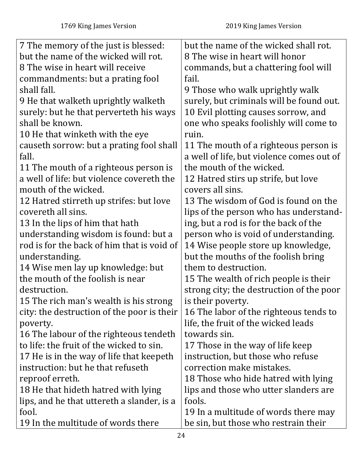| 7 The memory of the just is blessed:       | but the name of the wicked shall rot.     |
|--------------------------------------------|-------------------------------------------|
| but the name of the wicked will rot.       | 8 The wise in heart will honor            |
| 8 The wise in heart will receive           | commands, but a chattering fool will      |
| commandments: but a prating fool           | fail.                                     |
| shall fall.                                | 9 Those who walk uprightly walk           |
| 9 He that walketh uprightly walketh        | surely, but criminals will be found out.  |
| surely: but he that perverteth his ways    | 10 Evil plotting causes sorrow, and       |
| shall be known.                            | one who speaks foolishly will come to     |
| 10 He that winketh with the eye            | ruin.                                     |
| causeth sorrow: but a prating fool shall   | 11 The mouth of a righteous person is     |
| fall.                                      | a well of life, but violence comes out of |
| 11 The mouth of a righteous person is      | the mouth of the wicked.                  |
| a well of life: but violence covereth the  | 12 Hatred stirs up strife, but love       |
| mouth of the wicked.                       | covers all sins.                          |
| 12 Hatred stirreth up strifes: but love    | 13 The wisdom of God is found on the      |
| covereth all sins.                         | lips of the person who has understand-    |
| 13 In the lips of him that hath            | ing, but a rod is for the back of the     |
| understanding wisdom is found: but a       | person who is void of understanding.      |
| rod is for the back of him that is void of | 14 Wise people store up knowledge,        |
| understanding.                             | but the mouths of the foolish bring       |
| 14 Wise men lay up knowledge: but          | them to destruction.                      |
| the mouth of the foolish is near           | 15 The wealth of rich people is their     |
| destruction.                               | strong city; the destruction of the poor  |
| 15 The rich man's wealth is his strong     | is their poverty.                         |
| city: the destruction of the poor is their | 16 The labor of the righteous tends to    |
| poverty.                                   | life, the fruit of the wicked leads       |
| 16 The labour of the righteous tendeth     | towards sin.                              |
| to life: the fruit of the wicked to sin.   | 17 Those in the way of life keep          |
| 17 He is in the way of life that keepeth   | instruction, but those who refuse         |
| instruction: but he that refuseth          | correction make mistakes.                 |
| reproof erreth.                            | 18 Those who hide hatred with lying       |
| 18 He that hideth hatred with lying        | lips and those who utter slanders are     |
| lips, and he that uttereth a slander, is a | fools.                                    |
| fool.                                      | 19 In a multitude of words there may      |
| 19 In the multitude of words there         | be sin, but those who restrain their      |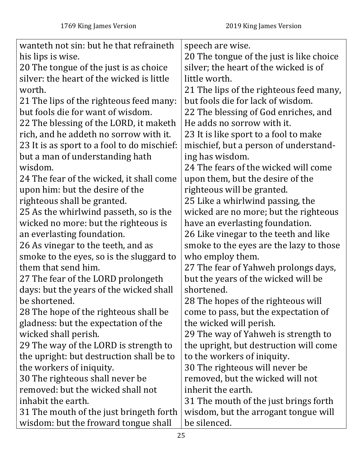| wanteth not sin: but he that refraineth     | speech are wise.                         |
|---------------------------------------------|------------------------------------------|
| his lips is wise.                           | 20 The tongue of the just is like choice |
| 20 The tongue of the just is as choice      | silver; the heart of the wicked is of    |
| silver: the heart of the wicked is little   | little worth.                            |
| worth.                                      | 21 The lips of the righteous feed many,  |
| 21 The lips of the righteous feed many:     | but fools die for lack of wisdom.        |
| but fools die for want of wisdom.           | 22 The blessing of God enriches, and     |
| 22 The blessing of the LORD, it maketh      | He adds no sorrow with it.               |
| rich, and he addeth no sorrow with it.      | 23 It is like sport to a fool to make    |
| 23 It is as sport to a fool to do mischief: | mischief, but a person of understand-    |
| but a man of understanding hath             | ing has wisdom.                          |
| wisdom.                                     | 24 The fears of the wicked will come     |
| 24 The fear of the wicked, it shall come    | upon them, but the desire of the         |
| upon him: but the desire of the             | righteous will be granted.               |
| righteous shall be granted.                 | 25 Like a whirlwind passing, the         |
| 25 As the whirlwind passeth, so is the      | wicked are no more; but the righteous    |
| wicked no more: but the righteous is        | have an everlasting foundation.          |
| an everlasting foundation.                  | 26 Like vinegar to the teeth and like    |
| 26 As vinegar to the teeth, and as          | smoke to the eyes are the lazy to those  |
| smoke to the eyes, so is the sluggard to    | who employ them.                         |
| them that send him.                         | 27 The fear of Yahweh prolongs days,     |
| 27 The fear of the LORD prolongeth          | but the years of the wicked will be      |
| days: but the years of the wicked shall     | shortened.                               |
| be shortened.                               | 28 The hopes of the righteous will       |
| 28 The hope of the righteous shall be       | come to pass, but the expectation of     |
| gladness: but the expectation of the        | the wicked will perish.                  |
| wicked shall perish.                        | 29 The way of Yahweh is strength to      |
| 29 The way of the LORD is strength to       | the upright, but destruction will come   |
| the upright: but destruction shall be to    | to the workers of iniquity.              |
| the workers of iniquity.                    | 30 The righteous will never be           |
| 30 The righteous shall never be             | removed, but the wicked will not         |
| removed: but the wicked shall not           | inherit the earth.                       |
| inhabit the earth.                          | 31 The mouth of the just brings forth    |
| 31 The mouth of the just bringeth forth     | wisdom, but the arrogant tongue will     |
| wisdom: but the froward tongue shall        | be silenced.                             |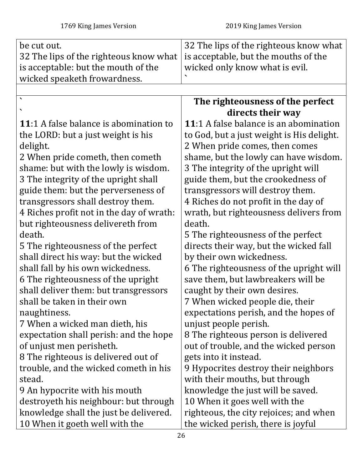<span id="page-25-0"></span>

| be cut out.                                   | 32 The lips of the righteous know what    |
|-----------------------------------------------|-------------------------------------------|
| 32 The lips of the righteous know what        | is acceptable, but the mouths of the      |
| is acceptable: but the mouth of the           | wicked only know what is evil.            |
| wicked speaketh frowardness.                  |                                           |
|                                               |                                           |
| $\ddot{\phantom{1}}$                          | The righteousness of the perfect          |
|                                               | directs their way                         |
| <b>11:1 A false balance is abomination to</b> | 11:1 A false balance is an abomination    |
| the LORD: but a just weight is his            | to God, but a just weight is His delight. |
| delight.                                      | 2 When pride comes, then comes            |
| 2 When pride cometh, then cometh              | shame, but the lowly can have wisdom.     |
| shame: but with the lowly is wisdom.          | 3 The integrity of the upright will       |
| 3 The integrity of the upright shall          | guide them, but the crookedness of        |
| guide them: but the perverseness of           | transgressors will destroy them.          |
| transgressors shall destroy them.             | 4 Riches do not profit in the day of      |
| 4 Riches profit not in the day of wrath:      | wrath, but righteousness delivers from    |
| but righteousness delivereth from             | death.                                    |
| death.                                        | 5 The righteousness of the perfect        |
| 5 The righteousness of the perfect            | directs their way, but the wicked fall    |
| shall direct his way: but the wicked          | by their own wickedness.                  |
| shall fall by his own wickedness.             | 6 The righteousness of the upright will   |
| 6 The righteousness of the upright            | save them, but lawbreakers will be        |
| shall deliver them: but transgressors         | caught by their own desires.              |
| shall be taken in their own                   | 7 When wicked people die, their           |
| naughtiness.                                  | expectations perish, and the hopes of     |
| 7 When a wicked man dieth, his                | unjust people perish.                     |
| expectation shall perish: and the hope        | 8 The righteous person is delivered       |
| of unjust men perisheth.                      | out of trouble, and the wicked person     |
| 8 The righteous is delivered out of           | gets into it instead.                     |
| trouble, and the wicked cometh in his         | 9 Hypocrites destroy their neighbors      |
| stead.                                        | with their mouths, but through            |
| 9 An hypocrite with his mouth                 | knowledge the just will be saved.         |
| destroyeth his neighbour: but through         | 10 When it goes well with the             |
| knowledge shall the just be delivered.        | righteous, the city rejoices; and when    |
| 10 When it goeth well with the                | the wicked perish, there is joyful        |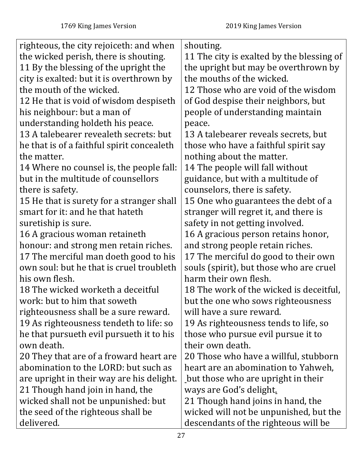| righteous, the city rejoiceth: and when    | shouting.                                 |
|--------------------------------------------|-------------------------------------------|
| the wicked perish, there is shouting.      | 11 The city is exalted by the blessing of |
| 11 By the blessing of the upright the      | the upright but may be overthrown by      |
| city is exalted: but it is overthrown by   | the mouths of the wicked.                 |
| the mouth of the wicked.                   | 12 Those who are void of the wisdom       |
| 12 He that is void of wisdom despiseth     | of God despise their neighbors, but       |
| his neighbour: but a man of                | people of understanding maintain          |
| understanding holdeth his peace.           | peace.                                    |
| 13 A talebearer revealeth secrets: but     | 13 A talebearer reveals secrets, but      |
| he that is of a faithful spirit concealeth | those who have a faithful spirit say      |
| the matter.                                | nothing about the matter.                 |
| 14 Where no counsel is, the people fall:   | 14 The people will fall without           |
| but in the multitude of counsellors        | guidance, but with a multitude of         |
| there is safety.                           | counselors, there is safety.              |
| 15 He that is surety for a stranger shall  | 15 One who guarantees the debt of a       |
| smart for it: and he that hateth           | stranger will regret it, and there is     |
| suretiship is sure.                        | safety in not getting involved.           |
| 16 A gracious woman retaineth              | 16 A gracious person retains honor,       |
| honour: and strong men retain riches.      | and strong people retain riches.          |
| 17 The merciful man doeth good to his      | 17 The merciful do good to their own      |
| own soul: but he that is cruel troubleth   | souls (spirit), but those who are cruel   |
| his own flesh.                             | harm their own flesh.                     |
| 18 The wicked worketh a deceitful          | 18 The work of the wicked is deceitful,   |
| work: but to him that soweth               | but the one who sows righteousness        |
| righteousness shall be a sure reward.      | will have a sure reward.                  |
| 19 As righteousness tendeth to life: so    | 19 As righteousness tends to life, so     |
| he that pursueth evil pursueth it to his   | those who pursue evil pursue it to        |
| own death.                                 | their own death.                          |
| 20 They that are of a froward heart are    | 20 Those who have a willful, stubborn     |
| abomination to the LORD: but such as       | heart are an abomination to Yahweh,       |
| are upright in their way are his delight.  | but those who are upright in their        |
| 21 Though hand join in hand, the           | ways are God's delight.                   |
| wicked shall not be unpunished: but        | 21 Though hand joins in hand, the         |
| the seed of the righteous shall be         | wicked will not be unpunished, but the    |
| delivered.                                 | descendants of the righteous will be      |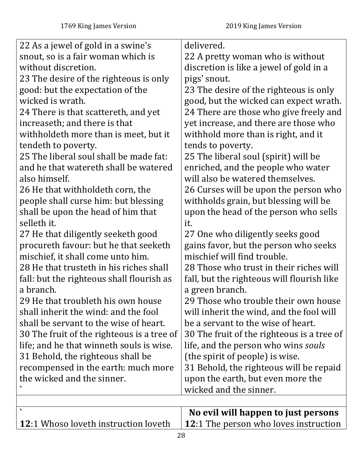<span id="page-27-0"></span>

| 22 As a jewel of gold in a swine's          | delivered.                                   |
|---------------------------------------------|----------------------------------------------|
| snout, so is a fair woman which is          | 22 A pretty woman who is without             |
| without discretion.                         | discretion is like a jewel of gold in a      |
| 23 The desire of the righteous is only      | pigs' snout.                                 |
| good: but the expectation of the            | 23 The desire of the righteous is only       |
| wicked is wrath.                            | good, but the wicked can expect wrath.       |
| 24 There is that scattereth, and yet        | 24 There are those who give freely and       |
| increaseth; and there is that               | yet increase, and there are those who        |
| withholdeth more than is meet, but it       | withhold more than is right, and it          |
| tendeth to poverty.                         | tends to poverty.                            |
| 25 The liberal soul shall be made fat:      | 25 The liberal soul (spirit) will be         |
| and he that watereth shall be watered       | enriched, and the people who water           |
| also himself.                               | will also be watered themselves.             |
| 26 He that withholdeth corn, the            | 26 Curses will be upon the person who        |
| people shall curse him: but blessing        | withholds grain, but blessing will be        |
| shall be upon the head of him that          | upon the head of the person who sells        |
| selleth it.                                 | it.                                          |
| 27 He that diligently seeketh good          | 27 One who diligently seeks good             |
| procureth favour: but he that seeketh       | gains favor, but the person who seeks        |
| mischief, it shall come unto him.           | mischief will find trouble.                  |
| 28 He that trusteth in his riches shall     | 28 Those who trust in their riches will      |
| fall: but the righteous shall flourish as   | fall, but the righteous will flourish like   |
| a branch.                                   | a green branch.                              |
| 29 He that troubleth his own house          | 29 Those who trouble their own house         |
| shall inherit the wind: and the fool        | will inherit the wind, and the fool will     |
| shall be servant to the wise of heart.      | be a servant to the wise of heart.           |
| 30 The fruit of the righteous is a tree of  | 30 The fruit of the righteous is a tree of   |
| life; and he that winneth souls is wise.    | life, and the person who wins souls          |
| 31 Behold, the righteous shall be           | (the spirit of people) is wise.              |
| recompensed in the earth: much more         | 31 Behold, the righteous will be repaid      |
| the wicked and the sinner.                  | upon the earth, but even more the            |
|                                             | wicked and the sinner.                       |
|                                             |                                              |
| $\blacktriangledown$                        | No evil will happen to just persons          |
| <b>12:1 Whoso loveth instruction loveth</b> | <b>12:1 The person who loves instruction</b> |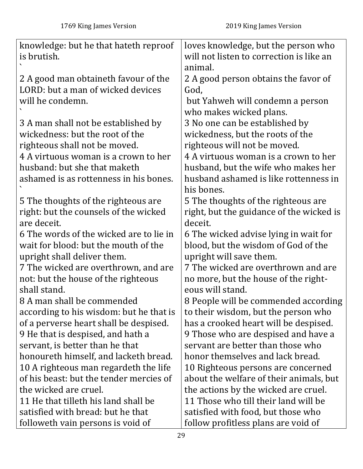| knowledge: but he that hateth reproof   | loves knowledge, but the person who      |
|-----------------------------------------|------------------------------------------|
| is brutish.                             | will not listen to correction is like an |
|                                         | animal.                                  |
| 2 A good man obtaineth favour of the    | 2 A good person obtains the favor of     |
| LORD: but a man of wicked devices       | God,                                     |
| will he condemn.                        | but Yahweh will condemn a person         |
|                                         | who makes wicked plans.                  |
| 3 A man shall not be established by     | 3 No one can be established by           |
| wickedness: but the root of the         | wickedness, but the roots of the         |
| righteous shall not be moved.           | righteous will not be moved.             |
| 4 A virtuous woman is a crown to her    | 4 A virtuous woman is a crown to her     |
| husband: but she that maketh            | husband, but the wife who makes her      |
| ashamed is as rottenness in his bones.  | husband ashamed is like rottenness in    |
|                                         | his bones.                               |
| 5 The thoughts of the righteous are     | 5 The thoughts of the righteous are      |
| right: but the counsels of the wicked   | right, but the guidance of the wicked is |
| are deceit.                             | deceit.                                  |
| 6 The words of the wicked are to lie in | 6 The wicked advise lying in wait for    |
| wait for blood: but the mouth of the    | blood, but the wisdom of God of the      |
| upright shall deliver them.             | upright will save them.                  |
| 7 The wicked are overthrown, and are    | 7 The wicked are overthrown and are      |
| not: but the house of the righteous     | no more, but the house of the right-     |
| shall stand.                            | eous will stand.                         |
| 8 A man shall be commended              | 8 People will be commended according     |
| according to his wisdom: but he that is | to their wisdom, but the person who      |
| of a perverse heart shall be despised.  | has a crooked heart will be despised.    |
| 9 He that is despised, and hath a       | 9 Those who are despised and have a      |
| servant, is better than he that         | servant are better than those who        |
| honoureth himself, and lacketh bread.   | honor themselves and lack bread.         |
| 10 A righteous man regardeth the life   | 10 Righteous persons are concerned       |
| of his beast: but the tender mercies of | about the welfare of their animals, but  |
| the wicked are cruel.                   | the actions by the wicked are cruel.     |
| 11 He that tilleth his land shall be    | 11 Those who till their land will be     |
| satisfied with bread: but he that       | satisfied with food, but those who       |
| followeth vain persons is void of       | follow profitless plans are void of      |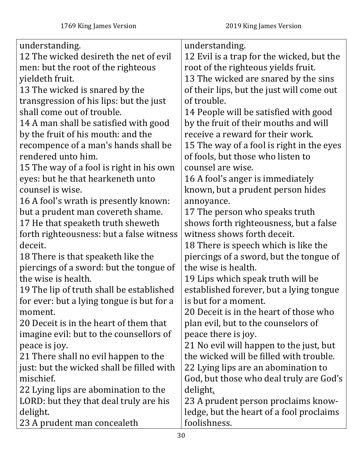| understanding.                            | understanding.                            |
|-------------------------------------------|-------------------------------------------|
| 12 The wicked desireth the net of evil    | 12 Evil is a trap for the wicked, but the |
| men: but the root of the righteous        | root of the righteous yields fruit.       |
| yieldeth fruit.                           | 13 The wicked are snared by the sins      |
| 13 The wicked is snared by the            | of their lips, but the just will come out |
| transgression of his lips: but the just   | of trouble.                               |
| shall come out of trouble.                | 14 People will be satisfied with good     |
| 14 A man shall be satisfied with good     | by the fruit of their mouths and will     |
| by the fruit of his mouth: and the        | receive a reward for their work.          |
| recompence of a man's hands shall be      | 15 The way of a fool is right in the eyes |
| rendered unto him.                        | of fools, but those who listen to         |
| 15 The way of a fool is right in his own  | counsel are wise.                         |
| eyes: but he that hearkeneth unto         | 16 A fool's anger is immediately          |
| counsel is wise.                          | known, but a prudent person hides         |
| 16 A fool's wrath is presently known:     | annoyance.                                |
| but a prudent man covereth shame.         | 17 The person who speaks truth            |
| 17 He that speaketh truth sheweth         | shows forth righteousness, but a false    |
| forth righteousness: but a false witness  | witness shows forth deceit.               |
| deceit.                                   | 18 There is speech which is like the      |
| 18 There is that speaketh like the        | piercings of a sword, but the tongue of   |
| piercings of a sword: but the tongue of   | the wise is health.                       |
| the wise is health.                       | 19 Lips which speak truth will be         |
| 19 The lip of truth shall be established  | established forever, but a lying tongue   |
| for ever: but a lying tongue is but for a | is but for a moment.                      |
| moment.                                   | 20 Deceit is in the heart of those who    |
| 20 Deceit is in the heart of them that    | plan evil, but to the counselors of       |
| imagine evil: but to the counsellors of   | peace there is joy.                       |
| peace is joy.                             | 21 No evil will happen to the just, but   |
| 21 There shall no evil happen to the      | the wicked will be filled with trouble.   |
| just: but the wicked shall be filled with | 22 Lying lips are an abomination to       |
| mischief.                                 | God, but those who deal truly are God's   |
| 22 Lying lips are abomination to the      | delight.                                  |
| LORD: but they that deal truly are his    | 23 A prudent person proclaims know-       |
| delight.                                  | ledge, but the heart of a fool proclaims  |
| 23 A prudent man concealeth               | foolishness.                              |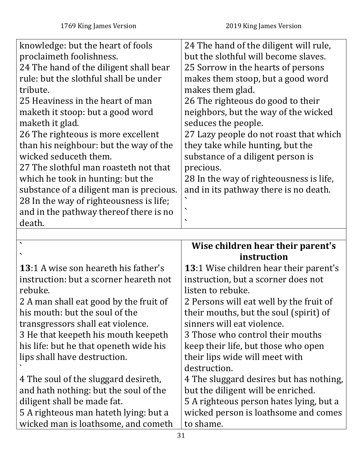| knowledge: but the heart of fools        | 24 The hand of the diligent will rule,  |
|------------------------------------------|-----------------------------------------|
| proclaimeth foolishness.                 | but the slothful will become slaves.    |
| 24 The hand of the diligent shall bear   | 25 Sorrow in the hearts of persons      |
| rule: but the slothful shall be under    | makes them stoop, but a good word       |
| tribute.                                 | makes them glad.                        |
| 25 Heaviness in the heart of man         | 26 The righteous do good to their       |
| maketh it stoop: but a good word         | neighbors, but the way of the wicked    |
| maketh it glad.                          | seduces the people.                     |
| 26 The righteous is more excellent       | 27 Lazy people do not roast that which  |
| than his neighbour: but the way of the   | they take while hunting, but the        |
| wicked seduceth them.                    | substance of a diligent person is       |
| 27 The slothful man roasteth not that    | precious.                               |
| which he took in hunting: but the        | 28 In the way of righteousness is life, |
| substance of a diligent man is precious. | and in its pathway there is no death.   |
| 28 In the way of righteousness is life;  |                                         |
| and in the pathway thereof there is no   | ◥                                       |
| death.                                   | $\blacktriangledown$                    |

<span id="page-30-0"></span>

| $\overline{\phantom{0}}$                    | Wise children hear their parent's             |
|---------------------------------------------|-----------------------------------------------|
| $\blacktriangledown$                        | instruction                                   |
| <b>13:1 A wise son heareth his father's</b> | <b>13:1 Wise children hear their parent's</b> |
| instruction: but a scorner heareth not      | instruction, but a scorner does not           |
| rebuke.                                     | listen to rebuke.                             |
| 2 A man shall eat good by the fruit of      | 2 Persons will eat well by the fruit of       |
| his mouth: but the soul of the              | their mouths, but the soul (spirit) of        |
| transgressors shall eat violence.           | sinners will eat violence.                    |
| 3 He that keepeth his mouth keepeth         | 3 Those who control their mouths              |
| his life: but he that openeth wide his      | keep their life, but those who open           |
| lips shall have destruction.                | their lips wide will meet with                |
|                                             | destruction.                                  |
| 4 The soul of the sluggard desireth,        | 4 The sluggard desires but has nothing,       |
| and hath nothing: but the soul of the       | but the diligent will be enriched.            |
| diligent shall be made fat.                 | 5 A righteous person hates lying, but a       |
| 5 A righteous man hateth lying: but a       | wicked person is loathsome and comes          |
| wicked man is loathsome, and cometh         | to shame.                                     |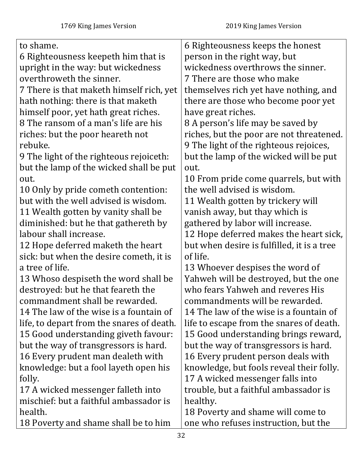| to shame.                                 | 6 Righteousness keeps the honest           |
|-------------------------------------------|--------------------------------------------|
| 6 Righteousness keepeth him that is       | person in the right way, but               |
| upright in the way: but wickedness        | wickedness overthrows the sinner.          |
| overthroweth the sinner.                  | 7 There are those who make                 |
| 7 There is that maketh himself rich, yet  | themselves rich yet have nothing, and      |
| hath nothing: there is that maketh        | there are those who become poor yet        |
| himself poor, yet hath great riches.      | have great riches.                         |
| 8 The ransom of a man's life are his      | 8 A person's life may be saved by          |
| riches: but the poor heareth not          | riches, but the poor are not threatened.   |
| rebuke.                                   | 9 The light of the righteous rejoices,     |
| 9 The light of the righteous rejoiceth:   | but the lamp of the wicked will be put     |
| but the lamp of the wicked shall be put   | out.                                       |
| out.                                      | 10 From pride come quarrels, but with      |
| 10 Only by pride cometh contention:       | the well advised is wisdom.                |
| but with the well advised is wisdom.      | 11 Wealth gotten by trickery will          |
| 11 Wealth gotten by vanity shall be       | vanish away, but thay which is             |
| diminished: but he that gathereth by      | gathered by labor will increase.           |
| labour shall increase.                    | 12 Hope deferred makes the heart sick,     |
| 12 Hope deferred maketh the heart         | but when desire is fulfilled, it is a tree |
| sick: but when the desire cometh, it is   | of life.                                   |
| a tree of life.                           | 13 Whoever despises the word of            |
| 13 Whoso despiseth the word shall be      | Yahweh will be destroyed, but the one      |
| destroyed: but he that feareth the        | who fears Yahweh and reveres His           |
| commandment shall be rewarded             | commandments will be rewarded              |
| 14 The law of the wise is a fountain of   | 14 The law of the wise is a fountain of    |
| life, to depart from the snares of death. | life to escape from the snares of death.   |
| 15 Good understanding giveth favour:      | 15 Good understanding brings reward,       |
| but the way of transgressors is hard.     | but the way of transgressors is hard.      |
| 16 Every prudent man dealeth with         | 16 Every prudent person deals with         |
| knowledge: but a fool layeth open his     | knowledge, but fools reveal their folly.   |
| folly.                                    | 17 A wicked messenger falls into           |
| 17 A wicked messenger falleth into        | trouble, but a faithful ambassador is      |
| mischief: but a faithful ambassador is    | healthy.                                   |
| health.                                   | 18 Poverty and shame will come to          |
| 18 Poverty and shame shall be to him      | one who refuses instruction, but the       |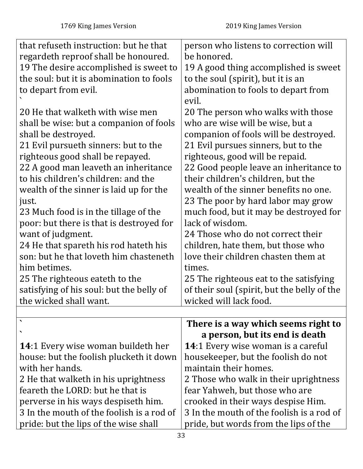<span id="page-32-0"></span>

| that refuseth instruction: but he that    | person who listens to correction will       |
|-------------------------------------------|---------------------------------------------|
| regardeth reproof shall be honoured.      | be honored.                                 |
| 19 The desire accomplished is sweet to    | 19 A good thing accomplished is sweet       |
| the soul: but it is abomination to fools  | to the soul (spirit), but it is an          |
| to depart from evil.                      | abomination to fools to depart from         |
|                                           | evil.                                       |
| 20 He that walketh with wise men          | 20 The person who walks with those          |
| shall be wise: but a companion of fools   | who are wise will be wise, but a            |
| shall be destroyed.                       | companion of fools will be destroyed.       |
| 21 Evil pursueth sinners: but to the      | 21 Evil pursues sinners, but to the         |
| righteous good shall be repayed.          | righteous, good will be repaid.             |
| 22 A good man leaveth an inheritance      | 22 Good people leave an inheritance to      |
| to his children's children: and the       | their children's children, but the          |
| wealth of the sinner is laid up for the   | wealth of the sinner benefits no one.       |
| just.                                     | 23 The poor by hard labor may grow          |
| 23 Much food is in the tillage of the     | much food, but it may be destroyed for      |
| poor: but there is that is destroyed for  | lack of wisdom.                             |
| want of judgment.                         | 24 Those who do not correct their           |
| 24 He that spareth his rod hateth his     | children, hate them, but those who          |
| son: but he that loveth him chasteneth    | love their children chasten them at         |
| him betimes.                              | times.                                      |
| 25 The righteous eateth to the            | 25 The righteous eat to the satisfying      |
| satisfying of his soul: but the belly of  | of their soul (spirit, but the belly of the |
| the wicked shall want.                    | wicked will lack food                       |
|                                           |                                             |
|                                           | There is a way which seems right to         |
|                                           | a person, but its end is death              |
| <b>14:1 Every wise woman buildeth her</b> | <b>14:1 Every wise woman is a careful</b>   |
| house: but the foolish plucketh it down   | housekeeper, but the foolish do not         |
| with her hands.                           | maintain their homes.                       |
| 2 He that walketh in his uprightness      | 2 Those who walk in their uprightness       |
| feareth the LORD: but he that is          | fear Yahweh, but those who are              |
| perverse in his ways despiseth him.       | crooked in their ways despise Him.          |
| 3 In the mouth of the foolish is a rod of | 3 In the mouth of the foolish is a rod of   |
| pride: but the lips of the wise shall     | pride, but words from the lips of the       |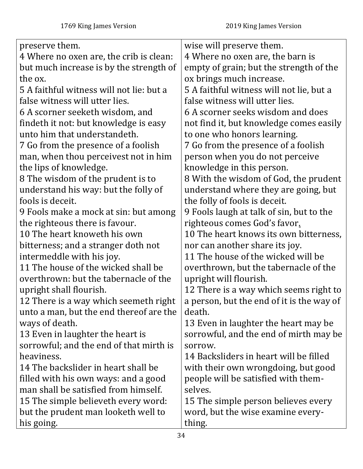| preserve them.                           | wise will preserve them.                  |
|------------------------------------------|-------------------------------------------|
| 4 Where no oxen are, the crib is clean:  | 4 Where no oxen are, the barn is          |
| but much increase is by the strength of  | empty of grain; but the strength of the   |
| the ox.                                  | ox brings much increase.                  |
| 5 A faithful witness will not lie: but a | 5 A faithful witness will not lie, but a  |
| false witness will utter lies.           | false witness will utter lies.            |
| 6 A scorner seeketh wisdom, and          | 6 A scorner seeks wisdom and does         |
| findeth it not: but knowledge is easy    | not find it, but knowledge comes easily   |
| unto him that understandeth.             | to one who honors learning.               |
| 7 Go from the presence of a foolish      | 7 Go from the presence of a foolish       |
| man, when thou perceivest not in him     | person when you do not perceive           |
| the lips of knowledge.                   | knowledge in this person.                 |
| 8 The wisdom of the prudent is to        | 8 With the wisdom of God, the prudent     |
| understand his way: but the folly of     | understand where they are going, but      |
| fools is deceit.                         | the folly of fools is deceit.             |
| 9 Fools make a mock at sin: but among    | 9 Fools laugh at talk of sin, but to the  |
| the righteous there is favour.           | righteous comes God's favor.              |
| 10 The heart knoweth his own             | 10 The heart knows its own bitterness,    |
| bitterness; and a stranger doth not      | nor can another share its joy.            |
| intermeddle with his joy.                | 11 The house of the wicked will be        |
| 11 The house of the wicked shall be      | overthrown, but the tabernacle of the     |
| overthrown: but the tabernacle of the    | upright will flourish.                    |
| upright shall flourish.                  | 12 There is a way which seems right to    |
| 12 There is a way which seemeth right    | a person, but the end of it is the way of |
| unto a man, but the end thereof are the  | death.                                    |
| ways of death.                           | 13 Even in laughter the heart may be      |
| 13 Even in laughter the heart is         | sorrowful, and the end of mirth may be    |
| sorrowful; and the end of that mirth is  | sorrow.                                   |
| heaviness.                               | 14 Backsliders in heart will be filled    |
| 14 The backslider in heart shall be      | with their own wrongdoing, but good       |
| filled with his own ways: and a good     | people will be satisfied with them-       |
| man shall be satisfied from himself.     | selves.                                   |
| 15 The simple believeth every word:      | 15 The simple person believes every       |
| but the prudent man looketh well to      | word, but the wise examine every-         |
| his going.                               | thing.                                    |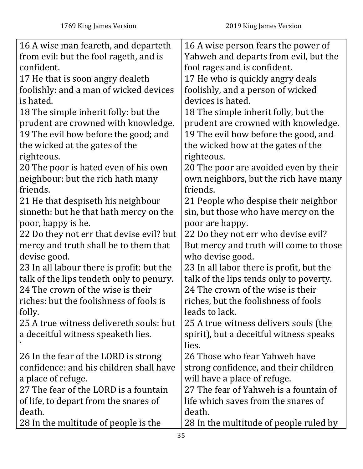| 16 A wise man feareth, and departeth      | 16 A wise person fears the power of      |
|-------------------------------------------|------------------------------------------|
| from evil: but the fool rageth, and is    | Yahweh and departs from evil, but the    |
| confident.                                | fool rages and is confident.             |
| 17 He that is soon angry dealeth          | 17 He who is quickly angry deals         |
| foolishly: and a man of wicked devices    | foolishly, and a person of wicked        |
| is hated.                                 | devices is hated.                        |
| 18 The simple inherit folly: but the      | 18 The simple inherit folly, but the     |
| prudent are crowned with knowledge.       | prudent are crowned with knowledge.      |
| 19 The evil bow before the good; and      | 19 The evil bow before the good, and     |
| the wicked at the gates of the            | the wicked bow at the gates of the       |
| righteous.                                | righteous.                               |
| 20 The poor is hated even of his own      | 20 The poor are avoided even by their    |
| neighbour: but the rich hath many         | own neighbors, but the rich have many    |
| friends.                                  | friends.                                 |
| 21 He that despiseth his neighbour        | 21 People who despise their neighbor     |
| sinneth: but he that hath mercy on the    | sin, but those who have mercy on the     |
| poor, happy is he.                        | poor are happy.                          |
| 22 Do they not err that devise evil? but  | 22 Do they not err who devise evil?      |
| mercy and truth shall be to them that     | But mercy and truth will come to those   |
| devise good.                              | who devise good.                         |
| 23 In all labour there is profit: but the | 23 In all labor there is profit, but the |
| talk of the lips tendeth only to penury.  | talk of the lips tends only to poverty.  |
| 24 The crown of the wise is their         | 24 The crown of the wise is their        |
| riches: but the foolishness of fools is   | riches, but the foolishness of fools     |
| folly.                                    | leads to lack.                           |
| 25 A true witness delivereth souls: but   | 25 A true witness delivers souls (the    |
| a deceitful witness speaketh lies.        | spirit), but a deceitful witness speaks  |
|                                           | lies.                                    |
| 26 In the fear of the LORD is strong      | 26 Those who fear Yahweh have            |
| confidence: and his children shall have   | strong confidence, and their children    |
| a place of refuge.                        | will have a place of refuge.             |
| 27 The fear of the LORD is a fountain     | 27 The fear of Yahweh is a fountain of   |
| of life, to depart from the snares of     | life which saves from the snares of      |
| death.                                    | death.                                   |
| 28 In the multitude of people is the      | 28 In the multitude of people ruled by   |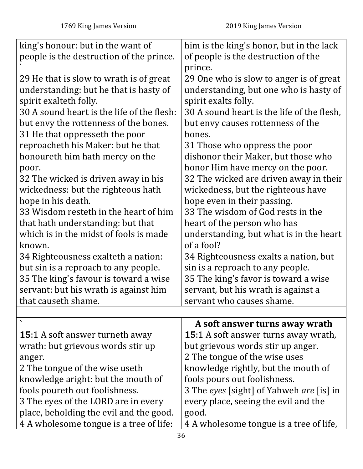<span id="page-35-0"></span>

| king's honour: but in the want of          | him is the king's honor, but in the lack        |
|--------------------------------------------|-------------------------------------------------|
| people is the destruction of the prince.   | of people is the destruction of the             |
|                                            | prince.                                         |
| 29 He that is slow to wrath is of great    | 29 One who is slow to anger is of great         |
| understanding: but he that is hasty of     | understanding, but one who is hasty of          |
| spirit exalteth folly.                     | spirit exalts folly.                            |
| 30 A sound heart is the life of the flesh: | 30 A sound heart is the life of the flesh,      |
| but envy the rottenness of the bones.      | but envy causes rottenness of the               |
| 31 He that oppresseth the poor             | bones.                                          |
| reproacheth his Maker: but he that         | 31 Those who oppress the poor                   |
| honoureth him hath mercy on the            | dishonor their Maker, but those who             |
| poor.                                      | honor Him have mercy on the poor.               |
| 32 The wicked is driven away in his        | 32 The wicked are driven away in their          |
| wickedness: but the righteous hath         | wickedness, but the righteous have              |
| hope in his death.                         | hope even in their passing.                     |
| 33 Wisdom resteth in the heart of him      | 33 The wisdom of God rests in the               |
| that hath understanding: but that          | heart of the person who has                     |
| which is in the midst of fools is made     | understanding, but what is in the heart         |
| known.                                     | of a fool?                                      |
| 34 Righteousness exalteth a nation:        | 34 Righteousness exalts a nation, but           |
| but sin is a reproach to any people.       | sin is a reproach to any people.                |
| 35 The king's favour is toward a wise      | 35 The king's favor is toward a wise            |
| servant: but his wrath is against him      | servant, but his wrath is against a             |
| that causeth shame.                        | servant who causes shame.                       |
|                                            |                                                 |
|                                            | A soft answer turns away wrath                  |
| <b>15:1 A soft answer turneth away</b>     | <b>15:1</b> A soft answer turns away wrath,     |
| wrath: but grievous words stir up          | but grievous words stir up anger.               |
| anger.                                     | 2 The tongue of the wise uses                   |
| 2 The tongue of the wise useth             | knowledge rightly, but the mouth of             |
| knowledge aright: but the mouth of         | fools pours out foolishness.                    |
| fools poureth out foolishness.             | 3 The eyes [sight] of Yahweh <i>are</i> [is] in |
| 3 The eyes of the LORD are in every        | every place, seeing the evil and the            |
| place, beholding the evil and the good.    | good.                                           |
| 4 A wholesome tongue is a tree of life:    | 4 A wholesome tongue is a tree of life,         |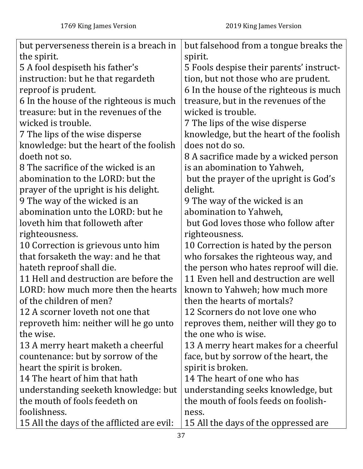| but perverseness therein is a breach in    | but falsehood from a tongue breaks the   |
|--------------------------------------------|------------------------------------------|
| the spirit.                                | spirit.                                  |
| 5 A fool despiseth his father's            | 5 Fools despise their parents' instruct- |
| instruction: but he that regardeth         | tion, but not those who are prudent.     |
| reproof is prudent.                        | 6 In the house of the righteous is much  |
| 6 In the house of the righteous is much    | treasure, but in the revenues of the     |
| treasure: but in the revenues of the       | wicked is trouble.                       |
| wicked is trouble.                         | 7 The lips of the wise disperse          |
| 7 The lips of the wise disperse            | knowledge, but the heart of the foolish  |
| knowledge: but the heart of the foolish    | does not do so.                          |
| doeth not so.                              | 8 A sacrifice made by a wicked person    |
| 8 The sacrifice of the wicked is an        | is an abomination to Yahweh,             |
| abomination to the LORD: but the           | but the prayer of the upright is God's   |
| prayer of the upright is his delight.      | delight.                                 |
| 9 The way of the wicked is an              | 9 The way of the wicked is an            |
| abomination unto the LORD: but he          | abomination to Yahweh,                   |
| loveth him that followeth after            | but God loves those who follow after     |
| righteousness.                             | righteousness.                           |
| 10 Correction is grievous unto him         | 10 Correction is hated by the person     |
| that forsaketh the way: and he that        | who forsakes the righteous way, and      |
| hateth reproof shall die.                  | the person who hates reproof will die.   |
| 11 Hell and destruction are before the     | 11 Even hell and destruction are well    |
| LORD: how much more then the hearts        | known to Yahweh; how much more           |
| of the children of men?                    | then the hearts of mortals?              |
| 12 A scorner loveth not one that           | 12 Scorners do not love one who          |
| reproveth him: neither will he go unto     | reproves them, neither will they go to   |
| the wise.                                  | the one who is wise.                     |
| 13 A merry heart maketh a cheerful         | 13 A merry heart makes for a cheerful    |
| countenance: but by sorrow of the          | face, but by sorrow of the heart, the    |
| heart the spirit is broken.                | spirit is broken.                        |
| 14 The heart of him that hath              | 14 The heart of one who has              |
| understanding seeketh knowledge: but       | understanding seeks knowledge, but       |
| the mouth of fools feedeth on              | the mouth of fools feeds on foolish-     |
| foolishness.                               | ness.                                    |
| 15 All the days of the afflicted are evil: | 15 All the days of the oppressed are     |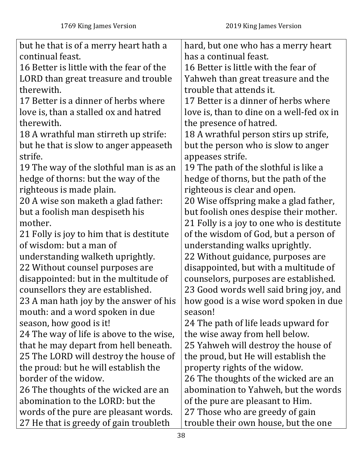| but he that is of a merry heart hath a   | hard, but one who has a merry heart       |
|------------------------------------------|-------------------------------------------|
| continual feast.                         | has a continual feast.                    |
| 16 Better is little with the fear of the | 16 Better is little with the fear of      |
| LORD than great treasure and trouble     | Yahweh than great treasure and the        |
| therewith.                               | trouble that attends it.                  |
| 17 Better is a dinner of herbs where     | 17 Better is a dinner of herbs where      |
| love is, than a stalled ox and hatred    | love is, than to dine on a well-fed ox in |
| therewith.                               | the presence of hatred.                   |
| 18 A wrathful man stirreth up strife:    | 18 A wrathful person stirs up strife,     |
| but he that is slow to anger appeaseth   | but the person who is slow to anger       |
| strife.                                  | appeases strife.                          |
| 19 The way of the slothful man is as an  | 19 The path of the slothful is like a     |
| hedge of thorns: but the way of the      | hedge of thorns, but the path of the      |
| righteous is made plain.                 | righteous is clear and open.              |
| 20 A wise son maketh a glad father:      | 20 Wise offspring make a glad father,     |
| but a foolish man despiseth his          | but foolish ones despise their mother.    |
| mother.                                  | 21 Folly is a joy to one who is destitute |
| 21 Folly is joy to him that is destitute | of the wisdom of God, but a person of     |
| of wisdom: but a man of                  | understanding walks uprightly.            |
| understanding walketh uprightly.         | 22 Without guidance, purposes are         |
| 22 Without counsel purposes are          | disappointed, but with a multitude of     |
| disappointed: but in the multitude of    | counselors, purposes are established.     |
| counsellors they are established.        | 23 Good words well said bring joy, and    |
| 23 A man hath joy by the answer of his   | how good is a wise word spoken in due     |
| mouth: and a word spoken in due          | season!                                   |
| season, how good is it!                  | 24 The path of life leads upward for      |
| 24 The way of life is above to the wise, | the wise away from hell below.            |
| that he may depart from hell beneath.    | 25 Yahweh will destroy the house of       |
| 25 The LORD will destroy the house of    | the proud, but He will establish the      |
| the proud: but he will establish the     | property rights of the widow.             |
| border of the widow.                     | 26 The thoughts of the wicked are an      |
| 26 The thoughts of the wicked are an     | abomination to Yahweh, but the words      |
| abomination to the LORD: but the         | of the pure are pleasant to Him.          |
| words of the pure are pleasant words.    | 27 Those who are greedy of gain           |
| 27 He that is greedy of gain troubleth   | trouble their own house, but the one      |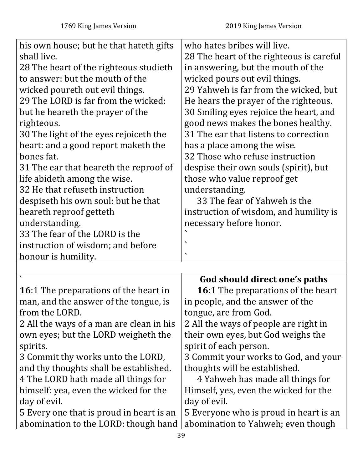their own eyes, but God weighs the

3 Commit your works to God, and your

4 Yahweh has made all things for

Himself, yes, even the wicked for the

spirit of each person.

thoughts will be established.

| his own house; but he that hateth gifts<br>shall live.<br>28 The heart of the righteous studieth<br>to answer: but the mouth of the<br>wicked poureth out evil things.<br>29 The LORD is far from the wicked:<br>but he heareth the prayer of the<br>righteous.<br>30 The light of the eyes rejoiceth the<br>heart: and a good report maketh the<br>bones fat.<br>31 The ear that heareth the reproof of<br>life abideth among the wise.<br>32 He that refuseth instruction<br>despiseth his own soul: but he that | who hates bribes will live.<br>28 The heart of the righteous is careful<br>in answering, but the mouth of the<br>wicked pours out evil things.<br>29 Yahweh is far from the wicked, but<br>He hears the prayer of the righteous.<br>30 Smiling eyes rejoice the heart, and<br>good news makes the bones healthy.<br>31 The ear that listens to correction<br>has a place among the wise.<br>32 Those who refuse instruction<br>despise their own souls (spirit), but<br>those who value reproof get<br>understanding.<br>33 The fear of Yahweh is the |
|--------------------------------------------------------------------------------------------------------------------------------------------------------------------------------------------------------------------------------------------------------------------------------------------------------------------------------------------------------------------------------------------------------------------------------------------------------------------------------------------------------------------|-------------------------------------------------------------------------------------------------------------------------------------------------------------------------------------------------------------------------------------------------------------------------------------------------------------------------------------------------------------------------------------------------------------------------------------------------------------------------------------------------------------------------------------------------------|
| heareth reproof getteth                                                                                                                                                                                                                                                                                                                                                                                                                                                                                            | instruction of wisdom, and humility is                                                                                                                                                                                                                                                                                                                                                                                                                                                                                                                |
| understanding.                                                                                                                                                                                                                                                                                                                                                                                                                                                                                                     | necessary before honor.                                                                                                                                                                                                                                                                                                                                                                                                                                                                                                                               |
| 33 The fear of the LORD is the                                                                                                                                                                                                                                                                                                                                                                                                                                                                                     |                                                                                                                                                                                                                                                                                                                                                                                                                                                                                                                                                       |
| instruction of wisdom; and before                                                                                                                                                                                                                                                                                                                                                                                                                                                                                  | $\overline{\phantom{0}}$                                                                                                                                                                                                                                                                                                                                                                                                                                                                                                                              |
| honour is humility.                                                                                                                                                                                                                                                                                                                                                                                                                                                                                                |                                                                                                                                                                                                                                                                                                                                                                                                                                                                                                                                                       |
|                                                                                                                                                                                                                                                                                                                                                                                                                                                                                                                    |                                                                                                                                                                                                                                                                                                                                                                                                                                                                                                                                                       |
|                                                                                                                                                                                                                                                                                                                                                                                                                                                                                                                    | God should direct one's paths                                                                                                                                                                                                                                                                                                                                                                                                                                                                                                                         |
| <b>16:1</b> The preparations of the heart in                                                                                                                                                                                                                                                                                                                                                                                                                                                                       | <b>16:1</b> The preparations of the heart                                                                                                                                                                                                                                                                                                                                                                                                                                                                                                             |
| man, and the answer of the tongue, is                                                                                                                                                                                                                                                                                                                                                                                                                                                                              | in people, and the answer of the                                                                                                                                                                                                                                                                                                                                                                                                                                                                                                                      |
| from the LORD.                                                                                                                                                                                                                                                                                                                                                                                                                                                                                                     | tongue, are from God.                                                                                                                                                                                                                                                                                                                                                                                                                                                                                                                                 |
| 2 All the ways of a man are clean in his                                                                                                                                                                                                                                                                                                                                                                                                                                                                           | 2 All the ways of people are right in                                                                                                                                                                                                                                                                                                                                                                                                                                                                                                                 |

2 All the ways of a man are clean in his own eyes; but the LORD weigheth the spirits.

3 Commit thy works unto the LORD, and thy thoughts shall be established. 4 The LORD hath made all things for himself: yea, even the wicked for the

day of evil.

5 Every one that is proud in heart is an abomination to the LORD: though hand day of evil. 5 Everyone who is proud in heart is an abomination to Yahweh; even though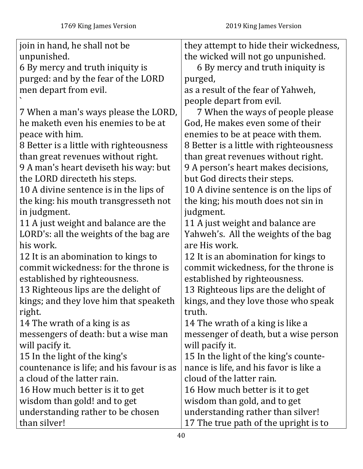| join in hand, he shall not be             | they attempt to hide their wickedness,  |
|-------------------------------------------|-----------------------------------------|
| unpunished.                               | the wicked will not go unpunished.      |
| 6 By mercy and truth iniquity is          | 6 By mercy and truth iniquity is        |
| purged: and by the fear of the LORD       | purged,                                 |
| men depart from evil.                     | as a result of the fear of Yahweh,      |
|                                           | people depart from evil.                |
| 7 When a man's ways please the LORD,      | 7 When the ways of people please        |
| he maketh even his enemies to be at       | God, He makes even some of their        |
| peace with him.                           | enemies to be at peace with them.       |
| 8 Better is a little with righteousness   | 8 Better is a little with righteousness |
| than great revenues without right.        | than great revenues without right.      |
| 9 A man's heart deviseth his way: but     | 9 A person's heart makes decisions,     |
| the LORD directeth his steps.             | but God directs their steps.            |
| 10 A divine sentence is in the lips of    | 10 A divine sentence is on the lips of  |
| the king: his mouth transgresseth not     | the king; his mouth does not sin in     |
| in judgment.                              | judgment.                               |
| 11 A just weight and balance are the      | 11 A just weight and balance are        |
| LORD's: all the weights of the bag are    | Yahweh's. All the weights of the bag    |
| his work.                                 | are His work.                           |
| 12 It is an abomination to kings to       | 12 It is an abomination for kings to    |
| commit wickedness: for the throne is      | commit wickedness, for the throne is    |
| established by righteousness.             | established by righteousness.           |
| 13 Righteous lips are the delight of      | 13 Righteous lips are the delight of    |
| kings; and they love him that speaketh    | kings, and they love those who speak    |
| right.                                    | truth.                                  |
| 14 The wrath of a king is as              | 14 The wrath of a king is like a        |
| messengers of death: but a wise man       | messenger of death, but a wise person   |
| will pacify it.                           | will pacify it.                         |
| 15 In the light of the king's             | 15 In the light of the king's counte-   |
| countenance is life; and his favour is as | nance is life, and his favor is like a  |
| a cloud of the latter rain.               | cloud of the latter rain.               |
| 16 How much better is it to get           | 16 How much better is it to get         |
| wisdom than gold! and to get              | wisdom than gold, and to get            |
| understanding rather to be chosen         | understanding rather than silver!       |
| than silver!                              | 17 The true path of the upright is to   |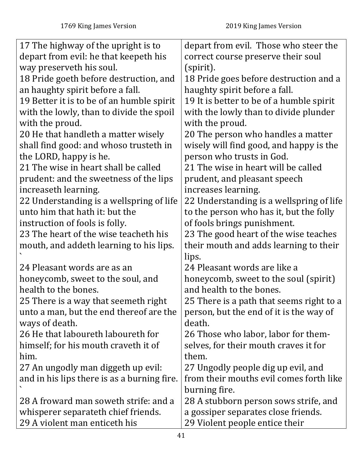| 17 The highway of the upright is to         | depart from evil. Those who steer the    |
|---------------------------------------------|------------------------------------------|
| depart from evil: he that keepeth his       | correct course preserve their soul       |
| way preserveth his soul.                    | (spirit).                                |
| 18 Pride goeth before destruction, and      | 18 Pride goes before destruction and a   |
| an haughty spirit before a fall.            | haughty spirit before a fall.            |
| 19 Better it is to be of an humble spirit   | 19 It is better to be of a humble spirit |
| with the lowly, than to divide the spoil    | with the lowly than to divide plunder    |
| with the proud.                             | with the proud.                          |
| 20 He that handleth a matter wisely         | 20 The person who handles a matter       |
| shall find good: and whoso trusteth in      | wisely will find good, and happy is the  |
| the LORD, happy is he.                      | person who trusts in God.                |
| 21 The wise in heart shall be called        | 21 The wise in heart will be called      |
| prudent: and the sweetness of the lips      | prudent, and pleasant speech             |
| increaseth learning.                        | increases learning.                      |
| 22 Understanding is a wellspring of life    | 22 Understanding is a wellspring of life |
| unto him that hath it: but the              | to the person who has it, but the folly  |
| instruction of fools is folly.              | of fools brings punishment.              |
| 23 The heart of the wise teacheth his       | 23 The good heart of the wise teaches    |
| mouth, and addeth learning to his lips.     | their mouth and adds learning to their   |
|                                             | lips.                                    |
| 24 Pleasant words are as an                 | 24 Pleasant words are like a             |
| honeycomb, sweet to the soul, and           | honeycomb, sweet to the soul (spirit)    |
| health to the bones.                        | and health to the bones.                 |
| 25 There is a way that seemeth right        | 25 There is a path that seems right to a |
| unto a man, but the end thereof are the     | person, but the end of it is the way of  |
| ways of death.                              | death.                                   |
| 26 He that laboureth laboureth for          | 26 Those who labor, labor for them-      |
| himself; for his mouth craveth it of        | selves, for their mouth craves it for    |
| him.                                        | them.                                    |
| 27 An ungodly man diggeth up evil:          | 27 Ungodly people dig up evil, and       |
| and in his lips there is as a burning fire. | from their mouths evil comes forth like  |
|                                             | burning fire.                            |
| 28 A froward man soweth strife: and a       | 28 A stubborn person sows strife, and    |
| whisperer separateth chief friends.         | a gossiper separates close friends.      |
| 29 A violent man enticeth his               | 29 Violent people entice their           |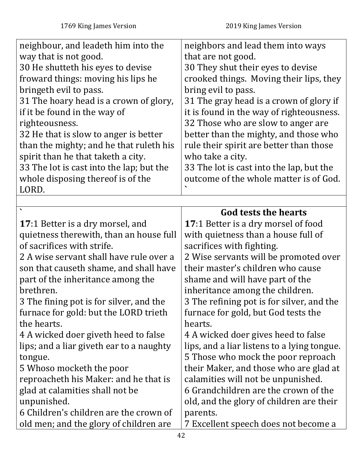| neighbour, and leadeth him into the      | neighbors and lead them into ways           |
|------------------------------------------|---------------------------------------------|
| way that is not good.                    | that are not good.                          |
| 30 He shutteth his eyes to devise        | 30 They shut their eyes to devise           |
| froward things: moving his lips he       | crooked things. Moving their lips, they     |
| bringeth evil to pass.                   | bring evil to pass.                         |
| 31 The hoary head is a crown of glory,   | 31 The gray head is a crown of glory if     |
| if it be found in the way of             | it is found in the way of righteousness.    |
| righteousness.                           | 32 Those who are slow to anger are          |
| 32 He that is slow to anger is better    | better than the mighty, and those who       |
| than the mighty; and he that ruleth his  | rule their spirit are better than those     |
| spirit than he that taketh a city.       | who take a city.                            |
| 33 The lot is cast into the lap; but the | 33 The lot is cast into the lap, but the    |
| whole disposing thereof is of the        | outcome of the whole matter is of God.      |
| LORD.                                    |                                             |
|                                          |                                             |
|                                          | God tests the hearts                        |
| <b>17:1 Better is a dry morsel, and</b>  | <b>17:1 Better is a dry morsel of food</b>  |
| quietness therewith, than an house full  | with quietness than a house full of         |
| of sacrifices with strife.               | sacrifices with fighting.                   |
| 2 A wise servant shall have rule over a  | 2 Wise servants will be promoted over       |
| son that causeth shame, and shall have   | their master's children who cause           |
| part of the inheritance among the        | shame and will have part of the             |
| brethren.                                | inheritance among the children.             |
| 3 The fining pot is for silver, and the  | 3 The refining pot is for silver, and the   |
| furnace for gold: but the LORD trieth    | furnace for gold, but God tests the         |
| the hearts.                              | hearts.                                     |
| 4 A wicked doer giveth heed to false     | 4 A wicked doer gives heed to false         |
| lips; and a liar giveth ear to a naughty | lips, and a liar listens to a lying tongue. |
| tongue.                                  | 5 Those who mock the poor reproach          |
| 5 Whoso mocketh the poor                 | their Maker, and those who are glad at      |
| reproacheth his Maker: and he that is    | calamities will not be unpunished.          |
| glad at calamities shall not be          | 6 Grandchildren are the crown of the        |
| unpunished.                              | old, and the glory of children are their    |
| 6 Children's children are the crown of   |                                             |
|                                          | parents.                                    |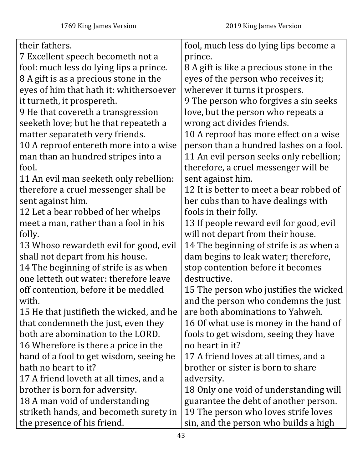| their fathers.                           | fool, much less do lying lips become a   |
|------------------------------------------|------------------------------------------|
| 7 Excellent speech becometh not a        | prince.                                  |
| fool: much less do lying lips a prince.  | 8 A gift is like a precious stone in the |
| 8 A gift is as a precious stone in the   | eyes of the person who receives it;      |
| eyes of him that hath it: whithersoever  | wherever it turns it prospers.           |
| it turneth, it prospereth.               | 9 The person who forgives a sin seeks    |
| 9 He that covereth a transgression       | love, but the person who repeats a       |
| seeketh love; but he that repeateth a    | wrong act divides friends.               |
| matter separateth very friends.          | 10 A reproof has more effect on a wise   |
| 10 A reproof entereth more into a wise   | person than a hundred lashes on a fool.  |
| man than an hundred stripes into a       | 11 An evil person seeks only rebellion;  |
| fool.                                    | therefore, a cruel messenger will be     |
| 11 An evil man seeketh only rebellion:   | sent against him.                        |
| therefore a cruel messenger shall be     | 12 It is better to meet a bear robbed of |
| sent against him.                        | her cubs than to have dealings with      |
| 12 Let a bear robbed of her whelps       | fools in their folly.                    |
| meet a man, rather than a fool in his    | 13 If people reward evil for good, evil  |
| folly.                                   | will not depart from their house.        |
| 13 Whoso rewardeth evil for good, evil   | 14 The beginning of strife is as when a  |
| shall not depart from his house.         | dam begins to leak water; therefore,     |
| 14 The beginning of strife is as when    | stop contention before it becomes        |
| one letteth out water: therefore leave   | destructive.                             |
| off contention, before it be meddled     | 15 The person who justifies the wicked   |
| with.                                    | and the person who condemns the just     |
| 15 He that justifieth the wicked, and he | are both abominations to Yahweh.         |
| that condemneth the just, even they      | 16 Of what use is money in the hand of   |
| both are abomination to the LORD.        | fools to get wisdom, seeing they have    |
| 16 Wherefore is there a price in the     | no heart in it?                          |
| hand of a fool to get wisdom, seeing he  | 17 A friend loves at all times, and a    |
| hath no heart to it?                     | brother or sister is born to share       |
| 17 A friend loveth at all times, and a   | adversity.                               |
| brother is born for adversity.           | 18 Only one void of understanding will   |
| 18 A man void of understanding           | guarantee the debt of another person.    |
| striketh hands, and becometh surety in   | 19 The person who loves strife loves     |
| the presence of his friend.              | sin, and the person who builds a high    |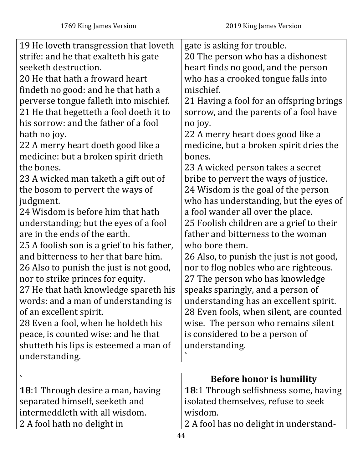| 19 He loveth transgression that loveth     |                                          |
|--------------------------------------------|------------------------------------------|
|                                            | gate is asking for trouble.              |
| strife: and he that exalteth his gate      | 20 The person who has a dishonest        |
| seeketh destruction.                       | heart finds no good, and the person      |
| 20 He that hath a froward heart            | who has a crooked tongue falls into      |
| findeth no good: and he that hath a        | mischief.                                |
| perverse tongue falleth into mischief.     | 21 Having a fool for an offspring brings |
| 21 He that begetteth a fool doeth it to    | sorrow, and the parents of a fool have   |
| his sorrow: and the father of a fool       | no joy.                                  |
| hath no joy.                               | 22 A merry heart does good like a        |
| 22 A merry heart doeth good like a         | medicine, but a broken spirit dries the  |
| medicine: but a broken spirit drieth       | bones.                                   |
| the bones.                                 | 23 A wicked person takes a secret        |
| 23 A wicked man taketh a gift out of       | bribe to pervert the ways of justice.    |
| the bosom to pervert the ways of           | 24 Wisdom is the goal of the person      |
| judgment.                                  | who has understanding, but the eyes of   |
| 24 Wisdom is before him that hath          | a fool wander all over the place.        |
| understanding; but the eyes of a fool      | 25 Foolish children are a grief to their |
| are in the ends of the earth.              | father and bitterness to the woman       |
| 25 A foolish son is a grief to his father, | who bore them.                           |
| and bitterness to her that bare him.       | 26 Also, to punish the just is not good, |
| 26 Also to punish the just is not good,    | nor to flog nobles who are righteous.    |
| nor to strike princes for equity.          | 27 The person who has knowledge          |
| 27 He that hath knowledge spareth his      | speaks sparingly, and a person of        |
| words: and a man of understanding is       | understanding has an excellent spirit.   |
| of an excellent spirit.                    | 28 Even fools, when silent, are counted  |
| 28 Even a fool, when he holdeth his        | wise. The person who remains silent      |
| peace, is counted wise: and he that        | is considered to be a person of          |
| shutteth his lips is esteemed a man of     | understanding.                           |
| understanding.                             |                                          |
|                                            |                                          |
|                                            | <b>Before honor is humility</b>          |
| <b>18:1 Through desire a man, having</b>   | 18:1 Through selfishness some, having    |
| separated himself, seeketh and             | isolated themselves, refuse to seek      |
| intermeddleth with all wisdom.             | wisdom.                                  |
| 2 A fool hath no delight in                | 2 A fool has no delight in understand-   |
|                                            | 44                                       |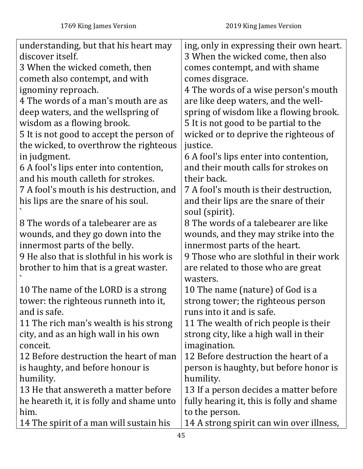| understanding, but that his heart may     | ing, only in expressing their own heart.  |
|-------------------------------------------|-------------------------------------------|
| discover itself.                          | 3 When the wicked come, then also         |
| 3 When the wicked cometh, then            | comes contempt, and with shame            |
| cometh also contempt, and with            | comes disgrace.                           |
| ignominy reproach.                        | 4 The words of a wise person's mouth      |
| 4 The words of a man's mouth are as       | are like deep waters, and the well-       |
| deep waters, and the wellspring of        | spring of wisdom like a flowing brook.    |
| wisdom as a flowing brook.                | 5 It is not good to be partial to the     |
| 5 It is not good to accept the person of  | wicked or to deprive the righteous of     |
| the wicked, to overthrow the righteous    | justice.                                  |
| in judgment.                              | 6 A fool's lips enter into contention,    |
| 6 A fool's lips enter into contention,    | and their mouth calls for strokes on      |
| and his mouth calleth for strokes.        | their back.                               |
| 7 A fool's mouth is his destruction, and  | 7 A fool's mouth is their destruction,    |
| his lips are the snare of his soul.       | and their lips are the snare of their     |
|                                           | soul (spirit).                            |
| 8 The words of a talebearer are as        | 8 The words of a talebearer are like      |
| wounds, and they go down into the         | wounds, and they may strike into the      |
| innermost parts of the belly.             | innermost parts of the heart.             |
| 9 He also that is slothful in his work is | 9 Those who are slothful in their work    |
| brother to him that is a great waster.    | are related to those who are great        |
|                                           | wasters.                                  |
| 10 The name of the LORD is a strong       | 10 The name (nature) of God is a          |
| tower: the righteous runneth into it,     | strong tower; the righteous person        |
| and is safe.                              | runs into it and is safe.                 |
| 11 The rich man's wealth is his strong    | 11 The wealth of rich people is their     |
| city, and as an high wall in his own      | strong city, like a high wall in their    |
| conceit.                                  | imagination.                              |
| 12 Before destruction the heart of man    | 12 Before destruction the heart of a      |
| is haughty, and before honour is          | person is haughty, but before honor is    |
| humility.                                 | humility.                                 |
| 13 He that answereth a matter before      | 13 If a person decides a matter before    |
| he heareth it, it is folly and shame unto | fully hearing it, this is folly and shame |
| him.                                      | to the person.                            |
| 14 The spirit of a man will sustain his   | 14 A strong spirit can win over illness,  |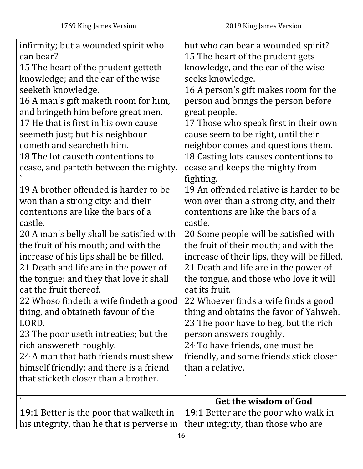| infirmity; but a wounded spirit who      | but who can bear a wounded spirit?           |
|------------------------------------------|----------------------------------------------|
| can bear?                                | 15 The heart of the prudent gets             |
| 15 The heart of the prudent getteth      | knowledge, and the ear of the wise           |
| knowledge; and the ear of the wise       | seeks knowledge.                             |
| seeketh knowledge.                       | 16 A person's gift makes room for the        |
| 16 A man's gift maketh room for him,     | person and brings the person before          |
| and bringeth him before great men.       | great people.                                |
| 17 He that is first in his own cause     | 17 Those who speak first in their own        |
| seemeth just; but his neighbour          | cause seem to be right, until their          |
| cometh and searcheth him.                | neighbor comes and questions them.           |
| 18 The lot causeth contentions to        | 18 Casting lots causes contentions to        |
| cease, and parteth between the mighty.   | cease and keeps the mighty from              |
|                                          | fighting.                                    |
| 19 A brother offended is harder to be    | 19 An offended relative is harder to be      |
| won than a strong city: and their        | won over than a strong city, and their       |
| contentions are like the bars of a       | contentions are like the bars of a           |
| castle.                                  | castle.                                      |
| 20 A man's belly shall be satisfied with | 20 Some people will be satisfied with        |
| the fruit of his mouth; and with the     | the fruit of their mouth; and with the       |
| increase of his lips shall he be filled. | increase of their lips, they will be filled. |
| 21 Death and life are in the power of    | 21 Death and life are in the power of        |
| the tongue: and they that love it shall  | the tongue, and those who love it will       |
| eat the fruit thereof.                   | eat its fruit.                               |
| 22 Whoso findeth a wife findeth a good   | 22 Whoever finds a wife finds a good         |
| thing, and obtaineth favour of the       | thing and obtains the favor of Yahweh.       |
| LORD.                                    | 23 The poor have to beg, but the rich        |
| 23 The poor useth intreaties; but the    | person answers roughly.                      |
| rich answereth roughly.                  | 24 To have friends, one must be              |
| 24 A man that hath friends must shew     | friendly, and some friends stick closer      |
| himself friendly: and there is a friend  | than a relative.                             |
| that sticketh closer than a brother.     |                                              |
|                                          |                                              |

|                                                                                                    | Get the wisdom of God |
|----------------------------------------------------------------------------------------------------|-----------------------|
| <b>19:1</b> Better is the poor that walketh in $\vert$ <b>19:1</b> Better are the poor who walk in |                       |
| his integrity, than he that is perverse in $\vert$ their integrity, than those who are             |                       |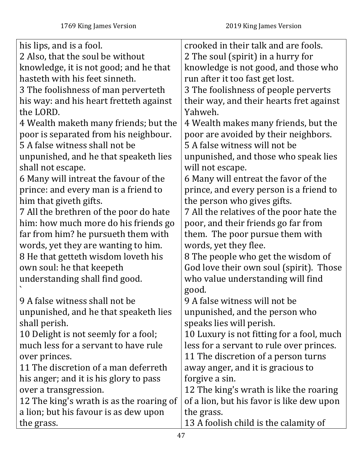| his lips, and is a fool.                 | crooked in their talk and are fools.      |
|------------------------------------------|-------------------------------------------|
| 2 Also, that the soul be without         | 2 The soul (spirit) in a hurry for        |
| knowledge, it is not good; and he that   | knowledge is not good, and those who      |
| hasteth with his feet sinneth.           | run after it too fast get lost.           |
| 3 The foolishness of man perverteth      | 3 The foolishness of people perverts      |
| his way: and his heart fretteth against  | their way, and their hearts fret against  |
| the LORD.                                | Yahweh.                                   |
| 4 Wealth maketh many friends; but the    | 4 Wealth makes many friends, but the      |
| poor is separated from his neighbour.    | poor are avoided by their neighbors.      |
| 5 A false witness shall not be           | 5 A false witness will not be             |
| unpunished, and he that speaketh lies    | unpunished, and those who speak lies      |
| shall not escape.                        | will not escape.                          |
| 6 Many will intreat the favour of the    | 6 Many will entreat the favor of the      |
| prince: and every man is a friend to     | prince, and every person is a friend to   |
| him that giveth gifts.                   | the person who gives gifts.               |
| 7 All the brethren of the poor do hate   | 7 All the relatives of the poor hate the  |
| him: how much more do his friends go     | poor, and their friends go far from       |
| far from him? he pursueth them with      | them. The poor pursue them with           |
| words, yet they are wanting to him.      | words, yet they flee.                     |
| 8 He that getteth wisdom loveth his      | 8 The people who get the wisdom of        |
| own soul: he that keepeth                | God love their own soul (spirit). Those   |
| understanding shall find good.           | who value understanding will find         |
|                                          | good.                                     |
| 9 A false witness shall not be           | 9 A false witness will not be             |
| unpunished, and he that speaketh lies    | unpunished, and the person who            |
| shall perish.                            | speaks lies will perish.                  |
| 10 Delight is not seemly for a fool;     | 10 Luxury is not fitting for a fool, much |
| much less for a servant to have rule     | less for a servant to rule over princes.  |
| over princes.                            | 11 The discretion of a person turns       |
| 11 The discretion of a man deferreth     | away anger, and it is gracious to         |
| his anger; and it is his glory to pass   | forgive a sin.                            |
| over a transgression.                    | 12 The king's wrath is like the roaring   |
| 12 The king's wrath is as the roaring of | of a lion, but his favor is like dew upon |
| a lion; but his favour is as dew upon    | the grass.                                |
| the grass.                               | 13 A foolish child is the calamity of     |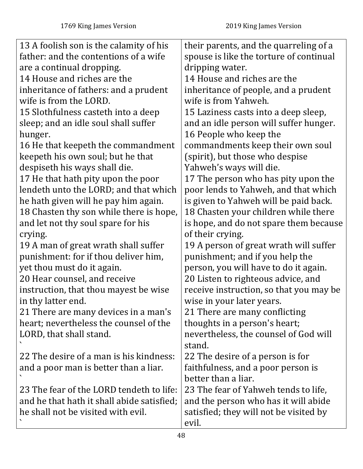| 13 A foolish son is the calamity of his<br>father: and the contentions of a wife<br>are a continual dropping. | their parents, and the quarreling of a<br>spouse is like the torture of continual<br>dripping water. |
|---------------------------------------------------------------------------------------------------------------|------------------------------------------------------------------------------------------------------|
| 14 House and riches are the                                                                                   | 14 House and riches are the                                                                          |
| inheritance of fathers: and a prudent                                                                         | inheritance of people, and a prudent                                                                 |
| wife is from the LORD.                                                                                        | wife is from Yahweh.                                                                                 |
| 15 Slothfulness casteth into a deep                                                                           | 15 Laziness casts into a deep sleep,                                                                 |
| sleep; and an idle soul shall suffer                                                                          | and an idle person will suffer hunger.                                                               |
| hunger.                                                                                                       | 16 People who keep the                                                                               |
| 16 He that keepeth the commandment                                                                            | commandments keep their own soul                                                                     |
| keepeth his own soul; but he that                                                                             | (spirit), but those who despise                                                                      |
| despiseth his ways shall die.                                                                                 | Yahweh's ways will die.                                                                              |
| 17 He that hath pity upon the poor                                                                            | 17 The person who has pity upon the                                                                  |
| lendeth unto the LORD; and that which                                                                         | poor lends to Yahweh, and that which                                                                 |
| he hath given will he pay him again.                                                                          | is given to Yahweh will be paid back.                                                                |
| 18 Chasten thy son while there is hope,                                                                       | 18 Chasten your children while there                                                                 |
| and let not thy soul spare for his                                                                            | is hope, and do not spare them because                                                               |
| crying.                                                                                                       | of their crying.                                                                                     |
| 19 A man of great wrath shall suffer                                                                          | 19 A person of great wrath will suffer                                                               |
| punishment: for if thou deliver him,                                                                          | punishment; and if you help the                                                                      |
| yet thou must do it again.                                                                                    | person, you will have to do it again.                                                                |
| 20 Hear counsel, and receive                                                                                  | 20 Listen to righteous advice, and                                                                   |
| instruction, that thou mayest be wise                                                                         | receive instruction, so that you may be                                                              |
| in thy latter end.                                                                                            | wise in your later years.                                                                            |
| 21 There are many devices in a man's                                                                          | 21 There are many conflicting                                                                        |
| heart; nevertheless the counsel of the                                                                        | thoughts in a person's heart;                                                                        |
| LORD, that shall stand.                                                                                       | nevertheless, the counsel of God will                                                                |
|                                                                                                               | stand.                                                                                               |
| 22 The desire of a man is his kindness:                                                                       | 22 The desire of a person is for                                                                     |
| and a poor man is better than a liar.                                                                         | faithfulness, and a poor person is                                                                   |
|                                                                                                               | better than a liar.                                                                                  |
| 23 The fear of the LORD tendeth to life:                                                                      | 23 The fear of Yahweh tends to life,                                                                 |
| and he that hath it shall abide satisfied;                                                                    | and the person who has it will abide                                                                 |
| he shall not be visited with evil.                                                                            | satisfied; they will not be visited by                                                               |
|                                                                                                               | evil.                                                                                                |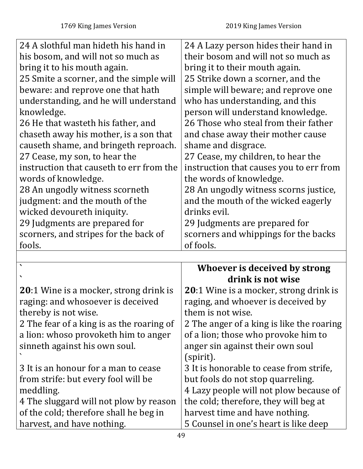| 24 A slothful man hideth his hand in          | 24 A Lazy person hides their hand in      |
|-----------------------------------------------|-------------------------------------------|
| his bosom, and will not so much as            | their bosom and will not so much as       |
| bring it to his mouth again.                  | bring it to their mouth again.            |
| 25 Smite a scorner, and the simple will       | 25 Strike down a scorner, and the         |
| beware: and reprove one that hath             | simple will beware; and reprove one       |
| understanding, and he will understand         | who has understanding, and this           |
| knowledge.                                    | person will understand knowledge.         |
| 26 He that wasteth his father, and            | 26 Those who steal from their father      |
| chaseth away his mother, is a son that        | and chase away their mother cause         |
| causeth shame, and bringeth reproach.         | shame and disgrace.                       |
| 27 Cease, my son, to hear the                 | 27 Cease, my children, to hear the        |
| instruction that causeth to err from the      | instruction that causes you to err from   |
| words of knowledge.                           | the words of knowledge.                   |
| 28 An ungodly witness scorneth                | 28 An ungodly witness scorns justice,     |
| judgment: and the mouth of the                | and the mouth of the wicked eagerly       |
| wicked devoureth iniquity.                    | drinks evil.                              |
| 29 Judgments are prepared for                 | 29 Judgments are prepared for             |
| scorners, and stripes for the back of         | scorners and whippings for the backs      |
| fools.                                        | of fools.                                 |
|                                               |                                           |
|                                               | Whoever is deceived by strong             |
|                                               | drink is not wise                         |
| <b>20:1</b> Wine is a mocker, strong drink is | 20:1 Wine is a mocker, strong drink is    |
| raging: and whosoever is deceived             | raging, and whoever is deceived by        |
| thereby is not wise.                          | them is not wise.                         |
| 2 The fear of a king is as the roaring of     | 2 The anger of a king is like the roaring |
| a lion: whoso provoketh him to anger          | of a lion; those who provoke him to       |
| sinneth against his own soul.                 | anger sin against their own soul          |
|                                               | (spirit).                                 |
| 3 It is an honour for a man to cease          | 3 It is honorable to cease from strife,   |
| from strife: but every fool will be           | but fools do not stop quarreling.         |
| meddling.                                     | 4 Lazy people will not plow because of    |
| 4 The sluggard will not plow by reason        | the cold; therefore, they will beg at     |
| of the cold; therefore shall he beg in        | harvest time and have nothing.            |
| harvest, and have nothing.                    | 5 Counsel in one's heart is like deep     |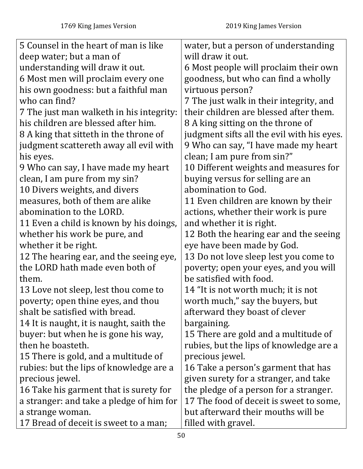| 5 Counsel in the heart of man is like    | water, but a person of understanding       |
|------------------------------------------|--------------------------------------------|
| deep water; but a man of                 | will draw it out.                          |
| understanding will draw it out.          | 6 Most people will proclaim their own      |
| 6 Most men will proclaim every one       | goodness, but who can find a wholly        |
| his own goodness: but a faithful man     | virtuous person?                           |
| who can find?                            | 7 The just walk in their integrity, and    |
| 7 The just man walketh in his integrity: | their children are blessed after them.     |
| his children are blessed after him.      | 8 A king sitting on the throne of          |
| 8 A king that sitteth in the throne of   | judgment sifts all the evil with his eyes. |
| judgment scattereth away all evil with   | 9 Who can say, "I have made my heart       |
| his eyes.                                | clean; I am pure from sin?"                |
| 9 Who can say, I have made my heart      | 10 Different weights and measures for      |
| clean, I am pure from my sin?            | buying versus for selling are an           |
| 10 Divers weights, and divers            | abomination to God.                        |
| measures, both of them are alike         | 11 Even children are known by their        |
| abomination to the LORD.                 | actions, whether their work is pure        |
| 11 Even a child is known by his doings,  | and whether it is right.                   |
| whether his work be pure, and            | 12 Both the hearing ear and the seeing     |
| whether it be right.                     | eye have been made by God.                 |
| 12 The hearing ear, and the seeing eye,  | 13 Do not love sleep lest you come to      |
| the LORD hath made even both of          | poverty; open your eyes, and you will      |
| them.                                    | be satisfied with food.                    |
| 13 Love not sleep, lest thou come to     | 14 "It is not worth much; it is not        |
| poverty; open thine eyes, and thou       | worth much," say the buyers, but           |
| shalt be satisfied with bread.           | afterward they boast of clever             |
| 14 It is naught, it is naught, saith the | bargaining.                                |
| buyer: but when he is gone his way,      | 15 There are gold and a multitude of       |
| then he boasteth.                        | rubies, but the lips of knowledge are a    |
| 15 There is gold, and a multitude of     | precious jewel.                            |
| rubies: but the lips of knowledge are a  | 16 Take a person's garment that has        |
| precious jewel.                          | given surety for a stranger, and take      |
| 16 Take his garment that is surety for   | the pledge of a person for a stranger.     |
| a stranger: and take a pledge of him for | 17 The food of deceit is sweet to some,    |
| a strange woman.                         | but afterward their mouths will be         |
| 17 Bread of deceit is sweet to a man;    | filled with gravel.                        |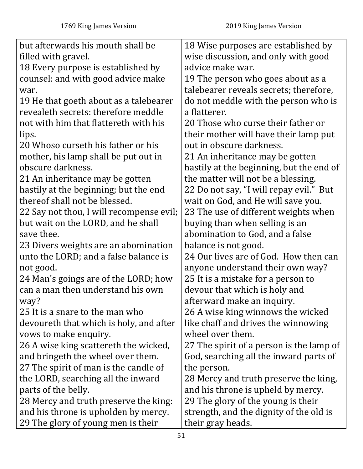| but afterwards his mouth shall be        | 18 Wise purposes are established by      |
|------------------------------------------|------------------------------------------|
| filled with gravel.                      | wise discussion, and only with good      |
| 18 Every purpose is established by       | advice make war.                         |
| counsel: and with good advice make       | 19 The person who goes about as a        |
| war.                                     | talebearer reveals secrets; therefore,   |
| 19 He that goeth about as a talebearer   | do not meddle with the person who is     |
| revealeth secrets: therefore meddle      | a flatterer.                             |
| not with him that flattereth with his    | 20 Those who curse their father or       |
| lips.                                    | their mother will have their lamp put    |
| 20 Whoso curseth his father or his       | out in obscure darkness.                 |
| mother, his lamp shall be put out in     | 21 An inheritance may be gotten          |
| obscure darkness.                        | hastily at the beginning, but the end of |
| 21 An inheritance may be gotten          | the matter will not be a blessing.       |
| hastily at the beginning; but the end    | 22 Do not say, "I will repay evil." But  |
| thereof shall not be blessed.            | wait on God, and He will save you.       |
| 22 Say not thou, I will recompense evil; | 23 The use of different weights when     |
| but wait on the LORD, and he shall       | buying than when selling is an           |
| save thee.                               | abomination to God, and a false          |
| 23 Divers weights are an abomination     | balance is not good.                     |
| unto the LORD; and a false balance is    | 24 Our lives are of God. How then can    |
| not good.                                | anyone understand their own way?         |
| 24 Man's goings are of the LORD; how     | 25 It is a mistake for a person to       |
| can a man then understand his own        | devour that which is holy and            |
| way?                                     | afterward make an inquiry.               |
| 25 It is a snare to the man who          | 26 A wise king winnows the wicked        |
| devoureth that which is holy, and after  | like chaff and drives the winnowing      |
| vows to make enquiry.                    | wheel over them.                         |
| 26 A wise king scattereth the wicked,    | 27 The spirit of a person is the lamp of |
| and bringeth the wheel over them.        | God, searching all the inward parts of   |
| 27 The spirit of man is the candle of    | the person.                              |
| the LORD, searching all the inward       | 28 Mercy and truth preserve the king,    |
| parts of the belly.                      | and his throne is upheld by mercy.       |
| 28 Mercy and truth preserve the king:    | 29 The glory of the young is their       |
| and his throne is upholden by mercy.     | strength, and the dignity of the old is  |
| 29 The glory of young men is their       | their gray heads.                        |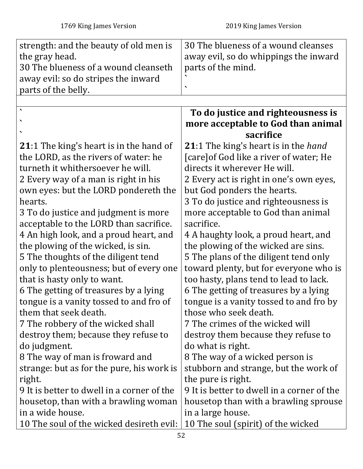| strength: and the beauty of old men is         | 30 The blueness of a wound cleanses         |
|------------------------------------------------|---------------------------------------------|
| the gray head.                                 | away evil, so do whippings the inward       |
| 30 The blueness of a wound cleanseth           | parts of the mind.                          |
| away evil: so do stripes the inward            |                                             |
| parts of the belly.                            |                                             |
|                                                |                                             |
| $\bar{\phantom{a}}$                            | To do justice and righteousness is          |
|                                                | more acceptable to God than animal          |
|                                                | sacrifice                                   |
| <b>21:1 The king's heart is in the hand of</b> | <b>21:1</b> The king's heart is in the hand |
| the LORD, as the rivers of water: he           | [care] of God like a river of water; He     |
| turneth it whithersoever he will.              | directs it wherever He will.                |
| 2 Every way of a man is right in his           | 2 Every act is right in one's own eyes,     |
| own eyes: but the LORD pondereth the           | but God ponders the hearts.                 |
| hearts.                                        | 3 To do justice and righteousness is        |
| 3 To do justice and judgment is more           | more acceptable to God than animal          |
| acceptable to the LORD than sacrifice.         | sacrifice.                                  |
| 4 An high look, and a proud heart, and         | 4 A haughty look, a proud heart, and        |
| the plowing of the wicked, is sin.             | the plowing of the wicked are sins.         |
| 5 The thoughts of the diligent tend            | 5 The plans of the diligent tend only       |
| only to plenteousness; but of every one        | toward plenty, but for everyone who is      |
| that is hasty only to want.                    | too hasty, plans tend to lead to lack.      |
| 6 The getting of treasures by a lying          | 6 The getting of treasures by a lying       |
| tongue is a vanity tossed to and fro of        | tongue is a vanity tossed to and fro by     |
| them that seek death.                          | those who seek death.                       |
| 7 The robbery of the wicked shall              | 7 The crimes of the wicked will             |
| destroy them; because they refuse to           | destroy them because they refuse to         |
| do judgment.                                   | do what is right.                           |
| 8 The way of man is froward and                | 8 The way of a wicked person is             |
| strange: but as for the pure, his work is      | stubborn and strange, but the work of       |
| right.                                         | the pure is right.                          |
| 9 It is better to dwell in a corner of the     | 9 It is better to dwell in a corner of the  |
| housetop, than with a brawling woman           | housetop than with a brawling sprouse       |
| in a wide house.                               | in a large house.                           |
| 10 The soul of the wicked desireth evil:       | 10 The soul (spirit) of the wicked          |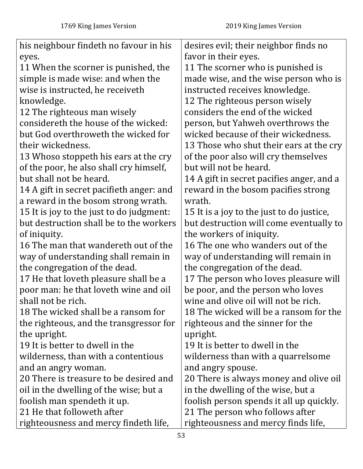| his neighbour findeth no favour in his   | desires evil; their neighbor finds no     |
|------------------------------------------|-------------------------------------------|
| eyes.                                    | favor in their eyes.                      |
| 11 When the scorner is punished, the     | 11 The scorner who is punished is         |
| simple is made wise: and when the        | made wise, and the wise person who is     |
| wise is instructed, he receiveth         | instructed receives knowledge.            |
| knowledge.                               | 12 The righteous person wisely            |
| 12 The righteous man wisely              | considers the end of the wicked           |
| considereth the house of the wicked:     | person, but Yahweh overthrows the         |
| but God overthroweth the wicked for      | wicked because of their wickedness.       |
| their wickedness.                        | 13 Those who shut their ears at the cry   |
| 13 Whoso stoppeth his ears at the cry    | of the poor also will cry themselves      |
| of the poor, he also shall cry himself,  | but will not be heard.                    |
| but shall not be heard.                  | 14 A gift in secret pacifies anger, and a |
| 14 A gift in secret pacifieth anger: and | reward in the bosom pacifies strong       |
| a reward in the bosom strong wrath.      | wrath.                                    |
| 15 It is joy to the just to do judgment: | 15 It is a joy to the just to do justice, |
| but destruction shall be to the workers  | but destruction will come eventually to   |
| of iniquity.                             | the workers of iniquity.                  |
| 16 The man that wandereth out of the     | 16 The one who wanders out of the         |
| way of understanding shall remain in     | way of understanding will remain in       |
| the congregation of the dead.            | the congregation of the dead.             |
| 17 He that loveth pleasure shall be a    | 17 The person who loves pleasure will     |
| poor man: he that loveth wine and oil    | be poor, and the person who loves         |
| shall not be rich.                       | wine and olive oil will not be rich.      |
| 18 The wicked shall be a ransom for      | 18 The wicked will be a ransom for the    |
| the righteous, and the transgressor for  | righteous and the sinner for the          |
| the upright.                             | upright.                                  |
| 19 It is better to dwell in the          | 19 It is better to dwell in the           |
| wilderness, than with a contentious      | wilderness than with a quarrelsome        |
| and an angry woman.                      | and angry spouse.                         |
| 20 There is treasure to be desired and   | 20 There is always money and olive oil    |
| oil in the dwelling of the wise; but a   | in the dwelling of the wise, but a        |
| foolish man spendeth it up.              | foolish person spends it all up quickly.  |
| 21 He that followeth after               | 21 The person who follows after           |
| righteousness and mercy findeth life,    | righteousness and mercy finds life,       |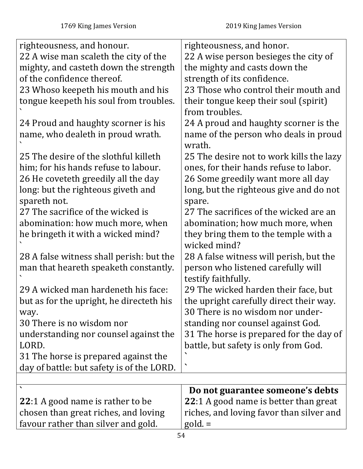| righteousness, and honour.                | righteousness, and honor.                |
|-------------------------------------------|------------------------------------------|
| 22 A wise man scaleth the city of the     | 22 A wise person besieges the city of    |
| mighty, and casteth down the strength     | the mighty and casts down the            |
| of the confidence thereof.                | strength of its confidence.              |
| 23 Whoso keepeth his mouth and his        | 23 Those who control their mouth and     |
| tongue keepeth his soul from troubles.    | their tongue keep their soul (spirit)    |
|                                           | from troubles.                           |
| 24 Proud and haughty scorner is his       | 24 A proud and haughty scorner is the    |
| name, who dealeth in proud wrath.         | name of the person who deals in proud    |
|                                           | wrath.                                   |
| 25 The desire of the slothful killeth     | 25 The desire not to work kills the lazy |
| him; for his hands refuse to labour.      | ones, for their hands refuse to labor.   |
| 26 He coveteth greedily all the day       | 26 Some greedily want more all day       |
| long: but the righteous giveth and        | long, but the righteous give and do not  |
| spareth not.                              | spare.                                   |
| 27 The sacrifice of the wicked is         | 27 The sacrifices of the wicked are an   |
| abomination: how much more, when          | abomination; how much more, when         |
| he bringeth it with a wicked mind?        | they bring them to the temple with a     |
|                                           | wicked mind?                             |
| 28 A false witness shall perish: but the  | 28 A false witness will perish, but the  |
| man that heareth speaketh constantly.     | person who listened carefully will       |
|                                           | testify faithfully.                      |
| 29 A wicked man hardeneth his face:       | 29 The wicked harden their face, but     |
| but as for the upright, he directeth his  | the upright carefully direct their way.  |
| way.                                      | 30 There is no wisdom nor under-         |
| 30 There is no wisdom nor                 | standing nor counsel against God.        |
| understanding nor counsel against the     | 31 The horse is prepared for the day of  |
| LORD.                                     | battle, but safety is only from God.     |
| 31 The horse is prepared against the      |                                          |
| day of battle: but safety is of the LORD. | $\blacktriangledown$                     |
|                                           |                                          |
|                                           | Do not guarantee someone's debts         |
| <b>22:1</b> A good name is rather to be   | 22:1 A good name is better than great    |
| chosen than great riches, and loving      | riches, and loving favor than silver and |
| favour rather than silver and gold.       | $gold =$                                 |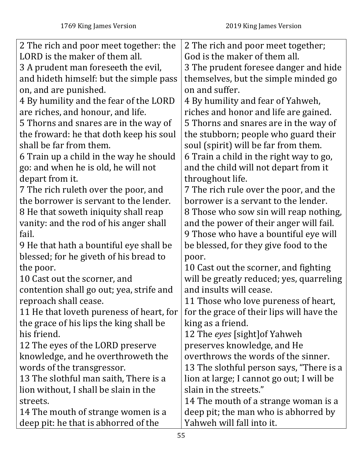| 2 The rich and poor meet together: the   | 2 The rich and poor meet together;        |
|------------------------------------------|-------------------------------------------|
| LORD is the maker of them all.           | God is the maker of them all.             |
| 3 A prudent man foreseeth the evil,      | 3 The prudent foresee danger and hide     |
| and hideth himself: but the simple pass  | themselves, but the simple minded go      |
| on, and are punished.                    | on and suffer.                            |
| 4 By humility and the fear of the LORD   | 4 By humility and fear of Yahweh,         |
| are riches, and honour, and life.        | riches and honor and life are gained.     |
| 5 Thorns and snares are in the way of    | 5 Thorns and snares are in the way of     |
| the froward: he that doth keep his soul  | the stubborn; people who guard their      |
| shall be far from them.                  | soul (spirit) will be far from them.      |
| 6 Train up a child in the way he should  | 6 Train a child in the right way to go,   |
| go: and when he is old, he will not      | and the child will not depart from it     |
| depart from it.                          | throughout life.                          |
| 7 The rich ruleth over the poor, and     | 7 The rich rule over the poor, and the    |
| the borrower is servant to the lender.   | borrower is a servant to the lender.      |
| 8 He that soweth iniquity shall reap     | 8 Those who sow sin will reap nothing,    |
| vanity: and the rod of his anger shall   | and the power of their anger will fail.   |
| fail.                                    | 9 Those who have a bountiful eye will     |
| 9 He that hath a bountiful eye shall be  | be blessed, for they give food to the     |
| blessed; for he giveth of his bread to   | poor.                                     |
| the poor.                                | 10 Cast out the scorner, and fighting     |
| 10 Cast out the scorner, and             | will be greatly reduced; yes, quarreling  |
| contention shall go out; yea, strife and | and insults will cease.                   |
| reproach shall cease.                    | 11 Those who love pureness of heart,      |
| 11 He that loveth pureness of heart, for | for the grace of their lips will have the |
| the grace of his lips the king shall be  | king as a friend.                         |
| his friend.                              | 12 The eyes [sight] of Yahweh             |
| 12 The eyes of the LORD preserve         | preserves knowledge, and He               |
| knowledge, and he overthroweth the       | overthrows the words of the sinner.       |
| words of the transgressor.               | 13 The slothful person says, "There is a  |
| 13 The slothful man saith, There is a    | lion at large; I cannot go out; I will be |
| lion without, I shall be slain in the    | slain in the streets."                    |
| streets.                                 | 14 The mouth of a strange woman is a      |
| 14 The mouth of strange women is a       | deep pit; the man who is abhorred by      |
| deep pit: he that is abhorred of the     | Yahweh will fall into it.                 |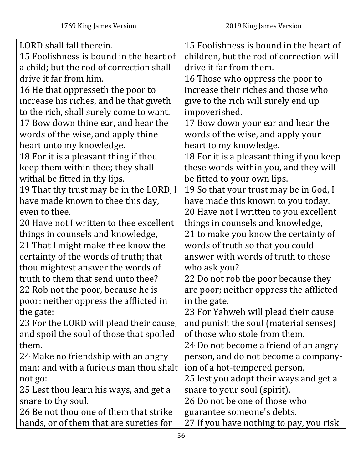| LORD shall fall therein.                 | 15 Foolishness is bound in the heart of   |
|------------------------------------------|-------------------------------------------|
| 15 Foolishness is bound in the heart of  | children, but the rod of correction will  |
| a child; but the rod of correction shall | drive it far from them.                   |
| drive it far from him.                   | 16 Those who oppress the poor to          |
| 16 He that oppresseth the poor to        | increase their riches and those who       |
| increase his riches, and he that giveth  | give to the rich will surely end up       |
| to the rich, shall surely come to want.  | impoverished.                             |
| 17 Bow down thine ear, and hear the      | 17 Bow down your ear and hear the         |
| words of the wise, and apply thine       | words of the wise, and apply your         |
| heart unto my knowledge.                 | heart to my knowledge.                    |
| 18 For it is a pleasant thing if thou    | 18 For it is a pleasant thing if you keep |
| keep them within thee; they shall        | these words within you, and they will     |
| withal be fitted in thy lips.            | be fitted to your own lips.               |
| 19 That thy trust may be in the LORD, I  | 19 So that your trust may be in God, I    |
| have made known to thee this day,        | have made this known to you today.        |
| even to thee.                            | 20 Have not I written to you excellent    |
| 20 Have not I written to thee excellent  | things in counsels and knowledge,         |
| things in counsels and knowledge,        | 21 to make you know the certainty of      |
| 21 That I might make thee know the       | words of truth so that you could          |
| certainty of the words of truth; that    | answer with words of truth to those       |
| thou mightest answer the words of        | who ask you?                              |
| truth to them that send unto thee?       | 22 Do not rob the poor because they       |
| 22 Rob not the poor, because he is       | are poor; neither oppress the afflicted   |
| poor: neither oppress the afflicted in   | in the gate.                              |
| the gate:                                | 23 For Yahweh will plead their cause      |
| 23 For the LORD will plead their cause,  | and punish the soul (material senses)     |
| and spoil the soul of those that spoiled | of those who stole from them.             |
| them.                                    | 24 Do not become a friend of an angry     |
| 24 Make no friendship with an angry      | person, and do not become a company-      |
| man; and with a furious man thou shalt   | ion of a hot-tempered person,             |
| not go:                                  | 25 lest you adopt their ways and get a    |
| 25 Lest thou learn his ways, and get a   | snare to your soul (spirit).              |
| snare to thy soul.                       | 26 Do not be one of those who             |
| 26 Be not thou one of them that strike   | guarantee someone's debts.                |
| hands, or of them that are sureties for  | 27 If you have nothing to pay, you risk   |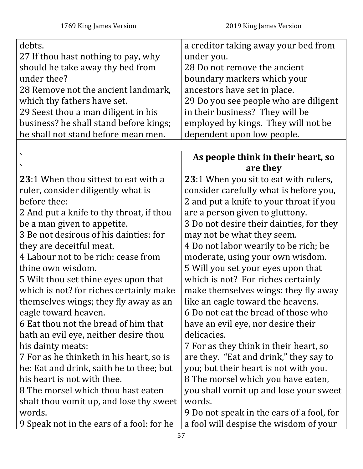| debts.                                    | a creditor taking away your bed from      |
|-------------------------------------------|-------------------------------------------|
| 27 If thou hast nothing to pay, why       | under you.                                |
| should he take away thy bed from          | 28 Do not remove the ancient              |
| under thee?                               | boundary markers which your               |
| 28 Remove not the ancient landmark,       | ancestors have set in place.              |
| which thy fathers have set.               | 29 Do you see people who are diligent     |
| 29 Seest thou a man diligent in his       | in their business? They will be           |
| business? he shall stand before kings;    | employed by kings. They will not be       |
| he shall not stand before mean men.       | dependent upon low people.                |
|                                           |                                           |
| $\blacktriangledown$                      | As people think in their heart, so        |
|                                           | are they                                  |
| 23:1 When thou sittest to eat with a      | 23:1 When you sit to eat with rulers,     |
| ruler, consider diligently what is        | consider carefully what is before you,    |
| before thee:                              | 2 and put a knife to your throat if you   |
| 2 And put a knife to thy throat, if thou  | are a person given to gluttony.           |
| be a man given to appetite.               | 3 Do not desire their dainties, for they  |
| 3 Be not desirous of his dainties: for    | may not be what they seem.                |
| they are deceitful meat.                  | 4 Do not labor wearily to be rich; be     |
| 4 Labour not to be rich: cease from       | moderate, using your own wisdom.          |
| thine own wisdom.                         | 5 Will you set your eyes upon that        |
| 5 Wilt thou set thine eyes upon that      | which is not? For riches certainly        |
| which is not? for riches certainly make   | make themselves wings: they fly away      |
| themselves wings; they fly away as an     | like an eagle toward the heavens.         |
| eagle toward heaven.                      | 6 Do not eat the bread of those who       |
| 6 Eat thou not the bread of him that      | have an evil eye, nor desire their        |
| hath an evil eye, neither desire thou     | delicacies.                               |
| his dainty meats:                         | 7 For as they think in their heart, so    |
| 7 For as he thinketh in his heart, so is  | are they. "Eat and drink," they say to    |
| he: Eat and drink, saith he to thee; but  | you; but their heart is not with you.     |
| his heart is not with thee.               | 8 The morsel which you have eaten,        |
| 8 The morsel which thou hast eaten        | you shall vomit up and lose your sweet    |
| shalt thou vomit up, and lose thy sweet   | words.                                    |
| words.                                    | 9 Do not speak in the ears of a fool, for |
| 9 Speak not in the ears of a fool: for he | a fool will despise the wisdom of your    |
|                                           | 57                                        |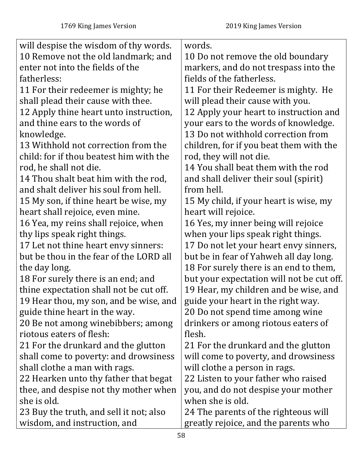| will despise the wisdom of thy words.   | words.                                    |
|-----------------------------------------|-------------------------------------------|
| 10 Remove not the old landmark; and     | 10 Do not remove the old boundary         |
| enter not into the fields of the        | markers, and do not trespass into the     |
| fatherless:                             | fields of the fatherless.                 |
| 11 For their redeemer is mighty; he     | 11 For their Redeemer is mighty. He       |
| shall plead their cause with thee.      | will plead their cause with you.          |
| 12 Apply thine heart unto instruction,  | 12 Apply your heart to instruction and    |
| and thine ears to the words of          | your ears to the words of knowledge.      |
| knowledge.                              | 13 Do not withhold correction from        |
| 13 Withhold not correction from the     | children, for if you beat them with the   |
| child: for if thou beatest him with the | rod, they will not die.                   |
| rod, he shall not die.                  | 14 You shall beat them with the rod       |
| 14 Thou shalt beat him with the rod,    | and shall deliver their soul (spirit)     |
| and shalt deliver his soul from hell.   | from hell.                                |
| 15 My son, if thine heart be wise, my   | 15 My child, if your heart is wise, my    |
| heart shall rejoice, even mine.         | heart will rejoice.                       |
| 16 Yea, my reins shall rejoice, when    | 16 Yes, my inner being will rejoice       |
| thy lips speak right things.            | when your lips speak right things.        |
| 17 Let not thine heart envy sinners:    | 17 Do not let your heart envy sinners,    |
| but be thou in the fear of the LORD all | but be in fear of Yahweh all day long.    |
| the day long.                           | 18 For surely there is an end to them,    |
| 18 For surely there is an end; and      | but your expectation will not be cut off. |
| thine expectation shall not be cut off. | 19 Hear, my children and be wise, and     |
| 19 Hear thou, my son, and be wise, and  | guide your heart in the right way.        |
| guide thine heart in the way.           | 20 Do not spend time among wine           |
| 20 Be not among winebibbers; among      | drinkers or among riotous eaters of       |
| riotous eaters of flesh:                | flesh.                                    |
| 21 For the drunkard and the glutton     | 21 For the drunkard and the glutton       |
| shall come to poverty: and drowsiness   | will come to poverty, and drowsiness      |
| shall clothe a man with rags.           | will clothe a person in rags.             |
| 22 Hearken unto thy father that begat   | 22 Listen to your father who raised       |
| thee, and despise not thy mother when   | you, and do not despise your mother       |
| she is old.                             | when she is old.                          |
| 23 Buy the truth, and sell it not; also | 24 The parents of the righteous will      |
| wisdom, and instruction, and            | greatly rejoice, and the parents who      |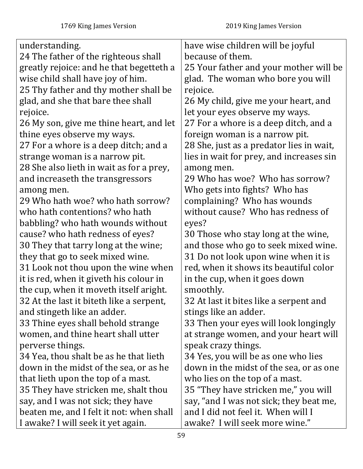| understanding.                           | have wise children will be joyful        |
|------------------------------------------|------------------------------------------|
| 24 The father of the righteous shall     | because of them.                         |
| greatly rejoice: and he that begetteth a | 25 Your father and your mother will be   |
| wise child shall have joy of him.        | glad. The woman who bore you will        |
| 25 Thy father and thy mother shall be    | rejoice.                                 |
| glad, and she that bare thee shall       | 26 My child, give me your heart, and     |
| rejoice.                                 | let your eyes observe my ways.           |
| 26 My son, give me thine heart, and let  | 27 For a whore is a deep ditch, and a    |
| thine eyes observe my ways.              | foreign woman is a narrow pit.           |
| 27 For a whore is a deep ditch; and a    | 28 She, just as a predator lies in wait, |
| strange woman is a narrow pit.           | lies in wait for prey, and increases sin |
| 28 She also lieth in wait as for a prey, | among men.                               |
| and increaseth the transgressors         | 29 Who has woe? Who has sorrow?          |
| among men.                               | Who gets into fights? Who has            |
| 29 Who hath woe? who hath sorrow?        | complaining? Who has wounds              |
| who hath contentions? who hath           | without cause? Who has redness of        |
| babbling? who hath wounds without        | eyes?                                    |
| cause? who hath redness of eyes?         | 30 Those who stay long at the wine,      |
| 30 They that tarry long at the wine;     | and those who go to seek mixed wine.     |
| they that go to seek mixed wine.         | 31 Do not look upon wine when it is      |
| 31 Look not thou upon the wine when      | red, when it shows its beautiful color   |
| it is red, when it giveth his colour in  | in the cup, when it goes down            |
| the cup, when it moveth itself aright.   | smoothly.                                |
| 32 At the last it biteth like a serpent, | 32 At last it bites like a serpent and   |
| and stingeth like an adder.              | stings like an adder.                    |
| 33 Thine eyes shall behold strange       | 33 Then your eyes will look longingly    |
| women, and thine heart shall utter       | at strange women, and your heart will    |
| perverse things.                         | speak crazy things.                      |
| 34 Yea, thou shalt be as he that lieth   | 34 Yes, you will be as one who lies      |
| down in the midst of the sea, or as he   | down in the midst of the sea, or as one  |
| that lieth upon the top of a mast.       | who lies on the top of a mast.           |
| 35 They have stricken me, shalt thou     | 35 "They have stricken me," you will     |
| say, and I was not sick; they have       | say, "and I was not sick; they beat me,  |
| beaten me, and I felt it not: when shall | and I did not feel it. When will I       |
| I awake? I will seek it yet again.       | awake? I will seek more wine."           |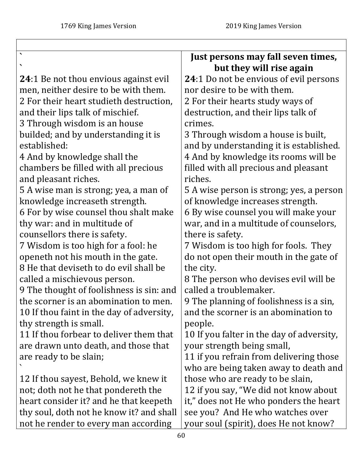$\overline{\phantom{a}}$ 

|                                              | Just persons may fall seven times,        |
|----------------------------------------------|-------------------------------------------|
|                                              | but they will rise again                  |
| <b>24:1 Be not thou envious against evil</b> | 24:1 Do not be envious of evil persons    |
| men, neither desire to be with them.         | nor desire to be with them.               |
| 2 For their heart studieth destruction,      | 2 For their hearts study ways of          |
| and their lips talk of mischief.             | destruction, and their lips talk of       |
| 3 Through wisdom is an house                 | crimes.                                   |
| builded; and by understanding it is          | 3 Through wisdom a house is built,        |
| established:                                 | and by understanding it is established.   |
| 4 And by knowledge shall the                 | 4 And by knowledge its rooms will be      |
| chambers be filled with all precious         | filled with all precious and pleasant     |
| and pleasant riches.                         | riches.                                   |
| 5 A wise man is strong; yea, a man of        | 5 A wise person is strong; yes, a person  |
| knowledge increaseth strength.               | of knowledge increases strength.          |
| 6 For by wise counsel thou shalt make        | 6 By wise counsel you will make your      |
| thy war: and in multitude of                 | war, and in a multitude of counselors,    |
| counsellors there is safety.                 | there is safety.                          |
| 7 Wisdom is too high for a fool: he          | 7 Wisdom is too high for fools. They      |
| openeth not his mouth in the gate.           | do not open their mouth in the gate of    |
| 8 He that deviseth to do evil shall be       | the city.                                 |
| called a mischievous person.                 | 8 The person who devises evil will be     |
| 9 The thought of foolishness is sin: and     | called a troublemaker.                    |
| the scorner is an abomination to men.        | 9 The planning of foolishness is a sin,   |
| 10 If thou faint in the day of adversity,    | and the scorner is an abomination to      |
| thy strength is small.                       | people.                                   |
| 11 If thou forbear to deliver them that      | 10 If you falter in the day of adversity, |
| are drawn unto death, and those that         | your strength being small,                |
| are ready to be slain;                       | 11 if you refrain from delivering those   |
|                                              | who are being taken away to death and     |
| 12 If thou sayest, Behold, we knew it        | those who are ready to be slain,          |
| not; doth not he that pondereth the          | 12 if you say, "We did not know about     |
| heart consider it? and he that keepeth       | it," does not He who ponders the heart    |
| thy soul, doth not he know it? and shall     | see you? And He who watches over          |
| not he render to every man according         | your soul (spirit), does He not know?     |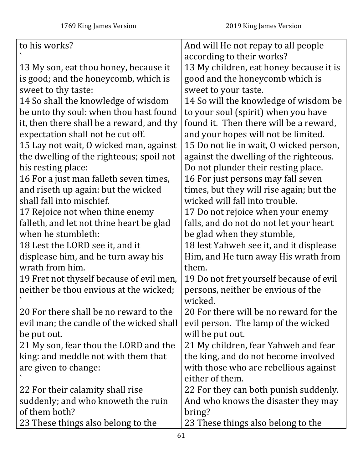| to his works?                             | And will He not repay to all people      |
|-------------------------------------------|------------------------------------------|
|                                           | according to their works?                |
| 13 My son, eat thou honey, because it     | 13 My children, eat honey because it is  |
| is good; and the honeycomb, which is      | good and the honeycomb which is          |
| sweet to thy taste:                       | sweet to your taste.                     |
| 14 So shall the knowledge of wisdom       | 14 So will the knowledge of wisdom be    |
| be unto thy soul: when thou hast found    | to your soul (spirit) when you have      |
| it, then there shall be a reward, and thy | found it. Then there will be a reward,   |
| expectation shall not be cut off.         | and your hopes will not be limited.      |
| 15 Lay not wait, O wicked man, against    | 15 Do not lie in wait, O wicked person,  |
| the dwelling of the righteous; spoil not  | against the dwelling of the righteous.   |
| his resting place:                        | Do not plunder their resting place.      |
| 16 For a just man falleth seven times,    | 16 For just persons may fall seven       |
| and riseth up again: but the wicked       | times, but they will rise again; but the |
| shall fall into mischief.                 | wicked will fall into trouble.           |
| 17 Rejoice not when thine enemy           | 17 Do not rejoice when your enemy        |
| falleth, and let not thine heart be glad  | falls, and do not do not let your heart  |
| when he stumbleth:                        | be glad when they stumble,               |
| 18 Lest the LORD see it, and it           | 18 lest Yahweh see it, and it displease  |
| displease him, and he turn away his       | Him, and He turn away His wrath from     |
| wrath from him.                           | them.                                    |
| 19 Fret not thyself because of evil men,  | 19 Do not fret yourself because of evil  |
| neither be thou envious at the wicked;    | persons, neither be envious of the       |
|                                           | wicked                                   |
| 20 For there shall be no reward to the    | 20 For there will be no reward for the   |
| evil man; the candle of the wicked shall  | evil person. The lamp of the wicked      |
| be put out.                               | will be put out.                         |
| 21 My son, fear thou the LORD and the     | 21 My children, fear Yahweh and fear     |
| king: and meddle not with them that       | the king, and do not become involved     |
| are given to change:                      | with those who are rebellious against    |
|                                           | either of them.                          |
| 22 For their calamity shall rise          | 22 For they can both punish suddenly.    |
| suddenly; and who knoweth the ruin        | And who knows the disaster they may      |
| of them both?                             | bring?                                   |
| 23 These things also belong to the        | 23 These things also belong to the       |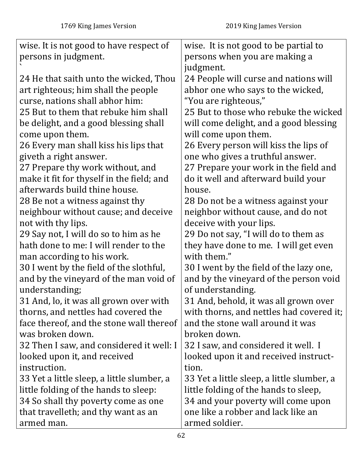| wise. It is not good to have respect of    | wise. It is not good to be partial to      |
|--------------------------------------------|--------------------------------------------|
| persons in judgment.                       | persons when you are making a              |
|                                            | judgment.                                  |
| 24 He that saith unto the wicked, Thou     | 24 People will curse and nations will      |
| art righteous; him shall the people        | abhor one who says to the wicked,          |
| curse, nations shall abhor him:            | "You are righteous,"                       |
| 25 But to them that rebuke him shall       | 25 But to those who rebuke the wicked      |
| be delight, and a good blessing shall      | will come delight, and a good blessing     |
| come upon them.                            | will come upon them.                       |
| 26 Every man shall kiss his lips that      | 26 Every person will kiss the lips of      |
| giveth a right answer.                     | one who gives a truthful answer.           |
| 27 Prepare thy work without, and           | 27 Prepare your work in the field and      |
| make it fit for thyself in the field; and  | do it well and afterward build your        |
| afterwards build thine house.              | house.                                     |
| 28 Be not a witness against thy            | 28 Do not be a witness against your        |
| neighbour without cause; and deceive       | neighbor without cause, and do not         |
| not with thy lips.                         | deceive with your lips.                    |
| 29 Say not, I will do so to him as he      | 29 Do not say, "I will do to them as       |
| hath done to me: I will render to the      | they have done to me. I will get even      |
| man according to his work.                 | with them."                                |
| 30 I went by the field of the slothful,    | 30 I went by the field of the lazy one,    |
| and by the vineyard of the man void of     | and by the vineyard of the person void     |
| understanding;                             | of understanding.                          |
| 31 And, lo, it was all grown over with     | 31 And, behold, it was all grown over      |
| thorns, and nettles had covered the        | with thorns, and nettles had covered it;   |
| face thereof, and the stone wall thereof   | and the stone wall around it was           |
| was broken down.                           | broken down.                               |
| 32 Then I saw, and considered it well: I   | 32 I saw, and considered it well. I        |
| looked upon it, and received               | looked upon it and received instruct-      |
| instruction.                               | tion.                                      |
| 33 Yet a little sleep, a little slumber, a | 33 Yet a little sleep, a little slumber, a |
| little folding of the hands to sleep:      | little folding of the hands to sleep,      |
| 34 So shall thy poverty come as one        | 34 and your poverty will come upon         |
| that travelleth; and thy want as an        | one like a robber and lack like an         |
| armed man.                                 | armed soldier.                             |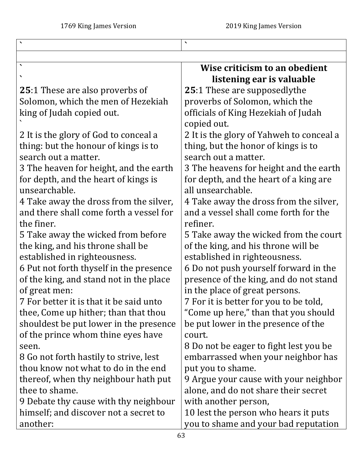|                                         | $\blacktriangledown$                     |
|-----------------------------------------|------------------------------------------|
|                                         |                                          |
| $\blacktriangleleft$                    | Wise criticism to an obedient            |
|                                         | listening ear is valuable                |
| <b>25:1 These are also proverbs of</b>  | <b>25:1 These are supposedlythe</b>      |
| Solomon, which the men of Hezekiah      | proverbs of Solomon, which the           |
| king of Judah copied out.               | officials of King Hezekiah of Judah      |
|                                         | copied out.                              |
| 2 It is the glory of God to conceal a   | 2 It is the glory of Yahweh to conceal a |
| thing: but the honour of kings is to    | thing, but the honor of kings is to      |
| search out a matter.                    | search out a matter.                     |
| 3 The heaven for height, and the earth  | 3 The heavens for height and the earth   |
| for depth, and the heart of kings is    | for depth, and the heart of a king are   |
| unsearchable.                           | all unsearchable.                        |
| 4 Take away the dross from the silver,  | 4 Take away the dross from the silver,   |
| and there shall come forth a vessel for | and a vessel shall come forth for the    |
| the finer.                              | refiner.                                 |
| 5 Take away the wicked from before      | 5 Take away the wicked from the court    |
| the king, and his throne shall be       | of the king, and his throne will be      |
| established in righteousness.           | established in righteousness.            |
| 6 Put not forth thyself in the presence | 6 Do not push yourself forward in the    |
| of the king, and stand not in the place | presence of the king, and do not stand   |
| of great men:                           | in the place of great persons.           |
| 7 For better it is that it be said unto | 7 For it is better for you to be told,   |
| thee, Come up hither; than that thou    | "Come up here," than that you should     |
| shouldest be put lower in the presence  | be put lower in the presence of the      |
| of the prince whom thine eyes have      | court.                                   |
| seen.                                   | 8 Do not be eager to fight lest you be   |
| 8 Go not forth hastily to strive, lest  | embarrassed when your neighbor has       |
| thou know not what to do in the end     | put you to shame.                        |
| thereof, when thy neighbour hath put    | 9 Argue your cause with your neighbor    |
| thee to shame.                          | alone, and do not share their secret     |
| 9 Debate thy cause with thy neighbour   | with another person,                     |
| himself; and discover not a secret to   | 10 lest the person who hears it puts     |
| another:                                | you to shame and your bad reputation     |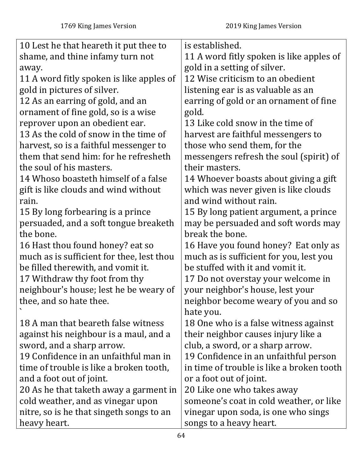| 10 Lest he that heareth it put thee to    | is established.                           |
|-------------------------------------------|-------------------------------------------|
| shame, and thine infamy turn not          | 11 A word fitly spoken is like apples of  |
| away.                                     | gold in a setting of silver.              |
| 11 A word fitly spoken is like apples of  | 12 Wise criticism to an obedient          |
| gold in pictures of silver.               | listening ear is as valuable as an        |
| 12 As an earring of gold, and an          | earring of gold or an ornament of fine    |
| ornament of fine gold, so is a wise       | gold.                                     |
| reprover upon an obedient ear.            | 13 Like cold snow in the time of          |
| 13 As the cold of snow in the time of     | harvest are faithful messengers to        |
| harvest, so is a faithful messenger to    | those who send them, for the              |
| them that send him: for he refresheth     | messengers refresh the soul (spirit) of   |
| the soul of his masters.                  | their masters.                            |
| 14 Whoso boasteth himself of a false      | 14 Whoever boasts about giving a gift     |
| gift is like clouds and wind without      | which was never given is like clouds      |
| rain.                                     | and wind without rain.                    |
| 15 By long forbearing is a prince         | 15 By long patient argument, a prince     |
| persuaded, and a soft tongue breaketh     | may be persuaded and soft words may       |
| the bone.                                 | break the bone.                           |
| 16 Hast thou found honey? eat so          | 16 Have you found honey? Eat only as      |
| much as is sufficient for thee, lest thou | much as is sufficient for you, lest you   |
| be filled therewith, and vomit it.        | be stuffed with it and vomit it.          |
| 17 Withdraw thy foot from thy             | 17 Do not overstay your welcome in        |
| neighbour's house; lest he be weary of    | your neighbor's house, lest your          |
| thee, and so hate thee.                   | neighbor become weary of you and so       |
|                                           | hate you.                                 |
| 18 A man that beareth false witness       | 18 One who is a false witness against     |
| against his neighbour is a maul, and a    | their neighbor causes injury like a       |
| sword, and a sharp arrow.                 | club, a sword, or a sharp arrow.          |
| 19 Confidence in an unfaithful man in     | 19 Confidence in an unfaithful person     |
| time of trouble is like a broken tooth,   | in time of trouble is like a broken tooth |
| and a foot out of joint.                  | or a foot out of joint.                   |
| 20 As he that taketh away a garment in    | 20 Like one who takes away                |
| cold weather, and as vinegar upon         | someone's coat in cold weather, or like   |
| nitre, so is he that singeth songs to an  | vinegar upon soda, is one who sings       |
| heavy heart.                              | songs to a heavy heart.                   |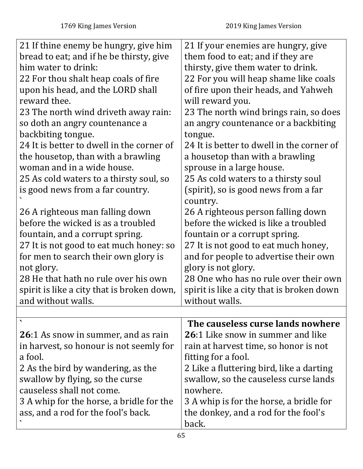| 21 If thine enemy be hungry, give him<br>bread to eat; and if he be thirsty, give<br>him water to drink:<br>22 For thou shalt heap coals of fire<br>upon his head, and the LORD shall<br>reward thee.<br>23 The north wind driveth away rain:<br>so doth an angry countenance a<br>backbiting tongue.<br>24 It is better to dwell in the corner of<br>the housetop, than with a brawling<br>woman and in a wide house.<br>25 As cold waters to a thirsty soul, so<br>is good news from a far country.<br>26 A righteous man falling down<br>before the wicked is as a troubled<br>fountain, and a corrupt spring.<br>27 It is not good to eat much honey: so | 21 If your enemies are hungry, give<br>them food to eat; and if they are<br>thirsty, give them water to drink.<br>22 For you will heap shame like coals<br>of fire upon their heads, and Yahweh<br>will reward you.<br>23 The north wind brings rain, so does<br>an angry countenance or a backbiting<br>tongue.<br>24 It is better to dwell in the corner of<br>a housetop than with a brawling<br>sprouse in a large house.<br>25 As cold waters to a thirsty soul<br>(spirit), so is good news from a far<br>country.<br>26 A righteous person falling down<br>before the wicked is like a troubled<br>fountain or a corrupt spring.<br>27 It is not good to eat much honey, |
|--------------------------------------------------------------------------------------------------------------------------------------------------------------------------------------------------------------------------------------------------------------------------------------------------------------------------------------------------------------------------------------------------------------------------------------------------------------------------------------------------------------------------------------------------------------------------------------------------------------------------------------------------------------|---------------------------------------------------------------------------------------------------------------------------------------------------------------------------------------------------------------------------------------------------------------------------------------------------------------------------------------------------------------------------------------------------------------------------------------------------------------------------------------------------------------------------------------------------------------------------------------------------------------------------------------------------------------------------------|
| not glory.<br>28 He that hath no rule over his own<br>spirit is like a city that is broken down,                                                                                                                                                                                                                                                                                                                                                                                                                                                                                                                                                             | glory is not glory.<br>28 One who has no rule over their own<br>spirit is like a city that is broken down                                                                                                                                                                                                                                                                                                                                                                                                                                                                                                                                                                       |
| and without walls.                                                                                                                                                                                                                                                                                                                                                                                                                                                                                                                                                                                                                                           | without walls.                                                                                                                                                                                                                                                                                                                                                                                                                                                                                                                                                                                                                                                                  |
|                                                                                                                                                                                                                                                                                                                                                                                                                                                                                                                                                                                                                                                              |                                                                                                                                                                                                                                                                                                                                                                                                                                                                                                                                                                                                                                                                                 |
| <b>26</b> :1 As snow in summer, and as rain<br>in harvest, so honour is not seemly for<br>a fool.<br>2 As the bird by wandering, as the<br>swallow by flying, so the curse<br>causeless shall not come.<br>3 A whip for the horse, a bridle for the<br>ass, and a rod for the fool's back.                                                                                                                                                                                                                                                                                                                                                                   | The causeless curse lands nowhere<br><b>26:1</b> Like snow in summer and like<br>rain at harvest time, so honor is not<br>fitting for a fool.<br>2 Like a fluttering bird, like a darting<br>swallow, so the causeless curse lands<br>nowhere.<br>3 A whip is for the horse, a bridle for<br>the donkey, and a rod for the fool's<br>back.                                                                                                                                                                                                                                                                                                                                      |
|                                                                                                                                                                                                                                                                                                                                                                                                                                                                                                                                                                                                                                                              |                                                                                                                                                                                                                                                                                                                                                                                                                                                                                                                                                                                                                                                                                 |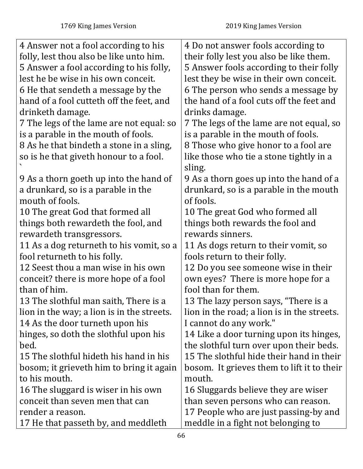| 4 Answer not a fool according to his       | 4 Do not answer fools according to          |
|--------------------------------------------|---------------------------------------------|
| folly, lest thou also be like unto him.    | their folly lest you also be like them.     |
| 5 Answer a fool according to his folly,    | 5 Answer fools according to their folly     |
| lest he be wise in his own conceit.        | lest they be wise in their own conceit.     |
| 6 He that sendeth a message by the         | 6 The person who sends a message by         |
| hand of a fool cutteth off the feet, and   | the hand of a fool cuts off the feet and    |
| drinketh damage.                           | drinks damage.                              |
| 7 The legs of the lame are not equal: so   | 7 The legs of the lame are not equal, so    |
| is a parable in the mouth of fools.        | is a parable in the mouth of fools.         |
| 8 As he that bindeth a stone in a sling,   | 8 Those who give honor to a fool are        |
| so is he that giveth honour to a fool.     | like those who tie a stone tightly in a     |
|                                            | sling.                                      |
| 9 As a thorn goeth up into the hand of     | 9 As a thorn goes up into the hand of a     |
| a drunkard, so is a parable in the         | drunkard, so is a parable in the mouth      |
| mouth of fools.                            | of fools.                                   |
| 10 The great God that formed all           | 10 The great God who formed all             |
| things both rewardeth the fool, and        | things both rewards the fool and            |
| rewardeth transgressors.                   | rewards sinners.                            |
| 11 As a dog returneth to his vomit, so a   | 11 As dogs return to their vomit, so        |
| fool returneth to his folly.               | fools return to their folly.                |
| 12 Seest thou a man wise in his own        | 12 Do you see someone wise in their         |
| conceit? there is more hope of a fool      | own eyes? There is more hope for a          |
| than of him.                               | fool than for them.                         |
| 13 The slothful man saith, There is a      | 13 The lazy person says, "There is a        |
| lion in the way; a lion is in the streets. | lion in the road; a lion is in the streets. |
| 14 As the door turneth upon his            | I cannot do any work."                      |
| hinges, so doth the slothful upon his      | 14 Like a door turning upon its hinges,     |
| bed.                                       | the slothful turn over upon their beds.     |
| 15 The slothful hideth his hand in his     | 15 The slothful hide their hand in their    |
| bosom; it grieveth him to bring it again   | bosom. It grieves them to lift it to their  |
| to his mouth.                              | mouth.                                      |
| 16 The sluggard is wiser in his own        | 16 Sluggards believe they are wiser         |
| conceit than seven men that can            | than seven persons who can reason.          |
| render a reason.                           | 17 People who are just passing-by and       |
| 17 He that passeth by, and meddleth        | meddle in a fight not belonging to          |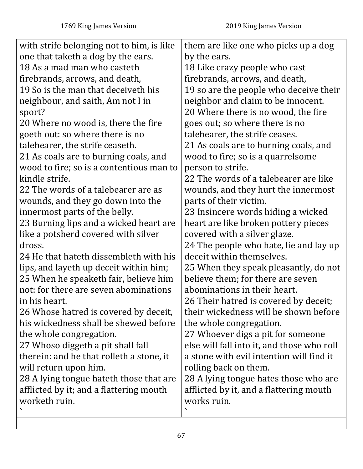| with strife belonging not to him, is like | them are like one who picks up a dog       |
|-------------------------------------------|--------------------------------------------|
| one that taketh a dog by the ears.        | by the ears.                               |
| 18 As a mad man who casteth               | 18 Like crazy people who cast              |
| firebrands, arrows, and death,            | firebrands, arrows, and death,             |
| 19 So is the man that deceiveth his       | 19 so are the people who deceive their     |
| neighbour, and saith, Am not I in         | neighbor and claim to be innocent.         |
| sport?                                    | 20 Where there is no wood, the fire        |
| 20 Where no wood is, there the fire       | goes out; so where there is no             |
| goeth out: so where there is no           | talebearer, the strife ceases.             |
| talebearer, the strife ceaseth.           | 21 As coals are to burning coals, and      |
| 21 As coals are to burning coals, and     | wood to fire; so is a quarrelsome          |
| wood to fire; so is a contentious man to  | person to strife.                          |
| kindle strife.                            | 22 The words of a talebearer are like      |
| 22 The words of a talebearer are as       | wounds, and they hurt the innermost        |
| wounds, and they go down into the         | parts of their victim.                     |
| innermost parts of the belly.             | 23 Insincere words hiding a wicked         |
| 23 Burning lips and a wicked heart are    | heart are like broken pottery pieces       |
| like a potsherd covered with silver       | covered with a silver glaze.               |
| dross.                                    | 24 The people who hate, lie and lay up     |
| 24 He that hateth dissembleth with his    | deceit within themselves.                  |
| lips, and layeth up deceit within him;    | 25 When they speak pleasantly, do not      |
| 25 When he speaketh fair, believe him     | believe them; for there are seven          |
| not: for there are seven abominations     | abominations in their heart.               |
| in his heart.                             | 26 Their hatred is covered by deceit;      |
| 26 Whose hatred is covered by deceit,     | their wickedness will be shown before      |
| his wickedness shall be shewed before     | the whole congregation.                    |
| the whole congregation.                   | 27 Whoever digs a pit for someone          |
| 27 Whoso diggeth a pit shall fall         | else will fall into it, and those who roll |
| therein: and he that rolleth a stone, it  | a stone with evil intention will find it   |
| will return upon him.                     | rolling back on them.                      |
| 28 A lying tongue hateth those that are   | 28 A lying tongue hates those who are      |
| afflicted by it; and a flattering mouth   | afflicted by it, and a flattering mouth    |
| worketh ruin.                             | works ruin.                                |
|                                           |                                            |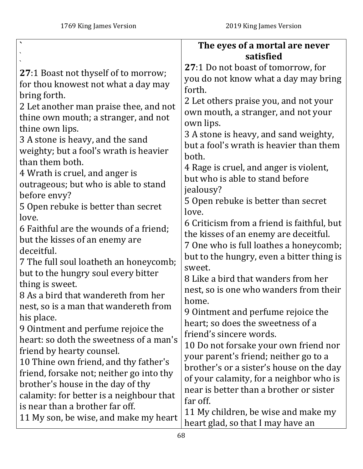|                                                        | The eyes of a mortal are never                                            |
|--------------------------------------------------------|---------------------------------------------------------------------------|
|                                                        | satisfied                                                                 |
| <b>27:1 Boast not thyself of to morrow;</b>            | 27:1 Do not boast of tomorrow, for                                        |
| for thou knowest not what a day may                    | you do not know what a day may bring                                      |
| bring forth.                                           | forth.                                                                    |
| 2 Let another man praise thee, and not                 | 2 Let others praise you, and not your                                     |
| thine own mouth; a stranger, and not                   | own mouth, a stranger, and not your                                       |
| thine own lips.                                        | own lips.                                                                 |
| 3 A stone is heavy, and the sand                       | 3 A stone is heavy, and sand weighty,                                     |
| weighty; but a fool's wrath is heavier                 | but a fool's wrath is heavier than them                                   |
| than them both.                                        | both.                                                                     |
| 4 Wrath is cruel, and anger is                         | 4 Rage is cruel, and anger is violent,<br>but who is able to stand before |
| outrageous; but who is able to stand                   | jealousy?                                                                 |
| before envy?                                           | 5 Open rebuke is better than secret                                       |
| 5 Open rebuke is better than secret                    | love.                                                                     |
| love.                                                  | 6 Criticism from a friend is faithful, but                                |
| 6 Faithful are the wounds of a friend;                 | the kisses of an enemy are deceitful.                                     |
| but the kisses of an enemy are                         | 7 One who is full loathes a honeycomb;                                    |
| deceitful.                                             | but to the hungry, even a bitter thing is                                 |
| 7 The full soul loatheth an honeycomb;                 | sweet.                                                                    |
| but to the hungry soul every bitter                    | 8 Like a bird that wanders from her                                       |
| thing is sweet.<br>8 As a bird that wandereth from her | nest, so is one who wanders from their                                    |
| nest, so is a man that wandereth from                  | home                                                                      |
| his place.                                             | 9 Ointment and perfume rejoice the                                        |
| 9 Ointment and perfume rejoice the                     | heart; so does the sweetness of a                                         |
| heart: so doth the sweetness of a man's                | friend's sincere words.                                                   |
| friend by hearty counsel.                              | 10 Do not forsake your own friend nor                                     |
| 10 Thine own friend, and thy father's                  | your parent's friend; neither go to a                                     |
| friend, forsake not; neither go into thy               | brother's or a sister's house on the day                                  |
| brother's house in the day of thy                      | of your calamity, for a neighbor who is                                   |
| calamity: for better is a neighbour that               | near is better than a brother or sister<br>far off.                       |
| is near than a brother far off.                        | 11 My children, be wise and make my                                       |
| 11 My son, be wise, and make my heart                  | heart glad, so that I may have an                                         |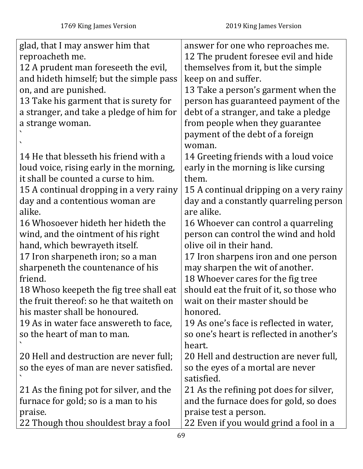| glad, that I may answer him that         | answer for one who reproaches me.        |
|------------------------------------------|------------------------------------------|
| reproacheth me.                          | 12 The prudent foresee evil and hide     |
| 12 A prudent man foreseeth the evil,     | themselves from it, but the simple       |
| and hideth himself; but the simple pass  | keep on and suffer.                      |
| on, and are punished.                    | 13 Take a person's garment when the      |
| 13 Take his garment that is surety for   | person has guaranteed payment of the     |
| a stranger, and take a pledge of him for | debt of a stranger, and take a pledge    |
| a strange woman.                         | from people when they guarantee          |
|                                          | payment of the debt of a foreign         |
|                                          | woman.                                   |
| 14 He that blesseth his friend with a    | 14 Greeting friends with a loud voice    |
| loud voice, rising early in the morning, | early in the morning is like cursing     |
| it shall be counted a curse to him.      | them.                                    |
| 15 A continual dropping in a very rainy  | 15 A continual dripping on a very rainy  |
| day and a contentious woman are          | day and a constantly quarreling person   |
| alike.                                   | are alike.                               |
| 16 Whosoever hideth her hideth the       | 16 Whoever can control a quarreling      |
| wind, and the ointment of his right      | person can control the wind and hold     |
| hand, which bewrayeth itself.            | olive oil in their hand.                 |
| 17 Iron sharpeneth iron; so a man        | 17 Iron sharpens iron and one person     |
| sharpeneth the countenance of his        | may sharpen the wit of another.          |
| friend.                                  | 18 Whoever cares for the fig tree        |
| 18 Whoso keepeth the fig tree shall eat  | should eat the fruit of it, so those who |
| the fruit thereof: so he that waiteth on | wait on their master should be           |
| his master shall be honoured.            | honored.                                 |
| 19 As in water face answereth to face,   | 19 As one's face is reflected in water,  |
| so the heart of man to man.              | so one's heart is reflected in another's |
|                                          | heart.                                   |
| 20 Hell and destruction are never full;  | 20 Hell and destruction are never full,  |
| so the eyes of man are never satisfied.  | so the eyes of a mortal are never        |
|                                          | satisfied.                               |
| 21 As the fining pot for silver, and the | 21 As the refining pot does for silver,  |
| furnace for gold; so is a man to his     | and the furnace does for gold, so does   |
| praise.                                  | praise test a person.                    |
| 22 Though thou shouldest bray a fool     | 22 Even if you would grind a fool in a   |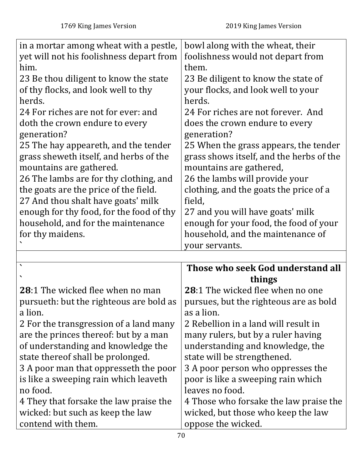| in a mortar among wheat with a pestle,<br>yet will not his foolishness depart from<br>him.<br>23 Be thou diligent to know the state<br>of thy flocks, and look well to thy<br>herds.<br>24 For riches are not for ever: and<br>doth the crown endure to every<br>generation?<br>25 The hay appeareth, and the tender<br>grass sheweth itself, and herbs of the<br>mountains are gathered.<br>26 The lambs are for thy clothing, and<br>the goats are the price of the field.<br>27 And thou shalt have goats' milk<br>enough for thy food, for the food of thy<br>household, and for the maintenance<br>for thy maidens. | bowl along with the wheat, their<br>foolishness would not depart from<br>them.<br>23 Be diligent to know the state of<br>your flocks, and look well to your<br>herds.<br>24 For riches are not forever. And<br>does the crown endure to every<br>generation?<br>25 When the grass appears, the tender<br>grass shows itself, and the herbs of the<br>mountains are gathered,<br>26 the lambs will provide your<br>clothing, and the goats the price of a<br>field,<br>27 and you will have goats' milk<br>enough for your food, the food of your<br>household, and the maintenance of |
|--------------------------------------------------------------------------------------------------------------------------------------------------------------------------------------------------------------------------------------------------------------------------------------------------------------------------------------------------------------------------------------------------------------------------------------------------------------------------------------------------------------------------------------------------------------------------------------------------------------------------|---------------------------------------------------------------------------------------------------------------------------------------------------------------------------------------------------------------------------------------------------------------------------------------------------------------------------------------------------------------------------------------------------------------------------------------------------------------------------------------------------------------------------------------------------------------------------------------|
|                                                                                                                                                                                                                                                                                                                                                                                                                                                                                                                                                                                                                          | your servants.                                                                                                                                                                                                                                                                                                                                                                                                                                                                                                                                                                        |
|                                                                                                                                                                                                                                                                                                                                                                                                                                                                                                                                                                                                                          | Those who seek God understand all                                                                                                                                                                                                                                                                                                                                                                                                                                                                                                                                                     |
|                                                                                                                                                                                                                                                                                                                                                                                                                                                                                                                                                                                                                          | things                                                                                                                                                                                                                                                                                                                                                                                                                                                                                                                                                                                |
| 28:1 The wicked flee when no man                                                                                                                                                                                                                                                                                                                                                                                                                                                                                                                                                                                         | <b>28:1 The wicked flee when no one</b>                                                                                                                                                                                                                                                                                                                                                                                                                                                                                                                                               |
| pursueth: but the righteous are bold as                                                                                                                                                                                                                                                                                                                                                                                                                                                                                                                                                                                  | pursues, but the righteous are as bold                                                                                                                                                                                                                                                                                                                                                                                                                                                                                                                                                |
| a lion.                                                                                                                                                                                                                                                                                                                                                                                                                                                                                                                                                                                                                  | as a lion.                                                                                                                                                                                                                                                                                                                                                                                                                                                                                                                                                                            |
| 2 For the transgression of a land many                                                                                                                                                                                                                                                                                                                                                                                                                                                                                                                                                                                   | 2 Rebellion in a land will result in                                                                                                                                                                                                                                                                                                                                                                                                                                                                                                                                                  |
| are the princes thereof: but by a man                                                                                                                                                                                                                                                                                                                                                                                                                                                                                                                                                                                    | many rulers, but by a ruler having                                                                                                                                                                                                                                                                                                                                                                                                                                                                                                                                                    |
| of understanding and knowledge the                                                                                                                                                                                                                                                                                                                                                                                                                                                                                                                                                                                       | understanding and knowledge, the                                                                                                                                                                                                                                                                                                                                                                                                                                                                                                                                                      |
| state thereof shall be prolonged.                                                                                                                                                                                                                                                                                                                                                                                                                                                                                                                                                                                        | state will be strengthened.                                                                                                                                                                                                                                                                                                                                                                                                                                                                                                                                                           |
| 3 A poor man that oppresseth the poor                                                                                                                                                                                                                                                                                                                                                                                                                                                                                                                                                                                    | 3 A poor person who oppresses the                                                                                                                                                                                                                                                                                                                                                                                                                                                                                                                                                     |
| is like a sweeping rain which leaveth                                                                                                                                                                                                                                                                                                                                                                                                                                                                                                                                                                                    | poor is like a sweeping rain which                                                                                                                                                                                                                                                                                                                                                                                                                                                                                                                                                    |
| no food.                                                                                                                                                                                                                                                                                                                                                                                                                                                                                                                                                                                                                 | leaves no food.                                                                                                                                                                                                                                                                                                                                                                                                                                                                                                                                                                       |
| 4 They that forsake the law praise the<br>wicked: but such as keep the law                                                                                                                                                                                                                                                                                                                                                                                                                                                                                                                                               | 4 Those who forsake the law praise the                                                                                                                                                                                                                                                                                                                                                                                                                                                                                                                                                |
|                                                                                                                                                                                                                                                                                                                                                                                                                                                                                                                                                                                                                          |                                                                                                                                                                                                                                                                                                                                                                                                                                                                                                                                                                                       |
| contend with them.                                                                                                                                                                                                                                                                                                                                                                                                                                                                                                                                                                                                       | wicked, but those who keep the law<br>oppose the wicked.                                                                                                                                                                                                                                                                                                                                                                                                                                                                                                                              |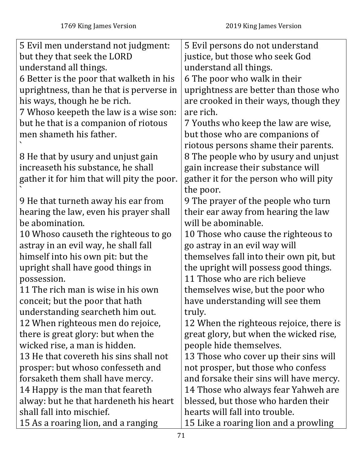| 5 Evil men understand not judgment:        | 5 Evil persons do not understand        |
|--------------------------------------------|-----------------------------------------|
| but they that seek the LORD                | justice, but those who seek God         |
| understand all things.                     | understand all things.                  |
| 6 Better is the poor that walketh in his   | 6 The poor who walk in their            |
| uprightness, than he that is perverse in   | uprightness are better than those who   |
| his ways, though he be rich.               | are crooked in their ways, though they  |
| 7 Whoso keepeth the law is a wise son:     | are rich.                               |
| but he that is a companion of riotous      | 7 Youths who keep the law are wise,     |
| men shameth his father.                    | but those who are companions of         |
|                                            | riotous persons shame their parents.    |
| 8 He that by usury and unjust gain         | 8 The people who by usury and unjust    |
| increaseth his substance, he shall         | gain increase their substance will      |
| gather it for him that will pity the poor. | gather it for the person who will pity  |
|                                            | the poor.                               |
| 9 He that turneth away his ear from        | 9 The prayer of the people who turn     |
| hearing the law, even his prayer shall     | their ear away from hearing the law     |
| be abomination.                            | will be abominable.                     |
| 10 Whoso causeth the righteous to go       | 10 Those who cause the righteous to     |
| astray in an evil way, he shall fall       | go astray in an evil way will           |
| himself into his own pit: but the          | themselves fall into their own pit, but |
| upright shall have good things in          | the upright will possess good things.   |
| possession.                                | 11 Those who are rich believe           |
| 11 The rich man is wise in his own         | themselves wise, but the poor who       |
| conceit; but the poor that hath            | have understanding will see them        |
| understanding searcheth him out.           | truly.                                  |
| 12 When righteous men do rejoice,          | 12 When the righteous rejoice, there is |
| there is great glory: but when the         | great glory, but when the wicked rise,  |
| wicked rise, a man is hidden.              | people hide themselves.                 |
| 13 He that covereth his sins shall not     | 13 Those who cover up their sins will   |
| prosper: but whoso confesseth and          | not prosper, but those who confess      |
| forsaketh them shall have mercy.           | and forsake their sins will have mercy. |
| 14 Happy is the man that feareth           | 14 Those who always fear Yahweh are     |
| alway: but he that hardeneth his heart     | blessed, but those who harden their     |
| shall fall into mischief.                  | hearts will fall into trouble.          |
| 15 As a roaring lion, and a ranging        | 15 Like a roaring lion and a prowling   |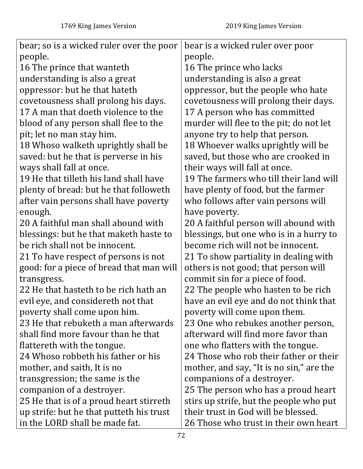| bear; so is a wicked ruler over the poor | bear is a wicked ruler over poor         |
|------------------------------------------|------------------------------------------|
| people.                                  | people.                                  |
| 16 The prince that wanteth               | 16 The prince who lacks                  |
| understanding is also a great            | understanding is also a great            |
| oppressor: but he that hateth            | oppressor, but the people who hate       |
| covetousness shall prolong his days.     | covetousness will prolong their days.    |
| 17 A man that doeth violence to the      | 17 A person who has committed            |
| blood of any person shall flee to the    | murder will flee to the pit; do not let  |
| pit; let no man stay him.                | anyone try to help that person.          |
| 18 Whoso walketh uprightly shall be      | 18 Whoever walks uprightly will be       |
| saved: but he that is perverse in his    | saved, but those who are crooked in      |
| ways shall fall at once.                 | their ways will fall at once.            |
| 19 He that tilleth his land shall have   | 19 The farmers who till their land will  |
| plenty of bread: but he that followeth   | have plenty of food, but the farmer      |
| after vain persons shall have poverty    | who follows after vain persons will      |
| enough.                                  | have poverty.                            |
| 20 A faithful man shall abound with      | 20 A faithful person will abound with    |
| blessings: but he that maketh haste to   | blessings, but one who is in a hurry to  |
| be rich shall not be innocent.           | become rich will not be innocent.        |
| 21 To have respect of persons is not     | 21 To show partiality in dealing with    |
| good: for a piece of bread that man will | others is not good; that person will     |
| transgress.                              | commit sin for a piece of food.          |
| 22 He that hasteth to be rich hath an    | 22 The people who hasten to be rich      |
| evil eye, and considereth not that       | have an evil eye and do not think that   |
| poverty shall come upon him.             | poverty will come upon them.             |
| 23 He that rebuketh a man afterwards     | 23 One who rebukes another person,       |
| shall find more favour than he that      | afterward will find more favor than      |
| flattereth with the tongue.              | one who flatters with the tongue.        |
| 24 Whoso robbeth his father or his       | 24 Those who rob their father or their   |
| mother, and saith, It is no              | mother, and say, "It is no sin," are the |
| transgression; the same is the           | companions of a destroyer.               |
| companion of a destroyer.                | 25 The person who has a proud heart      |
| 25 He that is of a proud heart stirreth  | stirs up strife, but the people who put  |
| up strife: but he that putteth his trust | their trust in God will be blessed.      |
| in the LORD shall be made fat.           | 26 Those who trust in their own heart    |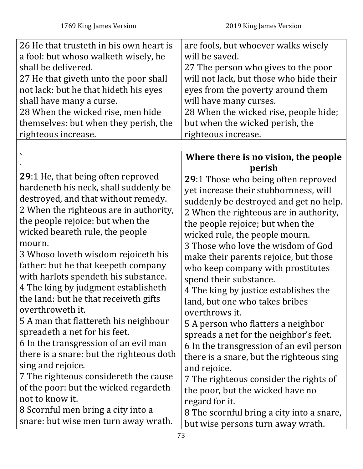| 26 He that trusteth in his own heart is | are fools, but whoever walks wisely     |
|-----------------------------------------|-----------------------------------------|
| a fool: but whoso walketh wisely, he    | will be saved.                          |
| shall be delivered.                     | 27 The person who gives to the poor     |
| 27 He that giveth unto the poor shall   | will not lack, but those who hide their |
| not lack: but he that hideth his eyes   | eyes from the poverty around them       |
| shall have many a curse.                | will have many curses.                  |
| 28 When the wicked rise, men hide       | 28 When the wicked rise, people hide;   |
| themselves: but when they perish, the   | but when the wicked perish, the         |
| righteous increase.                     | righteous increase.                     |
|                                         |                                         |

|                                                                                   | Where there is no vision, the people      |
|-----------------------------------------------------------------------------------|-------------------------------------------|
|                                                                                   | perish                                    |
| 29:1 He, that being often reproved                                                | 29:1 Those who being often reproved       |
| hardeneth his neck, shall suddenly be                                             | yet increase their stubbornness, will     |
| destroyed, and that without remedy.                                               | suddenly be destroyed and get no help.    |
| 2 When the righteous are in authority,                                            | 2 When the righteous are in authority,    |
| the people rejoice: but when the                                                  | the people rejoice; but when the          |
| wicked beareth rule, the people                                                   | wicked rule, the people mourn.            |
| mourn.                                                                            | 3 Those who love the wisdom of God        |
| 3 Whoso loveth wisdom rejoiceth his                                               | make their parents rejoice, but those     |
| father: but he that keepeth company                                               | who keep company with prostitutes         |
| with harlots spendeth his substance.                                              | spend their substance.                    |
| 4 The king by judgment establisheth                                               | 4 The king by justice establishes the     |
| the land: but he that receiveth gifts                                             | land, but one who takes bribes            |
| overthroweth it.                                                                  | overthrows it.                            |
| 5 A man that flattereth his neighbour                                             | 5 A person who flatters a neighbor        |
| spreadeth a net for his feet.                                                     | spreads a net for the neighbor's feet.    |
| 6 In the transgression of an evil man<br>there is a snare: but the righteous doth | 6 In the transgression of an evil person  |
| sing and rejoice.                                                                 | there is a snare, but the righteous sing  |
| 7 The righteous considereth the cause                                             | and rejoice.                              |
| of the poor: but the wicked regardeth                                             | 7 The righteous consider the rights of    |
| not to know it.                                                                   | the poor, but the wicked have no          |
| 8 Scornful men bring a city into a                                                | regard for it.                            |
| snare: but wise men turn away wrath.                                              | 8 The scornful bring a city into a snare, |
|                                                                                   | but wise persons turn away wrath.         |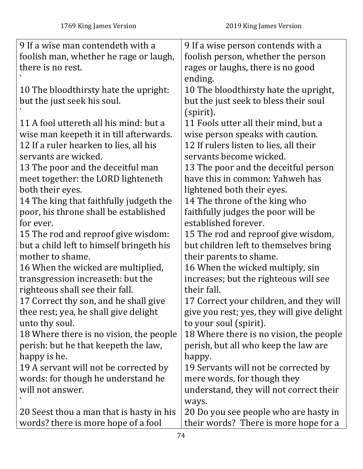| 9 If a wise man contendeth with a        |                                            |
|------------------------------------------|--------------------------------------------|
|                                          | 9 If a wise person contends with a         |
| foolish man, whether he rage or laugh,   | foolish person, whether the person         |
| there is no rest.                        | rages or laughs, there is no good          |
|                                          | ending.                                    |
| 10 The blood thirsty hate the upright:   | 10 The blood thirsty hate the upright,     |
| but the just seek his soul.              | but the just seek to bless their soul      |
|                                          | (spirit).                                  |
| 11 A fool uttereth all his mind: but a   | 11 Fools utter all their mind, but a       |
| wise man keepeth it in till afterwards.  | wise person speaks with caution.           |
| 12 If a ruler hearken to lies, all his   | 12 If rulers listen to lies, all their     |
| servants are wicked.                     | servants become wicked.                    |
| 13 The poor and the deceitful man        | 13 The poor and the deceitful person       |
| meet together: the LORD lighteneth       | have this in common: Yahweh has            |
| both their eyes.                         | lightened both their eyes.                 |
| 14 The king that faithfully judgeth the  | 14 The throne of the king who              |
| poor, his throne shall be established    | faithfully judges the poor will be         |
| for ever.                                | established forever.                       |
| 15 The rod and reproof give wisdom:      | 15 The rod and reproof give wisdom,        |
| but a child left to himself bringeth his | but children left to themselves bring      |
| mother to shame.                         | their parents to shame.                    |
| 16 When the wicked are multiplied,       | 16 When the wicked multiply, sin           |
| transgression increaseth: but the        | increases; but the righteous will see      |
| righteous shall see their fall.          | their fall.                                |
| 17 Correct thy son, and he shall give    | 17 Correct your children, and they will    |
| thee rest; yea, he shall give delight    | give you rest; yes, they will give delight |
| unto thy soul.                           | to your soul (spirit).                     |
| 18 Where there is no vision, the people  | 18 Where there is no vision, the people    |
| perish: but he that keepeth the law,     | perish, but all who keep the law are       |
| happy is he.                             | happy.                                     |
| 19 A servant will not be corrected by    | 19 Servants will not be corrected by       |
| words: for though he understand he       | mere words, for though they                |
| will not answer.                         | understand, they will not correct their    |
|                                          | ways.                                      |
| 20 Seest thou a man that is hasty in his | 20 Do you see people who are hasty in      |
| words? there is more hope of a fool      | their words? There is more hope for a      |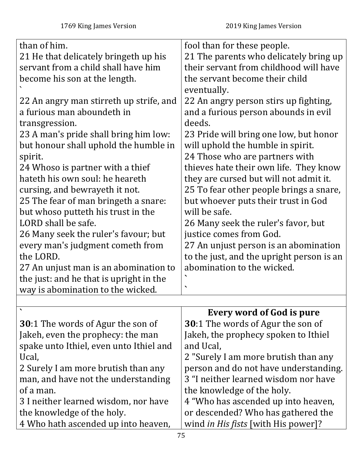| than of him.                              | fool than for these people.               |
|-------------------------------------------|-------------------------------------------|
| 21 He that delicately bringeth up his     | 21 The parents who delicately bring up    |
| servant from a child shall have him       | their servant from childhood will have    |
| become his son at the length.             | the servant become their child            |
|                                           | eventually.                               |
| 22 An angry man stirreth up strife, and   | 22 An angry person stirs up fighting,     |
| a furious man aboundeth in                | and a furious person abounds in evil      |
| transgression.                            | deeds.                                    |
| 23 A man's pride shall bring him low:     | 23 Pride will bring one low, but honor    |
| but honour shall uphold the humble in     | will uphold the humble in spirit.         |
| spirit.                                   | 24 Those who are partners with            |
| 24 Whoso is partner with a thief          | thieves hate their own life. They know    |
| hateth his own soul: he heareth           | they are cursed but will not admit it.    |
| cursing, and bewrayeth it not.            | 25 To fear other people brings a snare,   |
| 25 The fear of man bringeth a snare:      | but whoever puts their trust in God       |
| but whoso putteth his trust in the        | will be safe.                             |
| LORD shall be safe.                       | 26 Many seek the ruler's favor, but       |
| 26 Many seek the ruler's favour; but      | justice comes from God.                   |
| every man's judgment cometh from          | 27 An unjust person is an abomination     |
| the LORD.                                 | to the just, and the upright person is an |
| 27 An unjust man is an abomination to     | abomination to the wicked.                |
| the just: and he that is upright in the   |                                           |
| way is abomination to the wicked.         | ◥                                         |
|                                           |                                           |
|                                           | <b>Every word of God is pure</b>          |
| <b>30</b> :1 The words of Agur the son of | <b>30:1 The words of Agur the son of</b>  |
| Jakeh, even the prophecy: the man         | Jakeh, the prophecy spoken to Ithiel      |
| spake unto Ithiel, even unto Ithiel and   | and Ucal,                                 |
|                                           |                                           |

| Ucal,                                | 2 "Surely I am more brutish than any  |
|--------------------------------------|---------------------------------------|
| 2 Surely I am more brutish than any  | person and do not have understanding. |
| man, and have not the understanding  | 3 "I neither learned wisdom nor have  |
| of a man.                            | the knowledge of the holy.            |
| 3 I neither learned wisdom, nor have | 4 "Who has ascended up into heaven,   |
| the knowledge of the holy.           | or descended? Who has gathered the    |
| 4 Who hath ascended up into heaven,  | wind in His fists [with His power]?   |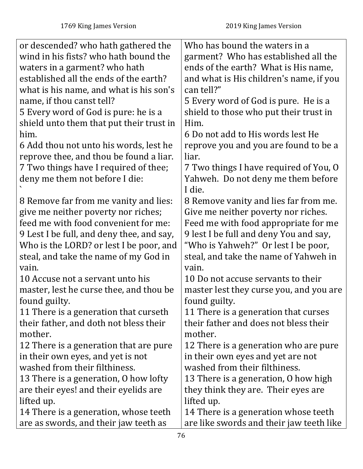| or descended? who hath gathered the       | Who has bound the waters in a            |
|-------------------------------------------|------------------------------------------|
| wind in his fists? who hath bound the     | garment? Who has established all the     |
| waters in a garment? who hath             | ends of the earth? What is His name,     |
| established all the ends of the earth?    | and what is His children's name, if you  |
| what is his name, and what is his son's   | can tell?"                               |
| name, if thou canst tell?                 | 5 Every word of God is pure. He is a     |
| 5 Every word of God is pure: he is a      | shield to those who put their trust in   |
| shield unto them that put their trust in  | Him.                                     |
| him.                                      | 6 Do not add to His words lest He        |
| 6 Add thou not unto his words, lest he    | reprove you and you are found to be a    |
| reprove thee, and thou be found a liar.   | liar.                                    |
| 7 Two things have I required of thee;     | 7 Two things I have required of You, O   |
| deny me them not before I die:            | Yahweh. Do not deny me them before       |
|                                           | I die.                                   |
| 8 Remove far from me vanity and lies:     | 8 Remove vanity and lies far from me.    |
| give me neither poverty nor riches;       | Give me neither poverty nor riches.      |
| feed me with food convenient for me:      | Feed me with food appropriate for me     |
| 9 Lest I be full, and deny thee, and say, | 9 lest I be full and deny You and say,   |
| Who is the LORD? or lest I be poor, and   | "Who is Yahweh?" Or lest I be poor,      |
| steal, and take the name of my God in     | steal, and take the name of Yahweh in    |
| vain.                                     | vain.                                    |
| 10 Accuse not a servant unto his          | 10 Do not accuse servants to their       |
| master, lest he curse thee, and thou be   | master lest they curse you, and you are  |
| found guilty.                             | found guilty.                            |
| 11 There is a generation that curseth     | 11 There is a generation that curses     |
| their father, and doth not bless their    | their father and does not bless their    |
| mother.                                   | mother.                                  |
| 12 There is a generation that are pure    | 12 There is a generation who are pure    |
| in their own eyes, and yet is not         | in their own eyes and yet are not        |
| washed from their filthiness.             | washed from their filthiness.            |
| 13 There is a generation, 0 how lofty     | 13 There is a generation, 0 how high     |
| are their eyes! and their eyelids are     | they think they are. Their eyes are      |
| lifted up.                                | lifted up.                               |
| 14 There is a generation, whose teeth     | 14 There is a generation whose teeth     |
| are as swords, and their jaw teeth as     | are like swords and their jaw teeth like |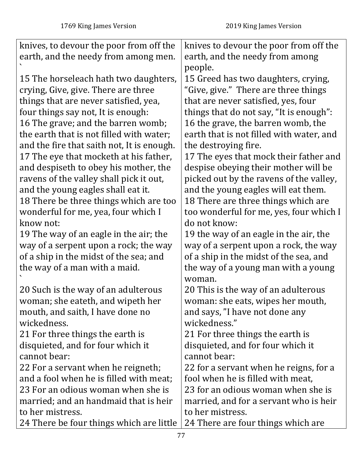| knives, to devour the poor from off the    | knives to devour the poor from off the   |
|--------------------------------------------|------------------------------------------|
| earth, and the needy from among men.       | earth, and the needy from among          |
|                                            | people.                                  |
| 15 The horseleach hath two daughters,      | 15 Greed has two daughters, crying,      |
| crying, Give, give. There are three        | "Give, give." There are three things     |
| things that are never satisfied, yea,      | that are never satisfied, yes, four      |
| four things say not, It is enough:         | things that do not say, "It is enough":  |
| 16 The grave; and the barren womb;         | 16 the grave, the barren womb, the       |
| the earth that is not filled with water;   | earth that is not filled with water, and |
| and the fire that saith not, It is enough. | the destroying fire.                     |
| 17 The eye that mocketh at his father,     | 17 The eyes that mock their father and   |
| and despiseth to obey his mother, the      | despise obeying their mother will be     |
| ravens of the valley shall pick it out,    | picked out by the ravens of the valley,  |
| and the young eagles shall eat it.         | and the young eagles will eat them.      |
| 18 There be three things which are too     | 18 There are three things which are      |
| wonderful for me, yea, four which I        | too wonderful for me, yes, four which I  |
| know not:                                  | do not know:                             |
| 19 The way of an eagle in the air; the     | 19 the way of an eagle in the air, the   |
| way of a serpent upon a rock; the way      | way of a serpent upon a rock, the way    |
| of a ship in the midst of the sea; and     | of a ship in the midst of the sea, and   |
| the way of a man with a maid.              | the way of a young man with a young      |
|                                            | woman.                                   |
| 20 Such is the way of an adulterous        | 20 This is the way of an adulterous      |
| woman; she eateth, and wipeth her          | woman: she eats, wipes her mouth,        |
| mouth, and saith, I have done no           | and says, "I have not done any           |
| wickedness.                                | wickedness."                             |
| 21 For three things the earth is           | 21 For three things the earth is         |
| disquieted, and for four which it          | disquieted, and for four which it        |
| cannot bear:                               | cannot bear:                             |
| 22 For a servant when he reigneth;         | 22 for a servant when he reigns, for a   |
| and a fool when he is filled with meat;    | fool when he is filled with meat,        |
| 23 For an odious woman when she is         | 23 for an odious woman when she is       |
| married; and an handmaid that is heir      | married, and for a servant who is heir   |
| to her mistress.                           | to her mistress.                         |
| 24 There be four things which are little   | 24 There are four things which are       |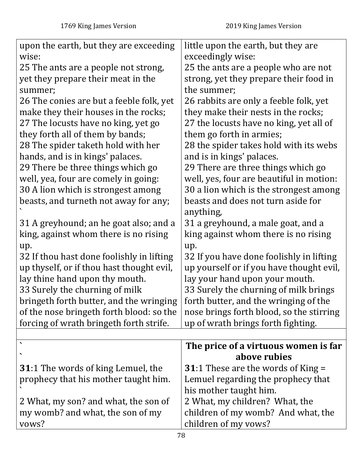| upon the earth, but they are exceeding     | little upon the earth, but they are       |
|--------------------------------------------|-------------------------------------------|
| wise:                                      | exceedingly wise:                         |
| 25 The ants are a people not strong,       | 25 the ants are a people who are not      |
| yet they prepare their meat in the         | strong, yet they prepare their food in    |
| summer;                                    | the summer;                               |
| 26 The conies are but a feeble folk, yet   | 26 rabbits are only a feeble folk, yet    |
| make they their houses in the rocks;       | they make their nests in the rocks;       |
| 27 The locusts have no king, yet go        | 27 the locusts have no king, yet all of   |
| they forth all of them by bands;           | them go forth in armies;                  |
| 28 The spider taketh hold with her         | 28 the spider takes hold with its webs    |
| hands, and is in kings' palaces.           | and is in kings' palaces.                 |
| 29 There be three things which go          | 29 There are three things which go        |
| well, yea, four are comely in going:       | well, yes, four are beautiful in motion:  |
| 30 A lion which is strongest among         | 30 a lion which is the strongest among    |
| beasts, and turneth not away for any;      | beasts and does not turn aside for        |
|                                            | anything,                                 |
| 31 A greyhound; an he goat also; and a     | 31 a greyhound, a male goat, and a        |
| king, against whom there is no rising      | king against whom there is no rising      |
| up.                                        | up.                                       |
| 32 If thou hast done foolishly in lifting  | 32 If you have done foolishly in lifting  |
| up thyself, or if thou hast thought evil,  | up yourself or if you have thought evil,  |
| lay thine hand upon thy mouth.             | lay your hand upon your mouth.            |
| 33 Surely the churning of milk             | 33 Surely the churning of milk brings     |
| bringeth forth butter, and the wringing    | forth butter, and the wringing of the     |
| of the nose bringeth forth blood: so the   | nose brings forth blood, so the stirring  |
| forcing of wrath bringeth forth strife.    | up of wrath brings forth fighting.        |
|                                            |                                           |
|                                            | The price of a virtuous women is far      |
| $\boldsymbol{\mathcal{L}}$                 | above rubies                              |
| <b>31</b> :1 The words of king Lemuel, the | <b>31:1 These are the words of King =</b> |
| prophecy that his mother taught him.       | Lemuel regarding the prophecy that        |
|                                            | his mother taught him.                    |
| 2 What, my son? and what, the son of       | 2 What, my children? What, the            |
| my womb? and what, the son of my           | children of my womb? And what, the        |
| vows?                                      | children of my vows?                      |
|                                            |                                           |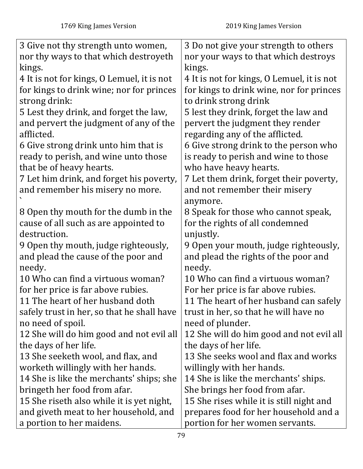| 3 Give not thy strength unto women,        | 3 Do not give your strength to others      |
|--------------------------------------------|--------------------------------------------|
| nor thy ways to that which destroyeth      | nor your ways to that which destroys       |
| kings.                                     | kings.                                     |
| 4 It is not for kings, O Lemuel, it is not | 4 It is not for kings, O Lemuel, it is not |
| for kings to drink wine; nor for princes   | for kings to drink wine, nor for princes   |
| strong drink:                              | to drink strong drink                      |
| 5 Lest they drink, and forget the law,     | 5 lest they drink, forget the law and      |
| and pervert the judgment of any of the     | pervert the judgment they render           |
| afflicted.                                 | regarding any of the afflicted.            |
| 6 Give strong drink unto him that is       | 6 Give strong drink to the person who      |
| ready to perish, and wine unto those       | is ready to perish and wine to those       |
| that be of heavy hearts.                   | who have heavy hearts.                     |
| 7 Let him drink, and forget his poverty,   | 7 Let them drink, forget their poverty,    |
| and remember his misery no more.           | and not remember their misery              |
|                                            | anymore.                                   |
| 8 Open thy mouth for the dumb in the       | 8 Speak for those who cannot speak,        |
| cause of all such as are appointed to      | for the rights of all condemned            |
| destruction.                               | unjustly.                                  |
| 9 Open thy mouth, judge righteously,       | 9 Open your mouth, judge righteously,      |
| and plead the cause of the poor and        | and plead the rights of the poor and       |
| needy.                                     | needy.                                     |
| 10 Who can find a virtuous woman?          | 10 Who can find a virtuous woman?          |
| for her price is far above rubies.         | For her price is far above rubies.         |
| 11 The heart of her husband doth           | 11 The heart of her husband can safely     |
| safely trust in her, so that he shall have | trust in her, so that he will have no      |
| no need of spoil.                          | need of plunder.                           |
| 12 She will do him good and not evil all   | 12 She will do him good and not evil all   |
| the days of her life.                      | the days of her life.                      |
| 13 She seeketh wool, and flax, and         | 13 She seeks wool and flax and works       |
| worketh willingly with her hands.          | willingly with her hands.                  |
| 14 She is like the merchants' ships; she   | 14 She is like the merchants' ships.       |
| bringeth her food from afar.               | She brings her food from afar.             |
| 15 She riseth also while it is yet night,  | 15 She rises while it is still night and   |
| and giveth meat to her household, and      | prepares food for her household and a      |
| a portion to her maidens.                  | portion for her women servants.            |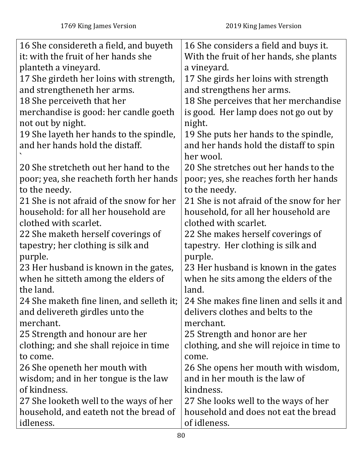| 16 She considereth a field, and buyeth    | 16 She considers a field and buys it.     |
|-------------------------------------------|-------------------------------------------|
| it: with the fruit of her hands she       | With the fruit of her hands, she plants   |
| planteth a vineyard.                      | a vineyard.                               |
| 17 She girdeth her loins with strength,   | 17 She girds her loins with strength      |
| and strengtheneth her arms.               | and strengthens her arms.                 |
| 18 She perceiveth that her                | 18 She perceives that her merchandise     |
| merchandise is good: her candle goeth     | is good. Her lamp does not go out by      |
| not out by night.                         | night.                                    |
| 19 She layeth her hands to the spindle,   | 19 She puts her hands to the spindle,     |
| and her hands hold the distaff.           | and her hands hold the distaff to spin    |
|                                           | her wool.                                 |
| 20 She stretcheth out her hand to the     | 20 She stretches out her hands to the     |
| poor; yea, she reacheth forth her hands   | poor; yes, she reaches forth her hands    |
| to the needy.                             | to the needy.                             |
| 21 She is not afraid of the snow for her  | 21 She is not afraid of the snow for her  |
| household: for all her household are      | household, for all her household are      |
| clothed with scarlet.                     | clothed with scarlet.                     |
| 22 She maketh herself coverings of        | 22 She makes herself coverings of         |
| tapestry; her clothing is silk and        | tapestry. Her clothing is silk and        |
| purple.                                   | purple.                                   |
| 23 Her husband is known in the gates,     | 23 Her husband is known in the gates      |
| when he sitteth among the elders of       | when he sits among the elders of the      |
| the land.                                 | land.                                     |
| 24 She maketh fine linen, and selleth it; | 24 She makes fine linen and sells it and  |
| and delivereth girdles unto the           | delivers clothes and belts to the         |
| merchant.                                 | merchant.                                 |
| 25 Strength and honour are her            | 25 Strength and honor are her             |
| clothing; and she shall rejoice in time   | clothing, and she will rejoice in time to |
| to come.                                  | come.                                     |
| 26 She openeth her mouth with             | 26 She opens her mouth with wisdom,       |
| wisdom; and in her tongue is the law      | and in her mouth is the law of            |
| of kindness.                              | kindness.                                 |
| 27 She looketh well to the ways of her    | 27 She looks well to the ways of her      |
| household, and eateth not the bread of    | household and does not eat the bread      |
| idleness.                                 | of idleness.                              |